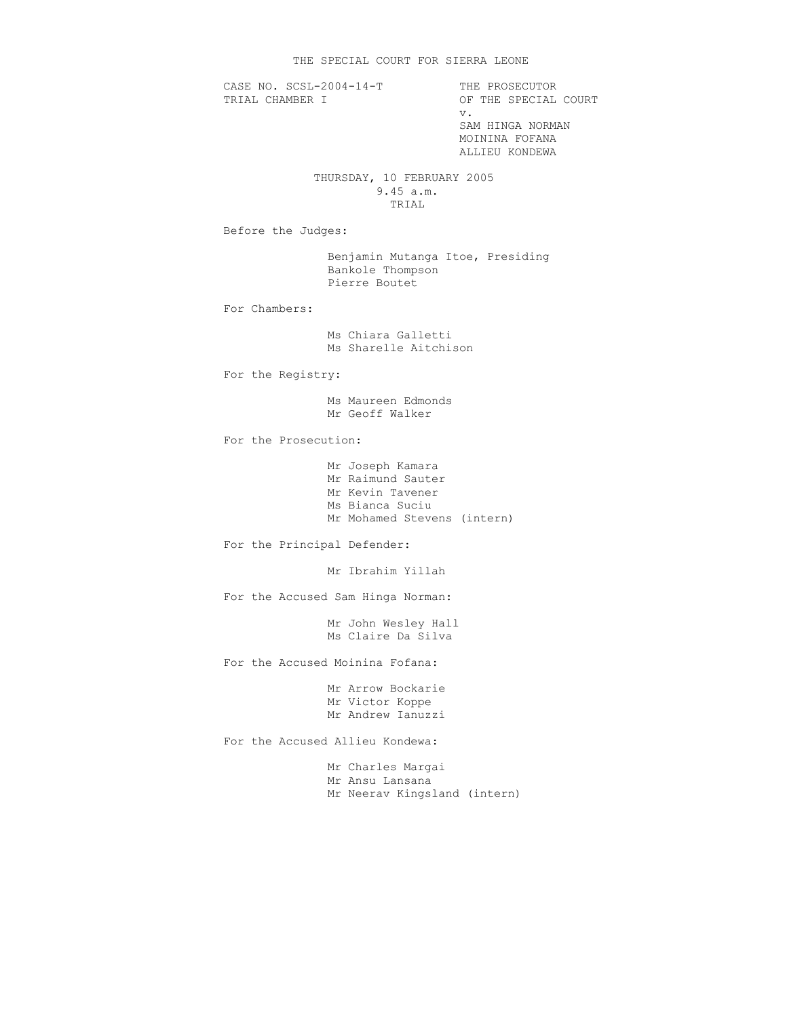CASE NO. SCSL-2004-14-T THE PROSECUTOR<br>TRIAL CHAMBER I OF THE SPECIAL

OF THE SPECIAL COURT v. SAM HINGA NORMAN MOININA FOFANA ALLIEU KONDEWA

## THURSDAY, 10 FEBRUARY 2005 9.45 a.m. TRIAL

Before the Judges:

 Benjamin Mutanga Itoe, Presiding Bankole Thompson Pierre Boutet

For Chambers:

 Ms Chiara Galletti Ms Sharelle Aitchison

For the Registry:

 Ms Maureen Edmonds Mr Geoff Walker

For the Prosecution:

 Mr Joseph Kamara Mr Raimund Sauter Mr Kevin Tavener Ms Bianca Suciu Mr Mohamed Stevens (intern)

For the Principal Defender:

Mr Ibrahim Yillah

For the Accused Sam Hinga Norman:

 Mr John Wesley Hall Ms Claire Da Silva

For the Accused Moinina Fofana:

 Mr Arrow Bockarie Mr Victor Koppe Mr Andrew Ianuzzi

For the Accused Allieu Kondewa:

 Mr Charles Margai Mr Ansu Lansana Mr Neerav Kingsland (intern)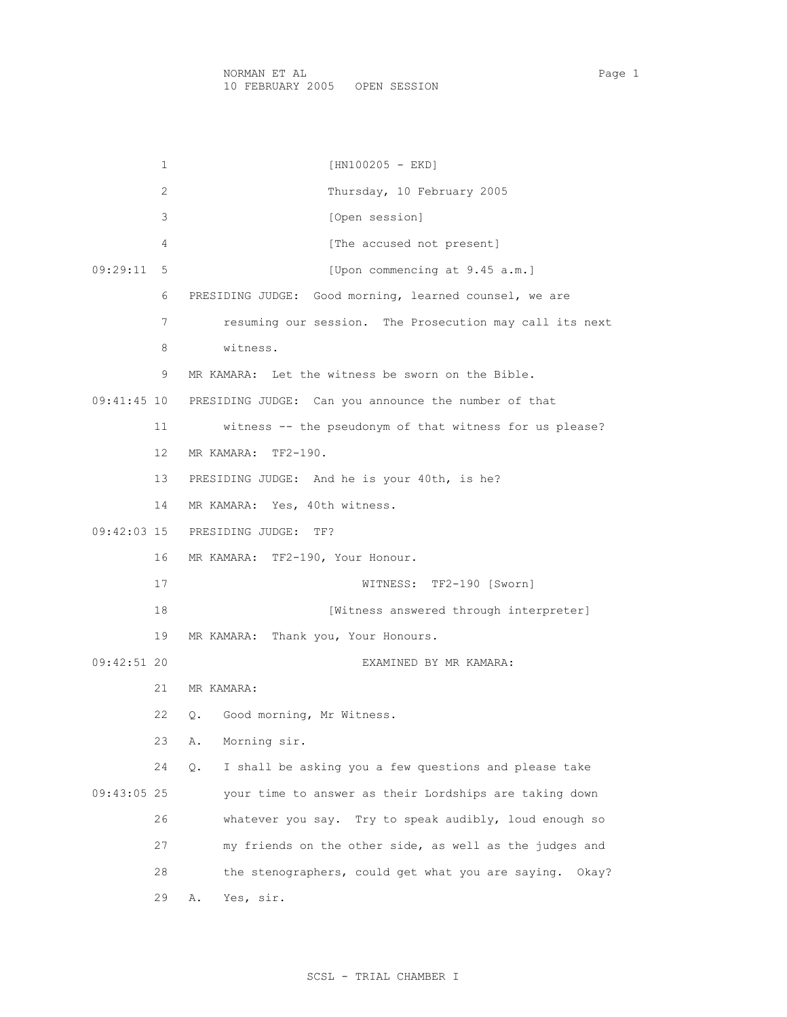1 [HN100205 - EKD] 2 Thursday, 10 February 2005 3 [Open session] 4 [The accused not present] 09:29:11 5 [Upon commencing at 9.45 a.m.] 6 PRESIDING JUDGE: Good morning, learned counsel, we are 7 resuming our session. The Prosecution may call its next 8 witness. 9 MR KAMARA: Let the witness be sworn on the Bible. 09:41:45 10 PRESIDING JUDGE: Can you announce the number of that 11 witness -- the pseudonym of that witness for us please? 12 MR KAMARA: TF2-190. 13 PRESIDING JUDGE: And he is your 40th, is he? 14 MR KAMARA: Yes, 40th witness. 09:42:03 15 PRESIDING JUDGE: TF? 16 MR KAMARA: TF2-190, Your Honour. 17 WITNESS: TF2-190 [Sworn] 18 **Interpreter** [Witness answered through interpreter] 19 MR KAMARA: Thank you, Your Honours. 09:42:51 20 EXAMINED BY MR KAMARA: 21 MR KAMARA: 22 Q. Good morning, Mr Witness. 23 A. Morning sir. 24 Q. I shall be asking you a few questions and please take 09:43:05 25 your time to answer as their Lordships are taking down 26 whatever you say. Try to speak audibly, loud enough so 27 my friends on the other side, as well as the judges and 28 the stenographers, could get what you are saying. Okay? 29 A. Yes, sir.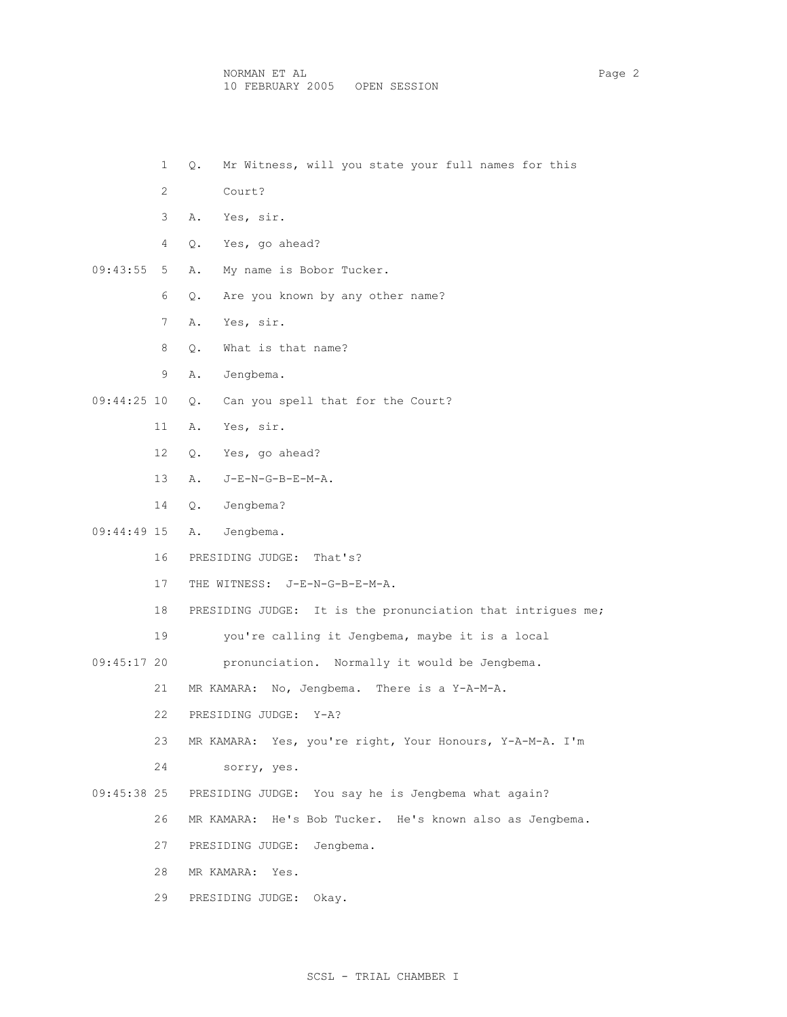- 1 Q. Mr Witness, will you state your full names for this
- 2 Court?
- 3 A. Yes, sir.
- 4 Q. Yes, go ahead?
- 09:43:55 5 A. My name is Bobor Tucker.
	- 6 Q. Are you known by any other name?
	- 7 A. Yes, sir.
	- 8 Q. What is that name?
	- 9 A. Jengbema.
- 09:44:25 10 Q. Can you spell that for the Court?
	- 11 A. Yes, sir.
	- 12 Q. Yes, go ahead?
	- 13 A. J-E-N-G-B-E-M-A.
	- 14 Q. Jengbema?
- 09:44:49 15 A. Jengbema.
	- 16 PRESIDING JUDGE: That's?
	- 17 THE WITNESS: J-E-N-G-B-E-M-A.
	- 18 PRESIDING JUDGE: It is the pronunciation that intrigues me;
	- 19 you're calling it Jengbema, maybe it is a local
- 09:45:17 20 pronunciation. Normally it would be Jengbema.
	- 21 MR KAMARA: No, Jengbema. There is a Y-A-M-A.
	- 22 PRESIDING JUDGE: Y-A?
	- 23 MR KAMARA: Yes, you're right, Your Honours, Y-A-M-A. I'm
	- 24 sorry, yes.
- 09:45:38 25 PRESIDING JUDGE: You say he is Jengbema what again?
	- 26 MR KAMARA: He's Bob Tucker. He's known also as Jengbema.
	- 27 PRESIDING JUDGE: Jengbema.
	- 28 MR KAMARA: Yes.
	- 29 PRESIDING JUDGE: Okay.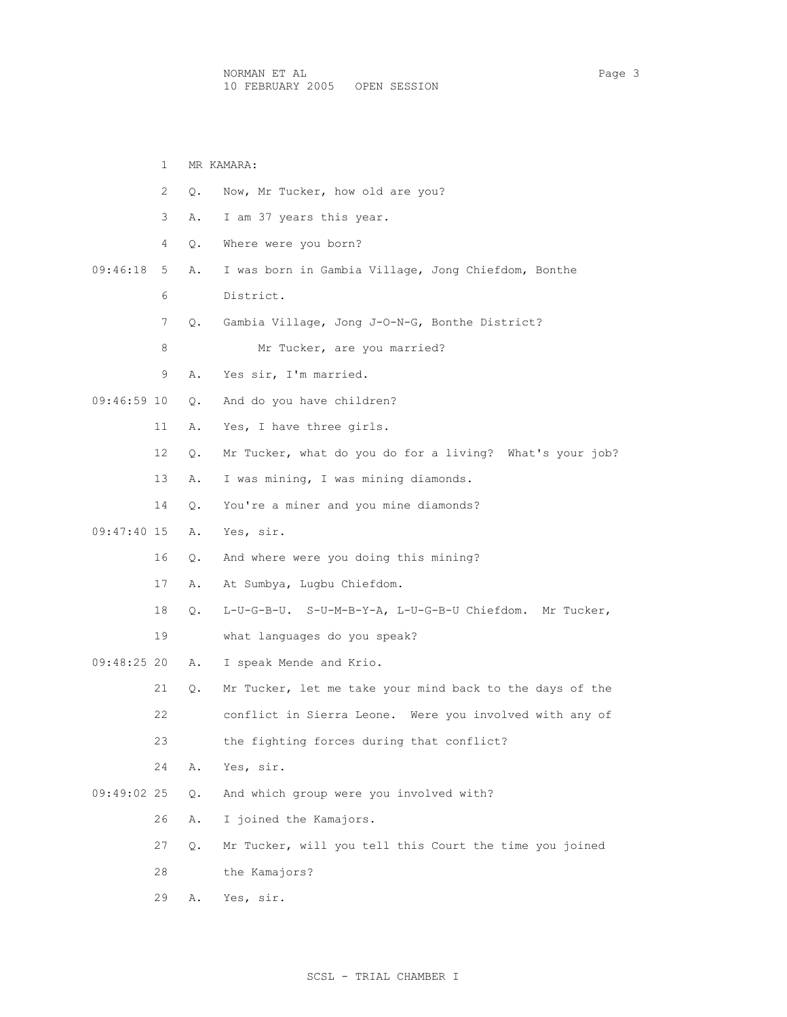1 MR KAMARA: 2 Q. Now, Mr Tucker, how old are you? 3 A. I am 37 years this year. 4 Q. Where were you born? 09:46:18 5 A. I was born in Gambia Village, Jong Chiefdom, Bonthe 6 District. 7 Q. Gambia Village, Jong J-O-N-G, Bonthe District? 8 Mr Tucker, are you married? 9 A. Yes sir, I'm married. 09:46:59 10 Q. And do you have children? 11 A. Yes, I have three girls. 12 Q. Mr Tucker, what do you do for a living? What's your job? 13 A. I was mining, I was mining diamonds. 14 0. You're a miner and you mine diamonds? 09:47:40 15 A. Yes, sir. 16 Q. And where were you doing this mining? 17 A. At Sumbya, Lugbu Chiefdom. 18 Q. L-U-G-B-U. S-U-M-B-Y-A, L-U-G-B-U Chiefdom. Mr Tucker, 19 what languages do you speak? 09:48:25 20 A. I speak Mende and Krio. 21 Q. Mr Tucker, let me take your mind back to the days of the 22 conflict in Sierra Leone. Were you involved with any of 23 the fighting forces during that conflict? 24 A. Yes, sir. 09:49:02 25 Q. And which group were you involved with? 26 A. I joined the Kamajors. 27 Q. Mr Tucker, will you tell this Court the time you joined 28 the Kamajors? 29 A. Yes, sir.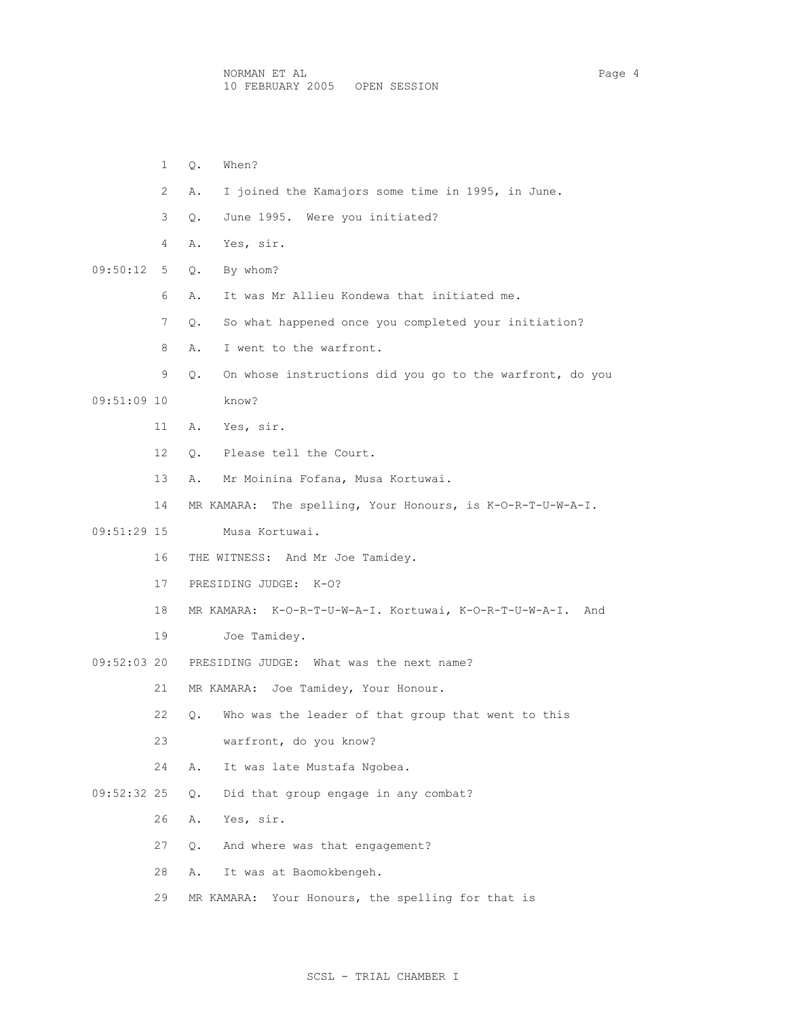|             | $\mathbf{1}$   | When?<br>Q.                                                    |
|-------------|----------------|----------------------------------------------------------------|
|             | $\overline{2}$ | I joined the Kamajors some time in 1995, in June.<br>Α.        |
|             | 3              | June 1995. Were you initiated?<br>О.                           |
|             | 4              | Yes, sir.<br>Α.                                                |
| 09:50:12    | 5              | By whom?<br>Q.                                                 |
|             | 6              | It was Mr Allieu Kondewa that initiated me.<br>Α.              |
|             | 7              | So what happened once you completed your initiation?<br>Q.     |
|             | 8              | I went to the warfront.<br>Α.                                  |
|             | 9              | On whose instructions did you go to the warfront, do you<br>Q. |
| 09:51:09 10 |                | know?                                                          |
|             | 11             | A. Yes, sir.                                                   |
|             | 12             | Q. Please tell the Court.                                      |
|             | 13             | Mr Moinina Fofana, Musa Kortuwai.<br>A.                        |
|             | 14             | MR KAMARA: The spelling, Your Honours, is K-O-R-T-U-W-A-I.     |
| 09:51:29 15 |                | Musa Kortuwai.                                                 |
|             | 16             | THE WITNESS: And Mr Joe Tamidey.                               |
|             | 17             | PRESIDING JUDGE: K-0?                                          |
|             | 18             | MR KAMARA: K-O-R-T-U-W-A-I. Kortuwai, K-O-R-T-U-W-A-I. And     |
|             | 19             | Joe Tamidey.                                                   |
| 09:52:03 20 |                | PRESIDING JUDGE: What was the next name?                       |
|             | 21             | MR KAMARA: Joe Tamidey, Your Honour.                           |
|             | 22             | Q. Who was the leader of that group that went to this          |
|             | 23             | warfront, do you know?                                         |
|             | 24             | It was late Mustafa Ngobea.<br>Α.                              |
| 09:52:32 25 |                | Did that group engage in any combat?<br>Q.                     |
|             | 26             | Yes, sir.<br>Α.                                                |
|             | 27             | And where was that engagement?<br>Q.                           |
|             | 28             | It was at Baomokbengeh.<br>Α.                                  |
|             | 29             | Your Honours, the spelling for that is<br>MR KAMARA:           |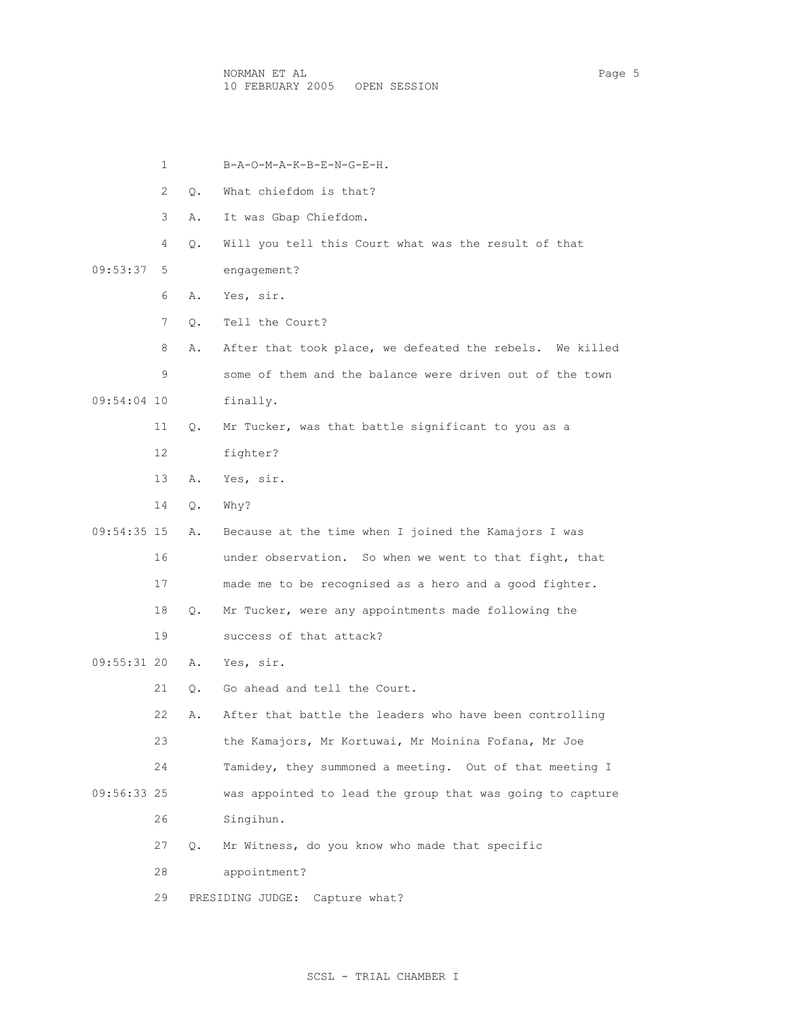NORMAN ET AL Page 5 10 FEBRUARY 2005 OPEN SESSION

 1 B-A-O-M-A-K-B-E-N-G-E-H. 2 Q. What chiefdom is that? 3 A. It was Gbap Chiefdom. 4 Q. Will you tell this Court what was the result of that 09:53:37 5 engagement? 6 A. Yes, sir. 7 Q. Tell the Court? 8 A. After that took place, we defeated the rebels. We killed 9 some of them and the balance were driven out of the town 09:54:04 10 finally. 11 Q. Mr Tucker, was that battle significant to you as a 12 fighter? 13 A. Yes, sir. 14 Q. Why? 09:54:35 15 A. Because at the time when I joined the Kamajors I was 16 under observation. So when we went to that fight, that 17 made me to be recognised as a hero and a good fighter. 18 Q. Mr Tucker, were any appointments made following the 19 success of that attack? 09:55:31 20 A. Yes, sir. 21 Q. Go ahead and tell the Court. 22 A. After that battle the leaders who have been controlling 23 the Kamajors, Mr Kortuwai, Mr Moinina Fofana, Mr Joe 24 Tamidey, they summoned a meeting. Out of that meeting I 09:56:33 25 was appointed to lead the group that was going to capture 26 Singihun. 27 Q. Mr Witness, do you know who made that specific 28 appointment? 29 PRESIDING JUDGE: Capture what?

#### SCSL - TRIAL CHAMBER I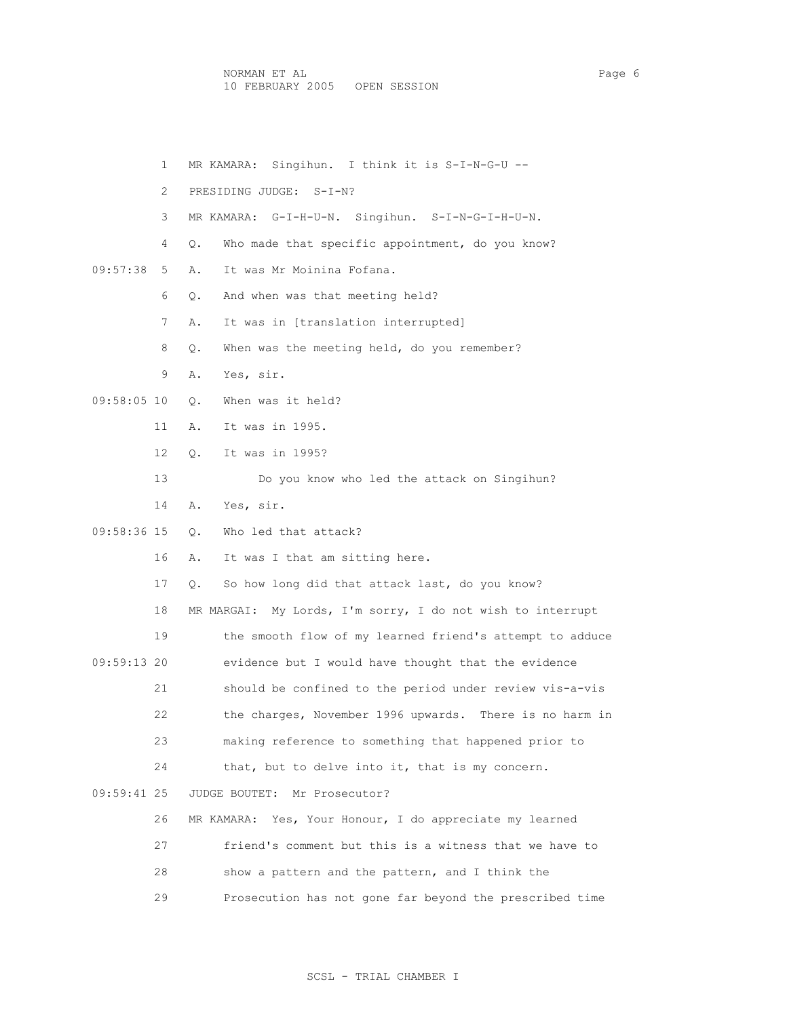NORMAN ET AL Page 6 10 FEBRUARY 2005 OPEN SESSION

 1 MR KAMARA: Singihun. I think it is S-I-N-G-U -- 2 PRESIDING JUDGE: S-I-N? 3 MR KAMARA: G-I-H-U-N. Singihun. S-I-N-G-I-H-U-N. 4 Q. Who made that specific appointment, do you know? 09:57:38 5 A. It was Mr Moinina Fofana. 6 Q. And when was that meeting held? 7 A. It was in [translation interrupted] 8 Q. When was the meeting held, do you remember? 9 A. Yes, sir. 09:58:05 10 Q. When was it held? 11 A. It was in 1995. 12 Q. It was in 1995? 13 Do you know who led the attack on Singihun? 14 A. Yes, sir. 09:58:36 15 Q. Who led that attack? 16 A. It was I that am sitting here. 17 Q. So how long did that attack last, do you know? 18 MR MARGAI: My Lords, I'm sorry, I do not wish to interrupt 19 the smooth flow of my learned friend's attempt to adduce 09:59:13 20 evidence but I would have thought that the evidence 21 should be confined to the period under review vis-a-vis 22 the charges, November 1996 upwards. There is no harm in 23 making reference to something that happened prior to 24 that, but to delve into it, that is my concern. 09:59:41 25 JUDGE BOUTET: Mr Prosecutor? 26 MR KAMARA: Yes, Your Honour, I do appreciate my learned 27 friend's comment but this is a witness that we have to 28 show a pattern and the pattern, and I think the 29 Prosecution has not gone far beyond the prescribed time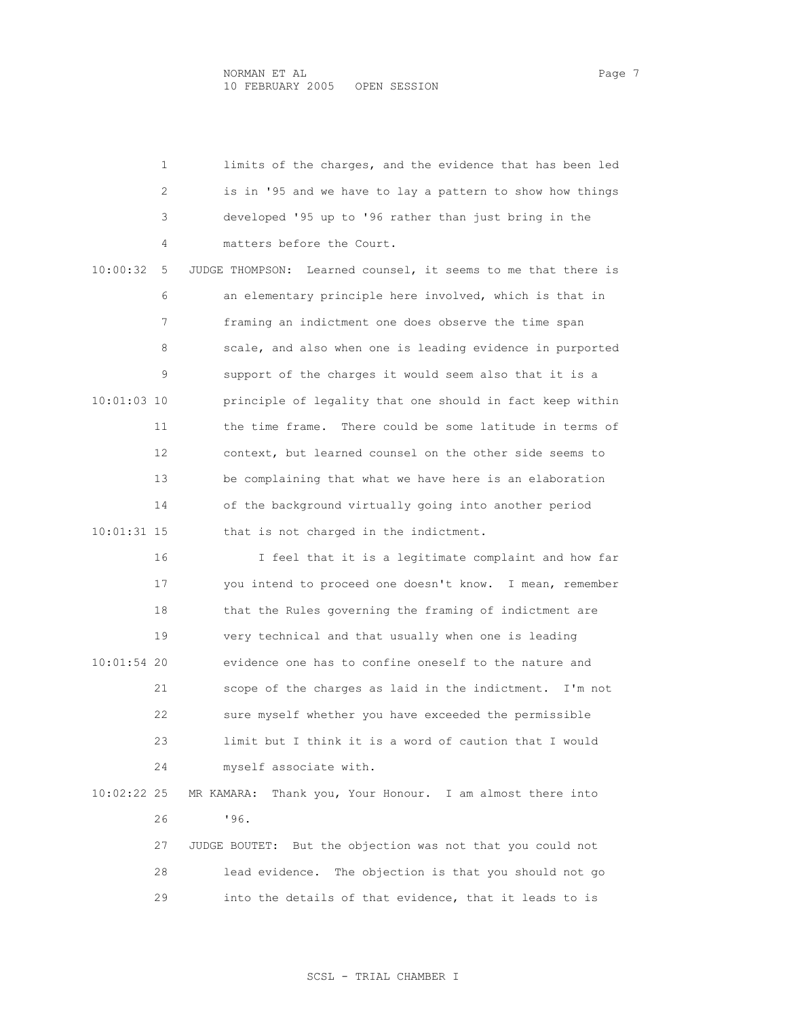|               | 1  | limits of the charges, and the evidence that has been led        |
|---------------|----|------------------------------------------------------------------|
|               | 2  | is in '95 and we have to lay a pattern to show how things        |
|               | 3  | developed '95 up to '96 rather than just bring in the            |
|               | 4  | matters before the Court.                                        |
| 10:00:32      | 5  | Learned counsel, it seems to me that there is<br>JUDGE THOMPSON: |
|               | 6  | an elementary principle here involved, which is that in          |
|               | 7  | framing an indictment one does observe the time span             |
|               | 8  | scale, and also when one is leading evidence in purported        |
|               | 9  | support of the charges it would seem also that it is a           |
| 10:01:03 10   |    | principle of legality that one should in fact keep within        |
|               | 11 | the time frame. There could be some latitude in terms of         |
|               | 12 | context, but learned counsel on the other side seems to          |
|               | 13 | be complaining that what we have here is an elaboration          |
|               | 14 | of the background virtually going into another period            |
| $10:01:31$ 15 |    | that is not charged in the indictment.                           |
|               | 16 | I feel that it is a legitimate complaint and how far             |
|               | 17 | you intend to proceed one doesn't know. I mean, remember         |
|               | 18 | that the Rules governing the framing of indictment are           |
|               | 19 | very technical and that usually when one is leading              |
| 10:01:54 20   |    | evidence one has to confine oneself to the nature and            |
|               | 21 | scope of the charges as laid in the indictment. I'm not          |
|               | 22 | sure myself whether you have exceeded the permissible            |
|               | 23 | limit but I think it is a word of caution that I would           |
|               | 24 | myself associate with.                                           |
| 10:02:22 25   |    | MR KAMARA:<br>Thank you, Your Honour. I am almost there into     |
|               | 26 | '96.                                                             |
|               | 27 | But the objection was not that you could not<br>JUDGE BOUTET:    |
|               | 28 | lead evidence.<br>The objection is that you should not go        |
|               | 29 | into the details of that evidence, that it leads to is           |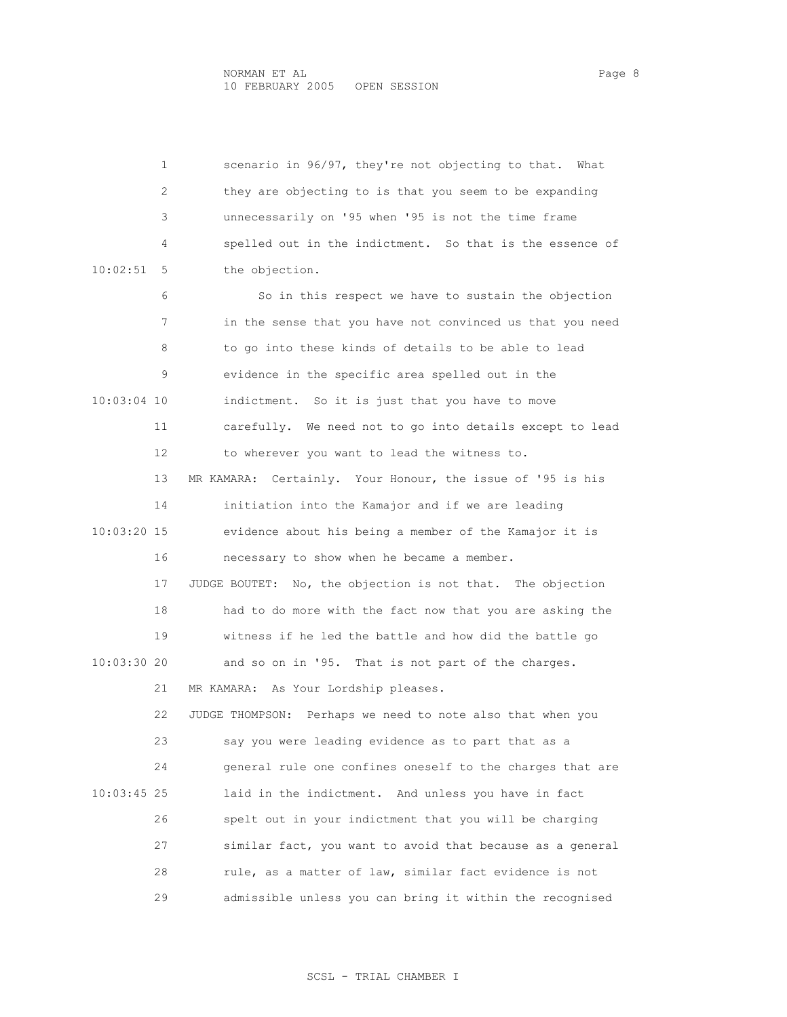1 scenario in 96/97, they're not objecting to that. What 2 they are objecting to is that you seem to be expanding 3 unnecessarily on '95 when '95 is not the time frame 4 spelled out in the indictment. So that is the essence of 10:02:51 5 the objection. 6 So in this respect we have to sustain the objection 7 in the sense that you have not convinced us that you need 8 to go into these kinds of details to be able to lead 9 evidence in the specific area spelled out in the 10:03:04 10 indictment. So it is just that you have to move 11 carefully. We need not to go into details except to lead 12 to wherever you want to lead the witness to. 13 MR KAMARA: Certainly. Your Honour, the issue of '95 is his 14 initiation into the Kamajor and if we are leading 10:03:20 15 evidence about his being a member of the Kamajor it is 16 necessary to show when he became a member. 17 JUDGE BOUTET: No, the objection is not that. The objection 18 had to do more with the fact now that you are asking the 19 witness if he led the battle and how did the battle go 10:03:30 20 and so on in '95. That is not part of the charges. 21 MR KAMARA: As Your Lordship pleases. 22 JUDGE THOMPSON: Perhaps we need to note also that when you 23 say you were leading evidence as to part that as a 24 general rule one confines oneself to the charges that are 10:03:45 25 laid in the indictment. And unless you have in fact 26 spelt out in your indictment that you will be charging 27 similar fact, you want to avoid that because as a general 28 rule, as a matter of law, similar fact evidence is not 29 admissible unless you can bring it within the recognised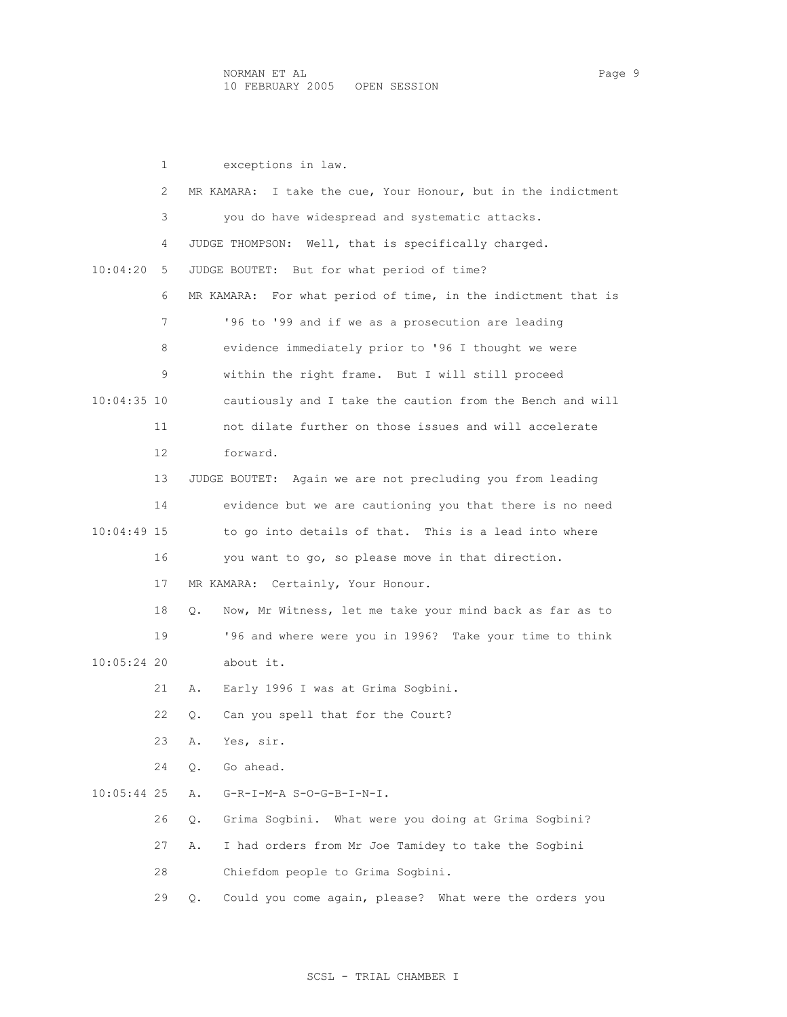1 exceptions in law. 2 MR KAMARA: I take the cue, Your Honour, but in the indictment 3 you do have widespread and systematic attacks. 4 JUDGE THOMPSON: Well, that is specifically charged. 10:04:20 5 JUDGE BOUTET: But for what period of time? 6 MR KAMARA: For what period of time, in the indictment that is 7 **'96 to '99 and if we as a prosecution are leading**  8 evidence immediately prior to '96 I thought we were 9 within the right frame. But I will still proceed 10:04:35 10 cautiously and I take the caution from the Bench and will 11 not dilate further on those issues and will accelerate 12 forward. 13 JUDGE BOUTET: Again we are not precluding you from leading 14 evidence but we are cautioning you that there is no need 10:04:49 15 to go into details of that. This is a lead into where 16 you want to go, so please move in that direction. 17 MR KAMARA: Certainly, Your Honour. 18 Q. Now, Mr Witness, let me take your mind back as far as to 19 '96 and where were you in 1996? Take your time to think 10:05:24 20 about it. 21 A. Early 1996 I was at Grima Sogbini. 22 Q. Can you spell that for the Court? 23 A. Yes, sir. 24 Q. Go ahead. 10:05:44 25 A. G-R-I-M-A S-O-G-B-I-N-I. 26 Q. Grima Sogbini. What were you doing at Grima Sogbini? 27 A. I had orders from Mr Joe Tamidey to take the Sogbini 28 Chiefdom people to Grima Sogbini. 29 Q. Could you come again, please? What were the orders you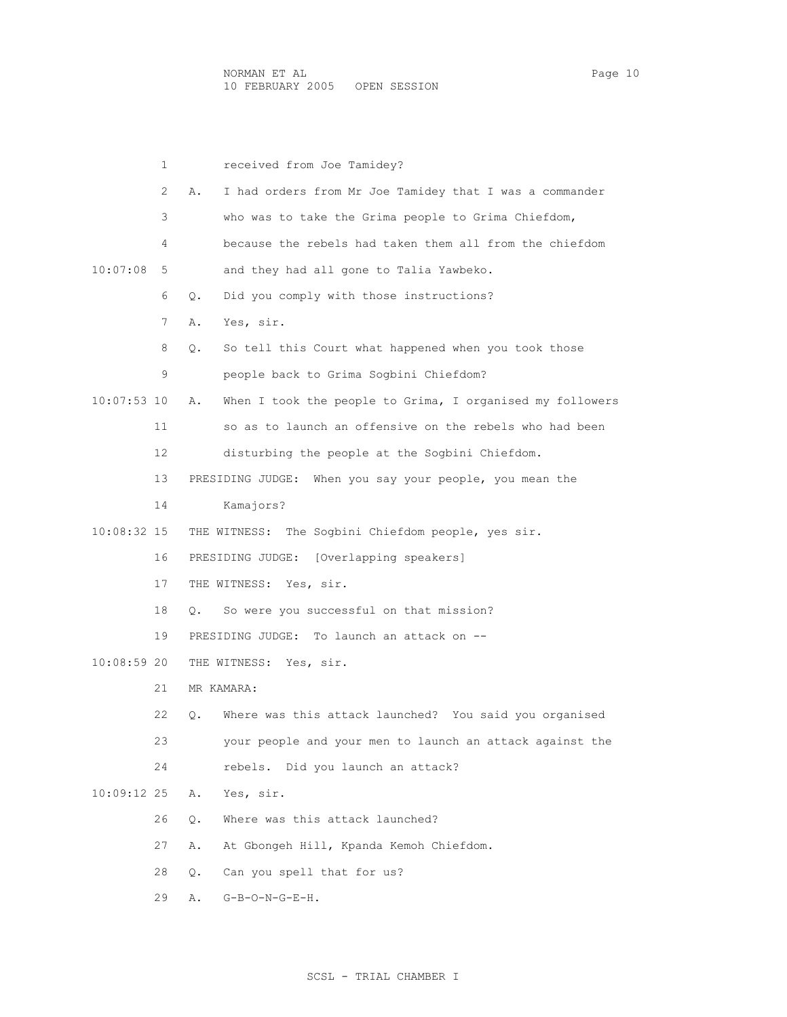|             | 1  | received from Joe Tamidey?                                        |
|-------------|----|-------------------------------------------------------------------|
|             | 2  | I had orders from Mr Joe Tamidey that I was a commander<br>Α.     |
|             | 3  | who was to take the Grima people to Grima Chiefdom,               |
|             | 4  | because the rebels had taken them all from the chiefdom           |
| 10:07:08    | 5  | and they had all gone to Talia Yawbeko.                           |
|             | 6  | Did you comply with those instructions?<br>Q.                     |
|             | 7  | Yes, sir.<br>Α.                                                   |
|             | 8  | So tell this Court what happened when you took those<br>$\circ$ . |
|             | 9  | people back to Grima Sogbini Chiefdom?                            |
| 10:07:53 10 |    | When I took the people to Grima, I organised my followers<br>Α.   |
|             | 11 | so as to launch an offensive on the rebels who had been           |
|             | 12 | disturbing the people at the Sogbini Chiefdom.                    |
|             | 13 | PRESIDING JUDGE: When you say your people, you mean the           |
|             | 14 | Kamajors?                                                         |
| 10:08:32 15 |    | THE WITNESS: The Sogbini Chiefdom people, yes sir.                |
|             | 16 | [Overlapping speakers]<br>PRESIDING JUDGE:                        |
|             | 17 | THE WITNESS: Yes, sir.                                            |
|             | 18 | So were you successful on that mission?<br>О.                     |
|             | 19 | PRESIDING JUDGE: To launch an attack on --                        |
| 10:08:59 20 |    | THE WITNESS: Yes, sir.                                            |
|             | 21 | MR KAMARA:                                                        |
|             | 22 | Where was this attack launched? You said you organised            |
|             | 23 | your people and your men to launch an attack against the          |
|             | 24 | rebels. Did you launch an attack?                                 |
| 10:09:12 25 |    | Yes, sir.<br>Α.                                                   |
|             | 26 | Where was this attack launched?<br>Q.                             |
|             | 27 | At Gbongeh Hill, Kpanda Kemoh Chiefdom.<br>Α.                     |

28 Q. Can you spell that for us?

29 A. G-B-O-N-G-E-H.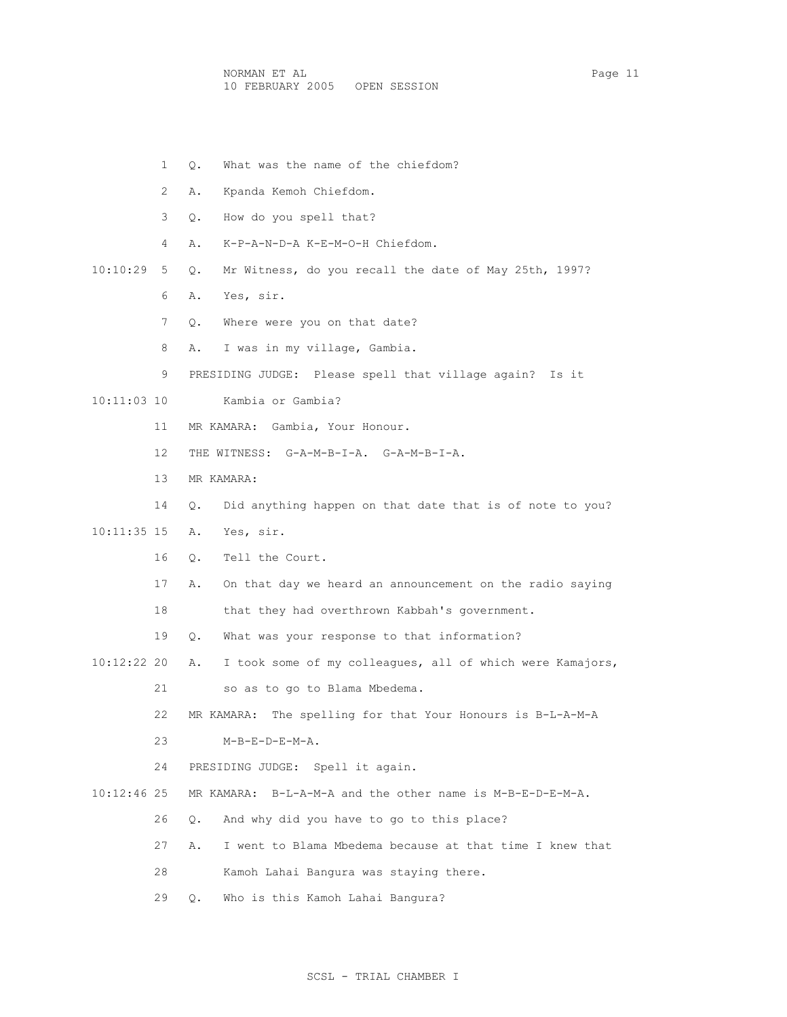NORMAN ET AL Page 11 10 FEBRUARY 2005 OPEN SESSION

- 1 Q. What was the name of the chiefdom?
- 2 A. Kpanda Kemoh Chiefdom.
- 3 Q. How do you spell that?
- 4 A. K-P-A-N-D-A K-E-M-O-H Chiefdom.

10:10:29 5 Q. Mr Witness, do you recall the date of May 25th, 1997?

- 6 A. Yes, sir.
- 7 Q. Where were you on that date?
- 8 A. I was in my village, Gambia.

9 PRESIDING JUDGE: Please spell that village again? Is it

- 10:11:03 10 Kambia or Gambia?
	- 11 MR KAMARA: Gambia, Your Honour.
	- 12 THE WITNESS: G-A-M-B-I-A. G-A-M-B-I-A.
	- 13 MR KAMARA:
	- 14 Q. Did anything happen on that date that is of note to you?
- 10:11:35 15 A. Yes, sir.
	- 16 Q. Tell the Court.
	- 17 A. On that day we heard an announcement on the radio saying
	- 18 that they had overthrown Kabbah's government.
	- 19 Q. What was your response to that information?
- 10:12:22 20 A. I took some of my colleagues, all of which were Kamajors, 21 so as to go to Blama Mbedema.
	- 22 MR KAMARA: The spelling for that Your Honours is B-L-A-M-A
	- 23 M-B-E-D-E-M-A.
	- 24 PRESIDING JUDGE: Spell it again.
- 10:12:46 25 MR KAMARA: B-L-A-M-A and the other name is M-B-E-D-E-M-A.
	- 26 Q. And why did you have to go to this place?
	- 27 A. I went to Blama Mbedema because at that time I knew that
	- 28 Kamoh Lahai Bangura was staying there.
	- 29 Q. Who is this Kamoh Lahai Bangura?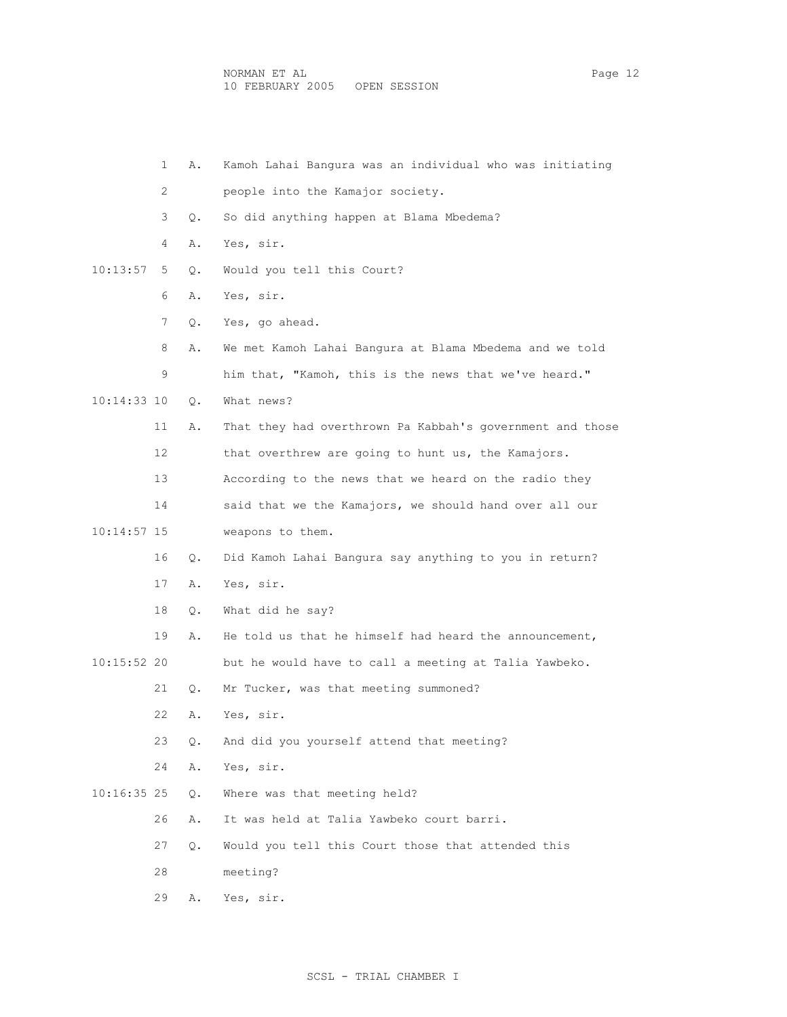|               | 1  | Α. | Kamoh Lahai Bangura was an individual who was initiating  |
|---------------|----|----|-----------------------------------------------------------|
|               | 2  |    | people into the Kamajor society.                          |
|               | 3  | Q. | So did anything happen at Blama Mbedema?                  |
|               | 4  | Α. | Yes, sir.                                                 |
| 10:13:57      | 5  | О. | Would you tell this Court?                                |
|               | 6  | Α. | Yes, sir.                                                 |
|               | 7  | Q. | Yes, go ahead.                                            |
|               | 8  | Α. | We met Kamoh Lahai Bangura at Blama Mbedema and we told   |
|               | 9  |    | him that, "Kamoh, this is the news that we've heard."     |
| 10:14:33 10   |    | Q. | What news?                                                |
|               | 11 | Α. | That they had overthrown Pa Kabbah's government and those |
|               | 12 |    | that overthrew are going to hunt us, the Kamajors.        |
|               | 13 |    | According to the news that we heard on the radio they     |
|               | 14 |    | said that we the Kamajors, we should hand over all our    |
| $10:14:57$ 15 |    |    | weapons to them.                                          |
|               | 16 | Q. | Did Kamoh Lahai Bangura say anything to you in return?    |
|               | 17 | Α. | Yes, sir.                                                 |
|               | 18 | Q. | What did he say?                                          |
|               | 19 | Α. | He told us that he himself had heard the announcement,    |
| 10:15:52 20   |    |    | but he would have to call a meeting at Talia Yawbeko.     |
|               | 21 | Q. | Mr Tucker, was that meeting summoned?                     |
|               | 22 | Α. | Yes, sir.                                                 |
|               | 23 | Q. | And did you yourself attend that meeting?                 |
|               | 24 | Α. | Yes, sir.                                                 |
| $10:16:35$ 25 |    | Q. | Where was that meeting held?                              |
|               | 26 | Α. | It was held at Talia Yawbeko court barri.                 |
|               | 27 | Q. | Would you tell this Court those that attended this        |
|               | 28 |    | meeting?                                                  |
|               | 29 | Α. | Yes, sir.                                                 |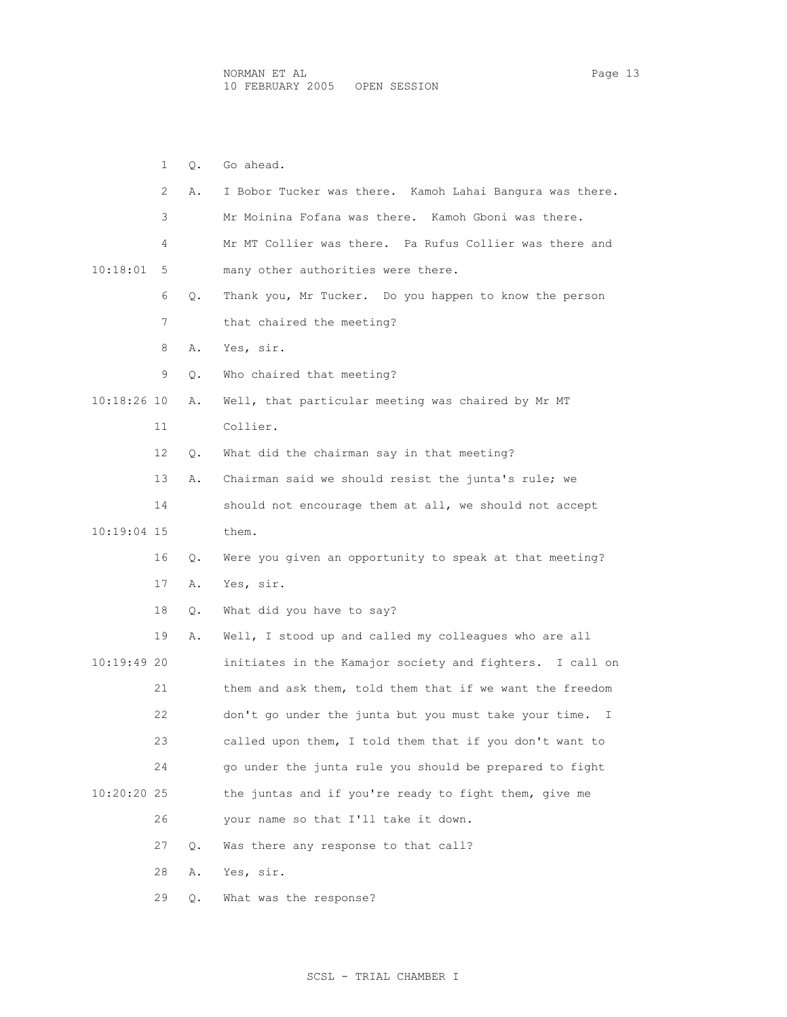1 Q. Go ahead. 2 A. I Bobor Tucker was there. Kamoh Lahai Bangura was there. 3 Mr Moinina Fofana was there. Kamoh Gboni was there. 4 Mr MT Collier was there. Pa Rufus Collier was there and 10:18:01 5 many other authorities were there. 6 Q. Thank you, Mr Tucker. Do you happen to know the person 7 that chaired the meeting? 8 A. Yes, sir. 9 Q. Who chaired that meeting? 11 Collier. 12 Q. What did the chairman say in that meeting? 13 A. Chairman said we should resist the junta's rule; we 14 should not encourage them at all, we should not accept 16 Q. Were you given an opportunity to speak at that meeting? 17 A. Yes, sir. 18 Q. What did you have to say? 19 A. Well, I stood up and called my colleagues who are all 10:19:49 20 initiates in the Kamajor society and fighters. I call on 21 them and ask them, told them that if we want the freedom 22 don't go under the junta but you must take your time. I 23 called upon them, I told them that if you don't want to 24 go under the junta rule you should be prepared to fight 10:20:20 25 the juntas and if you're ready to fight them, give me 26 your name so that I'll take it down.

27 Q. Was there any response to that call?

28 A. Yes, sir.

29 Q. What was the response?

- 
- 10:18:26 10 A. Well, that particular meeting was chaired by Mr MT

10:19:04 15 them.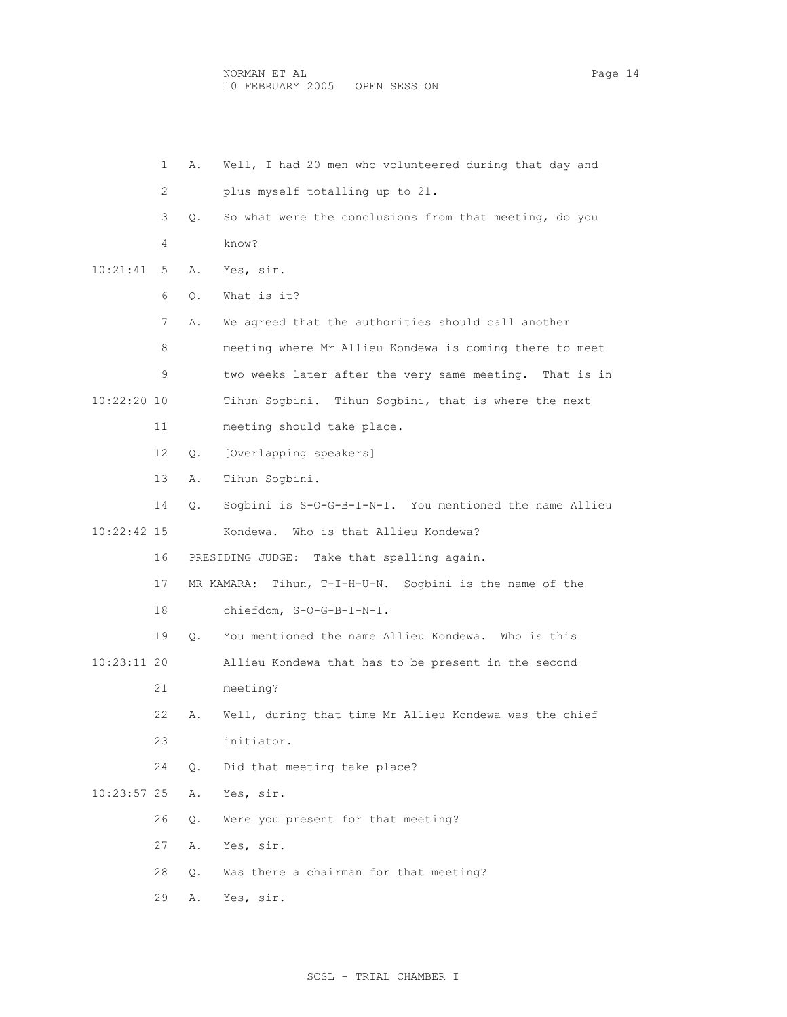|               | $\mathbf{1}$ | Α.        | Well, I had 20 men who volunteered during that day and  |
|---------------|--------------|-----------|---------------------------------------------------------|
|               | 2            |           | plus myself totalling up to 21.                         |
|               | 3            | Q.        | So what were the conclusions from that meeting, do you  |
|               | 4            |           | know?                                                   |
| 10:21:41      | 5.           | Α.        | Yes, sir.                                               |
|               | 6            | Q.        | What is it?                                             |
|               | 7            | Α.        | We agreed that the authorities should call another      |
|               | 8            |           | meeting where Mr Allieu Kondewa is coming there to meet |
|               | 9            |           | two weeks later after the very same meeting. That is in |
| 10:22:20 10   |              |           | Tihun Sogbini. Tihun Sogbini, that is where the next    |
|               | 11           |           | meeting should take place.                              |
|               | 12           | Q.        | [Overlapping speakers]                                  |
|               | 13           | Α.        | Tihun Sogbini.                                          |
|               | 14           | Q.        | Sogbini is S-O-G-B-I-N-I. You mentioned the name Allieu |
| 10:22:42 15   |              |           | Kondewa. Who is that Allieu Kondewa?                    |
|               | 16           |           | PRESIDING JUDGE: Take that spelling again.              |
|               | 17           |           | MR KAMARA: Tihun, T-I-H-U-N. Sogbini is the name of the |
|               | 18           |           | chiefdom, S-O-G-B-I-N-I.                                |
|               | 19           | $\circ$ . | You mentioned the name Allieu Kondewa. Who is this      |
| 10:23:11 20   |              |           | Allieu Kondewa that has to be present in the second     |
|               | 21           |           | meeting?                                                |
|               | 22           | Α.        | Well, during that time Mr Allieu Kondewa was the chief  |
|               | 23           |           | initiator.                                              |
|               | 24           | О.        | Did that meeting take place?                            |
| $10:23:57$ 25 |              | Α.        | Yes, sir.                                               |
|               | 26           | Q.        | Were you present for that meeting?                      |
|               | 27           | Α.        | Yes, sir.                                               |
|               | 28           | Q.        | Was there a chairman for that meeting?                  |
|               | 29           | Α.        | Yes, sir.                                               |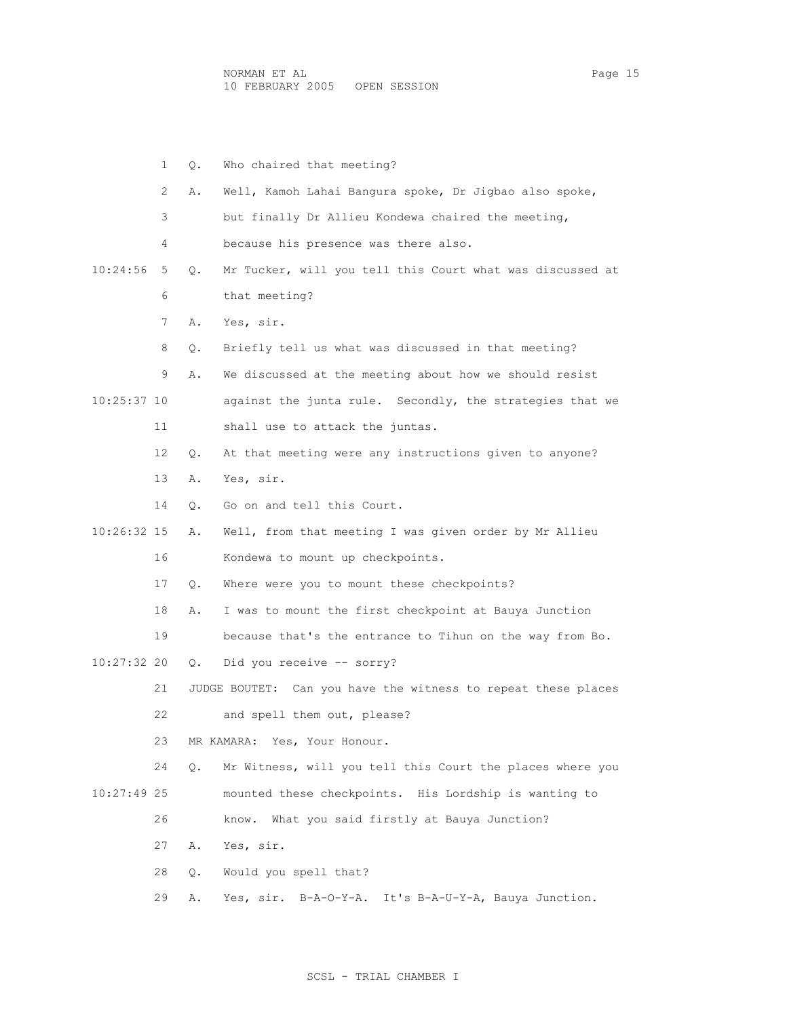|             | $\mathbf{1}$ | Q.        | Who chaired that meeting?                                     |
|-------------|--------------|-----------|---------------------------------------------------------------|
|             | 2            | Α.        | Well, Kamoh Lahai Bangura spoke, Dr Jigbao also spoke,        |
|             | 3            |           | but finally Dr Allieu Kondewa chaired the meeting,            |
|             | 4            |           | because his presence was there also.                          |
| 10:24:56    | 5            | $\circ$ . | Mr Tucker, will you tell this Court what was discussed at     |
|             | 6            |           | that meeting?                                                 |
|             | 7            | Α.        | Yes, sir.                                                     |
|             | 8            | Q.        | Briefly tell us what was discussed in that meeting?           |
|             | 9            | Α.        | We discussed at the meeting about how we should resist        |
| 10:25:37 10 |              |           | against the junta rule. Secondly, the strategies that we      |
|             | 11           |           | shall use to attack the juntas.                               |
|             | 12           | Q.        | At that meeting were any instructions given to anyone?        |
|             | 13           | Α.        | Yes, sir.                                                     |
|             | 14           | $\circ$ . | Go on and tell this Court.                                    |
| 10:26:32 15 |              | Α.        | Well, from that meeting I was given order by Mr Allieu        |
|             | 16           |           | Kondewa to mount up checkpoints.                              |
|             | 17           | О.        | Where were you to mount these checkpoints?                    |
|             | 18           | Α.        | I was to mount the first checkpoint at Bauya Junction         |
|             | 19           |           | because that's the entrance to Tihun on the way from Bo.      |
| 10:27:32 20 |              | $\circ$ . | Did you receive -- sorry?                                     |
|             | 21           |           | JUDGE BOUTET: Can you have the witness to repeat these places |
|             | 22           |           | and spell them out, please?                                   |
|             | 23           |           | MR KAMARA: Yes, Your Honour.                                  |
|             | 24           | Q.        | Mr Witness, will you tell this Court the places where you     |
| 10:27:49 25 |              |           | mounted these checkpoints. His Lordship is wanting to         |
|             | 26           |           | What you said firstly at Bauya Junction?<br>know.             |
|             | 27           | Α.        | Yes, sir.                                                     |
|             | 28           | Q.        | Would you spell that?                                         |
|             | 29           | Α.        | Yes, sir.<br>B-A-O-Y-A. It's B-A-U-Y-A, Bauya Junction.       |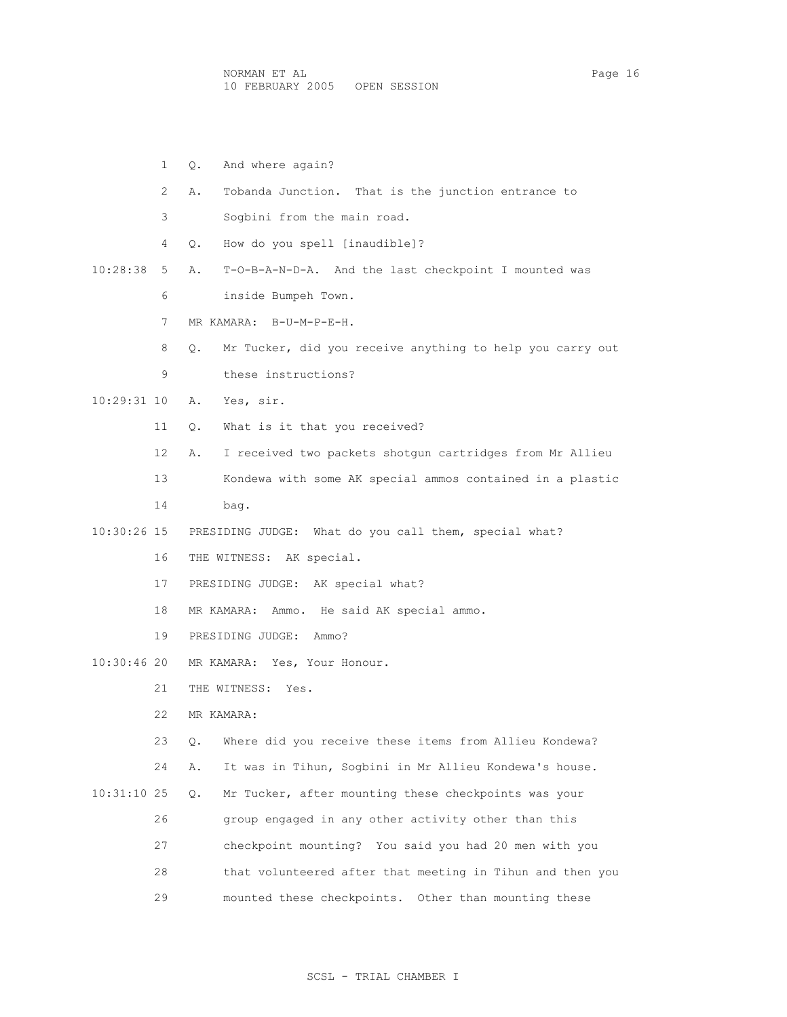NORMAN ET AL Page 16 10 FEBRUARY 2005 OPEN SESSION

|              | 1              | And where again?<br>Q.                                          |
|--------------|----------------|-----------------------------------------------------------------|
|              | $\mathfrak{L}$ | Tobanda Junction. That is the junction entrance to<br>Α.        |
|              | 3              | Sogbini from the main road.                                     |
|              | 4              | How do you spell [inaudible]?<br>Q.                             |
| $10:28:38$ 5 |                | Α.<br>T-O-B-A-N-D-A. And the last checkpoint I mounted was      |
|              | 6              | inside Bumpeh Town.                                             |
|              | 7              | MR KAMARA: B-U-M-P-E-H.                                         |
|              | 8              | Mr Tucker, did you receive anything to help you carry out<br>Q. |
|              | 9              | these instructions?                                             |
| 10:29:31 10  |                | Α.<br>Yes, sir.                                                 |
|              | 11             | What is it that you received?<br>Q.                             |
|              | 12             | I received two packets shotgun cartridges from Mr Allieu<br>Α.  |
|              | 13             | Kondewa with some AK special ammos contained in a plastic       |
|              | 14             | bag.                                                            |
| 10:30:26 15  |                | PRESIDING JUDGE: What do you call them, special what?           |
|              | 16             | THE WITNESS: AK special.                                        |
|              | 17             | PRESIDING JUDGE: AK special what?                               |
|              | 18             | MR KAMARA: Ammo. He said AK special ammo.                       |
|              | 19             | PRESIDING JUDGE: Ammo?                                          |
| 10:30:46 20  |                | MR KAMARA: Yes, Your Honour.                                    |
|              | 21             | THE WITNESS: Yes.                                               |
|              | 22             | MR KAMARA:                                                      |
|              | 23             | Where did you receive these items from Allieu Kondewa?<br>Q.    |
|              | 24             | It was in Tihun, Sogbini in Mr Allieu Kondewa's house.<br>Α.    |
| 10:31:10 25  |                | Mr Tucker, after mounting these checkpoints was your<br>Q.      |
|              | 26             | group engaged in any other activity other than this             |
|              | 27             | checkpoint mounting? You said you had 20 men with you           |
|              | 28             | that volunteered after that meeting in Tihun and then you       |
|              | 29             | mounted these checkpoints. Other than mounting these            |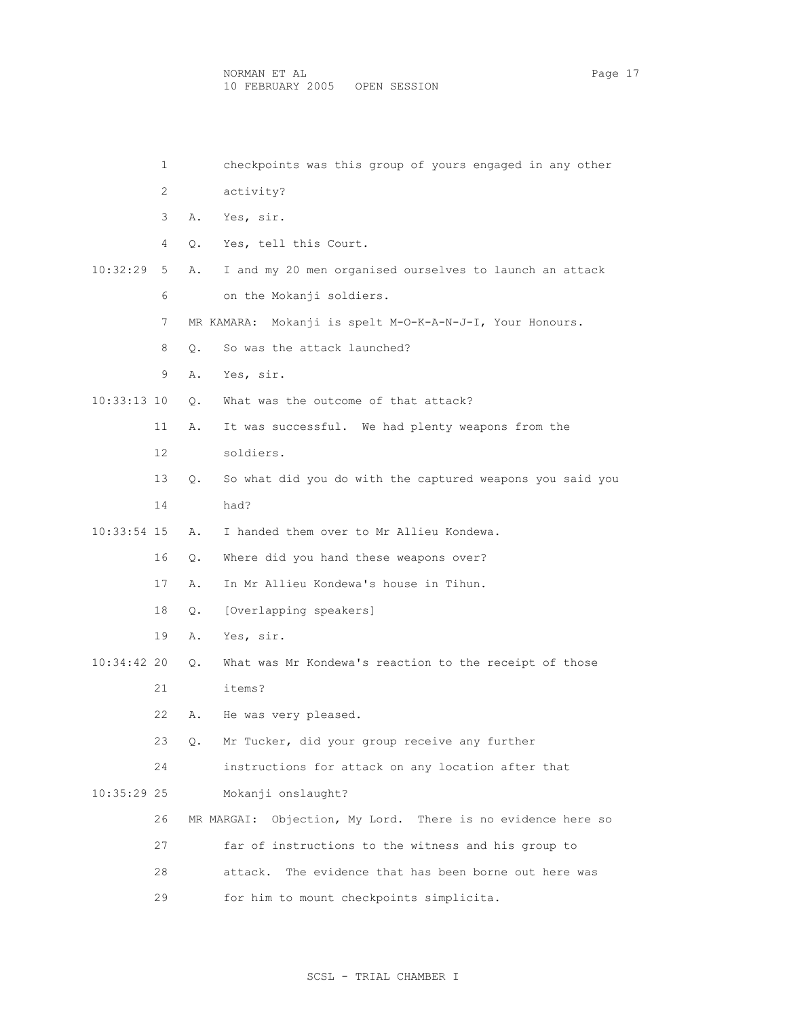|             | 1  |    | checkpoints was this group of yours engaged in any other    |
|-------------|----|----|-------------------------------------------------------------|
|             | 2  |    | activity?                                                   |
|             | 3  | Α. | Yes, sir.                                                   |
|             | 4  | О. | Yes, tell this Court.                                       |
| 10:32:29    | 5  | Α. | I and my 20 men organised ourselves to launch an attack     |
|             | 6  |    | on the Mokanji soldiers.                                    |
|             | 7  |    | Mokanji is spelt M-O-K-A-N-J-I, Your Honours.<br>MR KAMARA: |
|             | 8  | О. | So was the attack launched?                                 |
|             | 9  | Α. | Yes, sir.                                                   |
| 10:33:13 10 |    | О. | What was the outcome of that attack?                        |
|             | 11 | Α. | It was successful. We had plenty weapons from the           |
|             | 12 |    | soldiers.                                                   |
|             | 13 | Q. | So what did you do with the captured weapons you said you   |
|             | 14 |    | had?                                                        |
| 10:33:54 15 |    | Α. | I handed them over to Mr Allieu Kondewa.                    |
|             | 16 | Q. | Where did you hand these weapons over?                      |
|             | 17 | Α. | In Mr Allieu Kondewa's house in Tihun.                      |
|             | 18 | Q. | [Overlapping speakers]                                      |
|             | 19 | Α. | Yes, sir.                                                   |
| 10:34:42 20 |    | О. | What was Mr Kondewa's reaction to the receipt of those      |
|             | 21 |    | items?                                                      |
|             | 22 | Α. | He was very pleased.                                        |
|             | 23 | Q. | Mr Tucker, did your group receive any further               |
|             | 24 |    | instructions for attack on any location after that          |
| 10:35:29 25 |    |    | Mokanji onslaught?                                          |
|             | 26 |    | MR MARGAI: Objection, My Lord. There is no evidence here so |
|             | 27 |    | far of instructions to the witness and his group to         |
|             | 28 |    | The evidence that has been borne out here was<br>attack.    |
|             | 29 |    | for him to mount checkpoints simplicita.                    |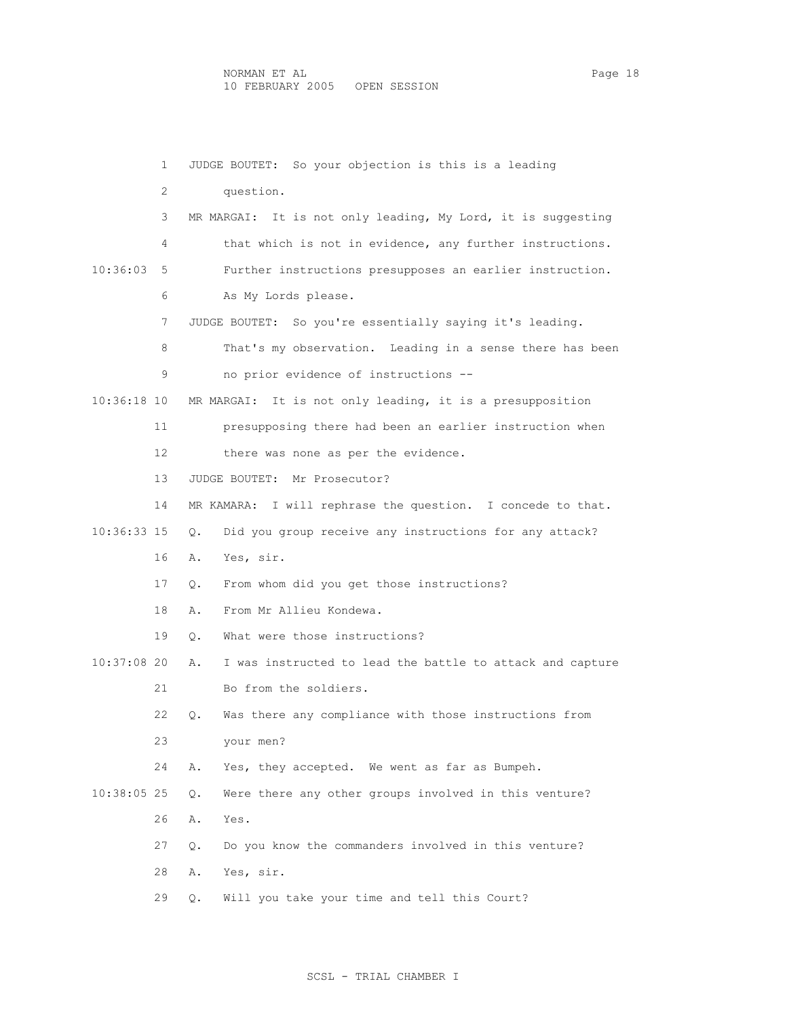1 JUDGE BOUTET: So your objection is this is a leading 2 question. 3 MR MARGAI: It is not only leading, My Lord, it is suggesting 4 that which is not in evidence, any further instructions. 10:36:03 5 Further instructions presupposes an earlier instruction. 6 As My Lords please. 7 JUDGE BOUTET: So you're essentially saying it's leading. 8 That's my observation. Leading in a sense there has been 9 no prior evidence of instructions -- 10:36:18 10 MR MARGAI: It is not only leading, it is a presupposition 11 presupposing there had been an earlier instruction when 12 there was none as per the evidence. 13 JUDGE BOUTET: Mr Prosecutor? 14 MR KAMARA: I will rephrase the question. I concede to that. 10:36:33 15 Q. Did you group receive any instructions for any attack? 16 A. Yes, sir. 17 Q. From whom did you get those instructions? 18 A. From Mr Allieu Kondewa. 19 Q. What were those instructions? 10:37:08 20 A. I was instructed to lead the battle to attack and capture 21 Bo from the soldiers. 22 Q. Was there any compliance with those instructions from 23 your men? 24 A. Yes, they accepted. We went as far as Bumpeh. 10:38:05 25 Q. Were there any other groups involved in this venture? 26 A. Yes. 27 Q. Do you know the commanders involved in this venture? 28 A. Yes, sir. 29 Q. Will you take your time and tell this Court?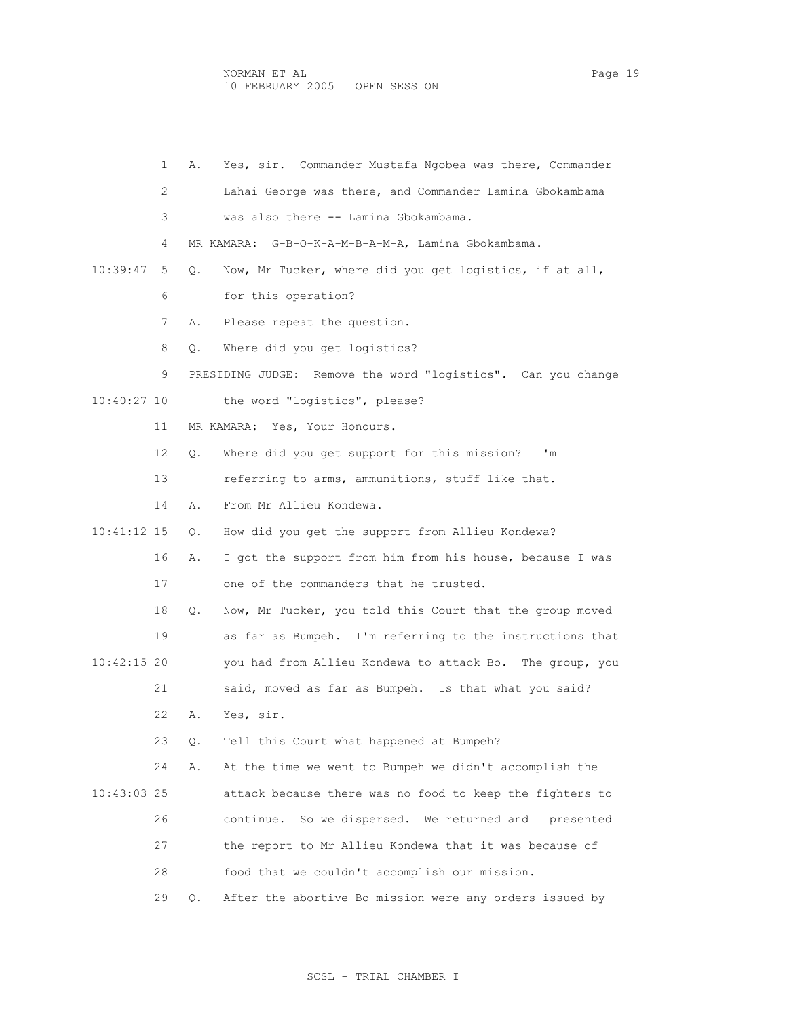1 A. Yes, sir. Commander Mustafa Ngobea was there, Commander 2 Lahai George was there, and Commander Lamina Gbokambama 3 was also there -- Lamina Gbokambama. 4 MR KAMARA: G-B-O-K-A-M-B-A-M-A, Lamina Gbokambama. 10:39:47 5 Q. Now, Mr Tucker, where did you get logistics, if at all, 6 for this operation? 7 A. Please repeat the question. 8 Q. Where did you get logistics? 9 PRESIDING JUDGE: Remove the word "logistics". Can you change 10:40:27 10 the word "logistics", please? 11 MR KAMARA: Yes, Your Honours. 12 Q. Where did you get support for this mission? I'm 13 referring to arms, ammunitions, stuff like that. 14 A. From Mr Allieu Kondewa. 10:41:12 15 Q. How did you get the support from Allieu Kondewa? 16 A. I got the support from him from his house, because I was 17 one of the commanders that he trusted. 18 Q. Now, Mr Tucker, you told this Court that the group moved 19 as far as Bumpeh. I'm referring to the instructions that 10:42:15 20 you had from Allieu Kondewa to attack Bo. The group, you 21 said, moved as far as Bumpeh. Is that what you said? 22 A. Yes, sir. 23 Q. Tell this Court what happened at Bumpeh? 24 A. At the time we went to Bumpeh we didn't accomplish the 10:43:03 25 attack because there was no food to keep the fighters to 26 continue. So we dispersed. We returned and I presented 27 the report to Mr Allieu Kondewa that it was because of 28 food that we couldn't accomplish our mission. 29 Q. After the abortive Bo mission were any orders issued by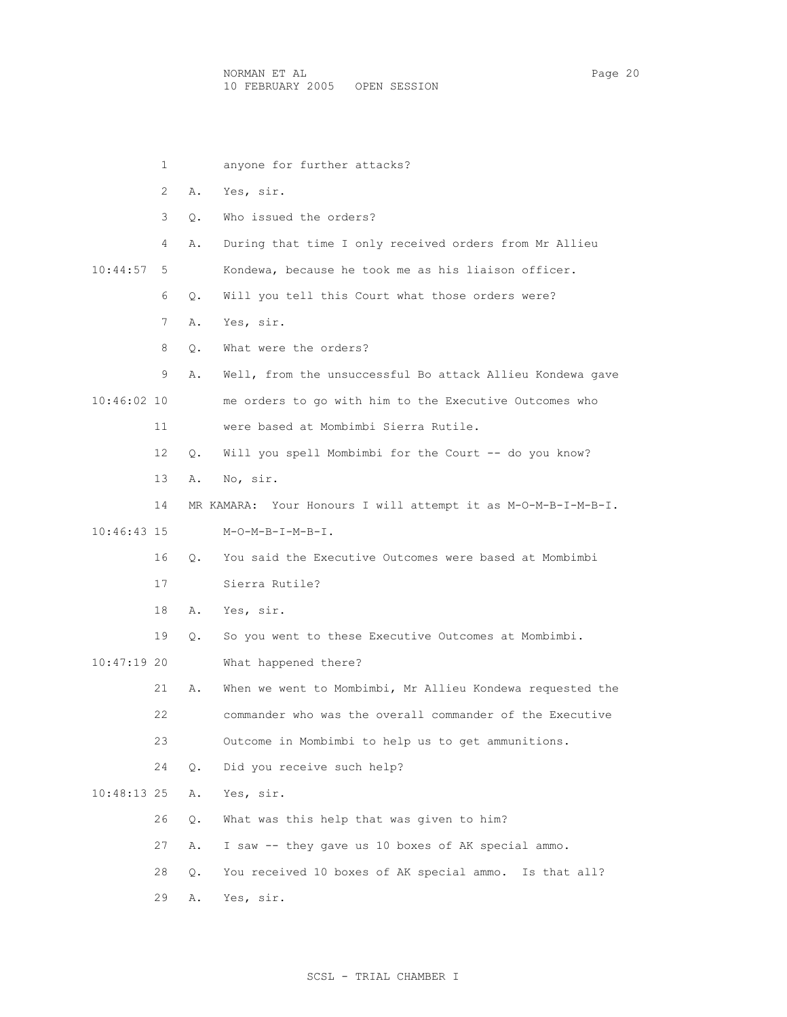1 anyone for further attacks? 2 A. Yes, sir. 3 Q. Who issued the orders? 4 A. During that time I only received orders from Mr Allieu 10:44:57 5 Kondewa, because he took me as his liaison officer. 6 Q. Will you tell this Court what those orders were? 7 A. Yes, sir. 8 0. What were the orders? 9 A. Well, from the unsuccessful Bo attack Allieu Kondewa gave 10:46:02 10 me orders to go with him to the Executive Outcomes who 11 were based at Mombimbi Sierra Rutile. 12 Q. Will you spell Mombimbi for the Court -- do you know? 13 A. No, sir. 14 MR KAMARA: Your Honours I will attempt it as M-O-M-B-I-M-B-I. 10:46:43 15 M-O-M-B-I-M-B-I. 16 Q. You said the Executive Outcomes were based at Mombimbi 17 Sierra Rutile? 18 A. Yes, sir. 19 Q. So you went to these Executive Outcomes at Mombimbi. 10:47:19 20 What happened there? 21 A. When we went to Mombimbi, Mr Allieu Kondewa requested the 22 commander who was the overall commander of the Executive 23 Outcome in Mombimbi to help us to get ammunitions. 24 Q. Did you receive such help? 10:48:13 25 A. Yes, sir. 26 Q. What was this help that was given to him? 27 A. I saw -- they gave us 10 boxes of AK special ammo. 28 Q. You received 10 boxes of AK special ammo. Is that all? 29 A. Yes, sir.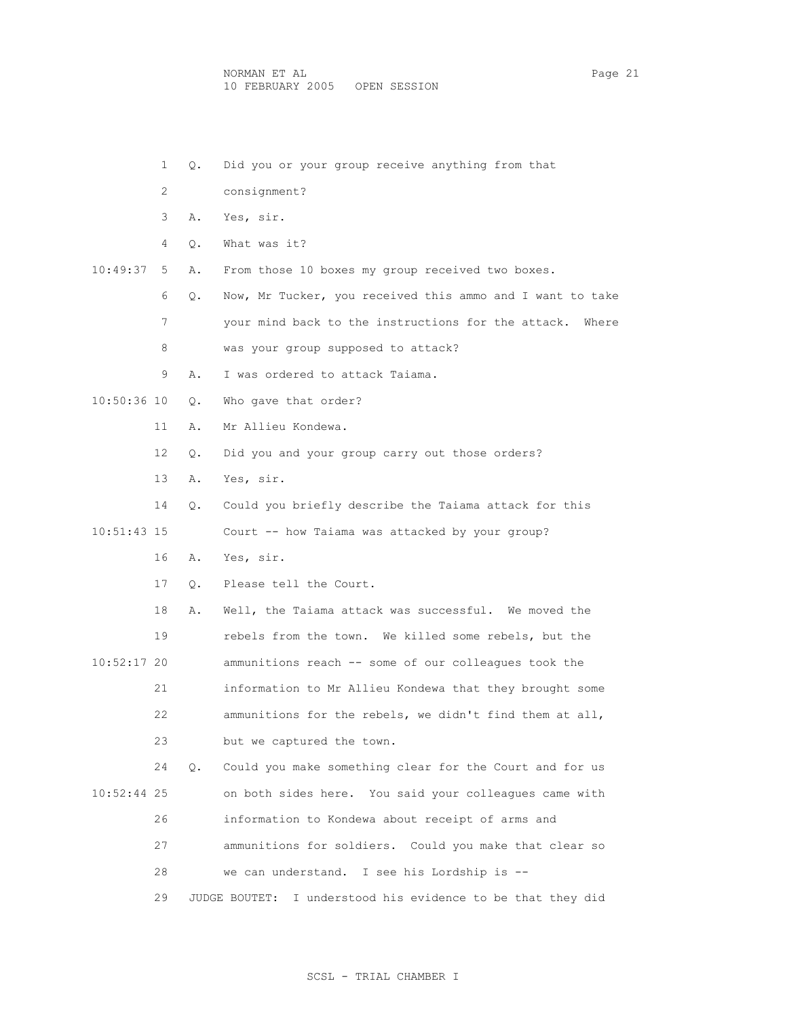- 1 Q. Did you or your group receive anything from that
- 2 consignment?
- 3 A. Yes, sir.
- 4 Q. What was it?

10:49:37 5 A. From those 10 boxes my group received two boxes.

- 6 Q. Now, Mr Tucker, you received this ammo and I want to take
- 7 your mind back to the instructions for the attack. Where
- 8 was your group supposed to attack?
- 9 A. I was ordered to attack Taiama.
- 10:50:36 10 Q. Who gave that order?
	- 11 A. Mr Allieu Kondewa.
	- 12 Q. Did you and your group carry out those orders?
	- 13 A. Yes, sir.
	- 14 Q. Could you briefly describe the Taiama attack for this

10:51:43 15 Court -- how Taiama was attacked by your group?

- 16 A. Yes, sir.
- 17 Q. Please tell the Court.

 18 A. Well, the Taiama attack was successful. We moved the 19 rebels from the town. We killed some rebels, but the 10:52:17 20 ammunitions reach -- some of our colleagues took the 21 information to Mr Allieu Kondewa that they brought some 22 ammunitions for the rebels, we didn't find them at all, 23 but we captured the town.

 24 Q. Could you make something clear for the Court and for us 10:52:44 25 on both sides here. You said your colleagues came with 26 information to Kondewa about receipt of arms and

- 27 ammunitions for soldiers. Could you make that clear so
- 28 we can understand. I see his Lordship is --

29 JUDGE BOUTET: I understood his evidence to be that they did

### SCSL - TRIAL CHAMBER I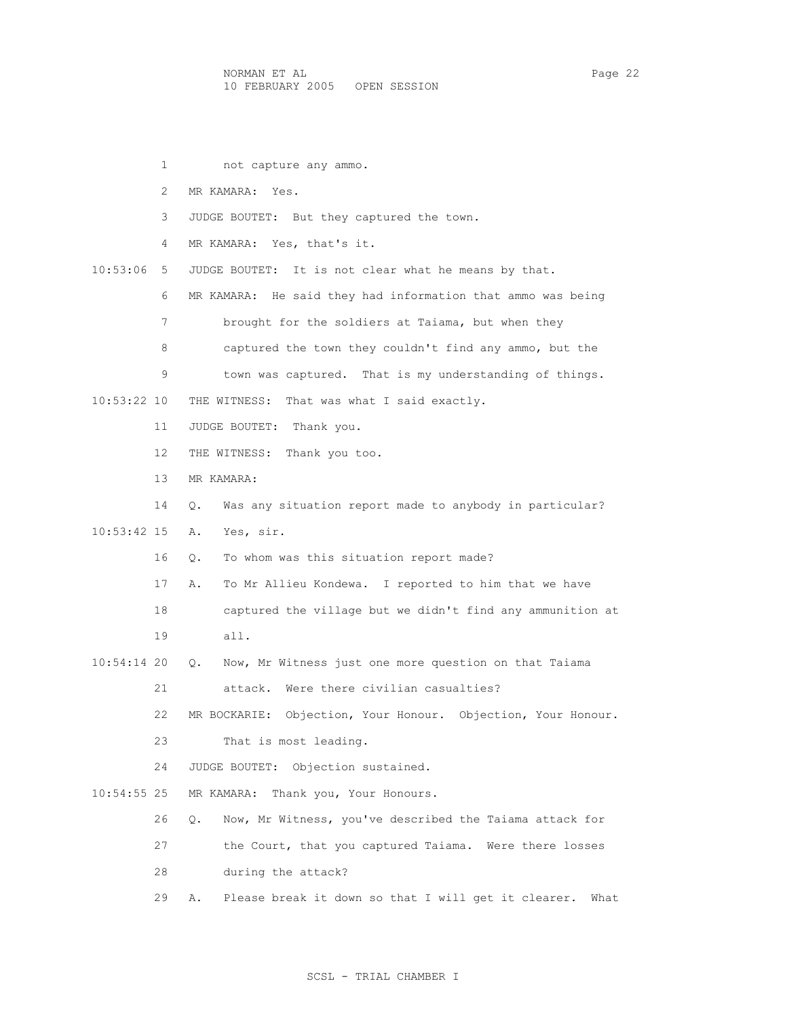1 not capture any ammo. 2 MR KAMARA: Yes. 3 JUDGE BOUTET: But they captured the town. 4 MR KAMARA: Yes, that's it. 10:53:06 5 JUDGE BOUTET: It is not clear what he means by that. 6 MR KAMARA: He said they had information that ammo was being 7 brought for the soldiers at Taiama, but when they 8 captured the town they couldn't find any ammo, but the 9 town was captured. That is my understanding of things. 10:53:22 10 THE WITNESS: That was what I said exactly. 11 JUDGE BOUTET: Thank you. 12 THE WITNESS: Thank you too. 13 MR KAMARA: 14 Q. Was any situation report made to anybody in particular? 10:53:42 15 A. Yes, sir. 16 Q. To whom was this situation report made? 17 A. To Mr Allieu Kondewa. I reported to him that we have 18 captured the village but we didn't find any ammunition at 19 all. 10:54:14 20 Q. Now, Mr Witness just one more question on that Taiama 21 attack. Were there civilian casualties? 22 MR BOCKARIE: Objection, Your Honour. Objection, Your Honour. 23 That is most leading. 24 JUDGE BOUTET: Objection sustained. 10:54:55 25 MR KAMARA: Thank you, Your Honours. 26 Q. Now, Mr Witness, you've described the Taiama attack for 27 the Court, that you captured Taiama. Were there losses 28 during the attack? 29 A. Please break it down so that I will get it clearer. What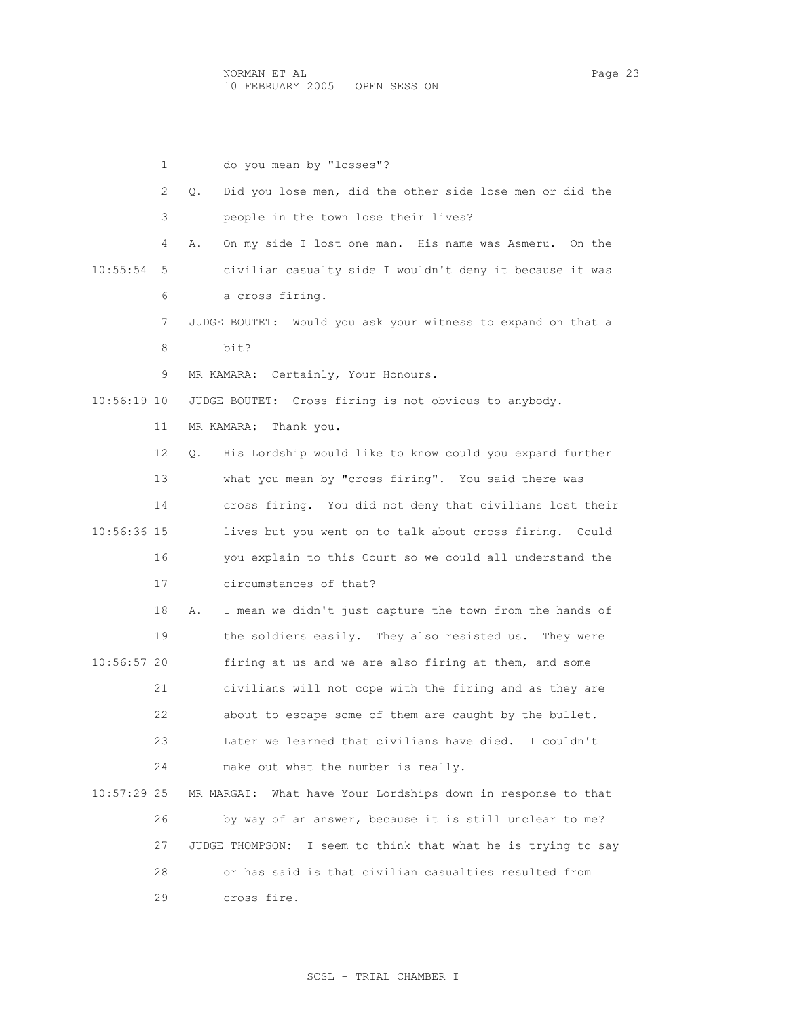1 do you mean by "losses"? 2 Q. Did you lose men, did the other side lose men or did the 3 people in the town lose their lives? 4 A. On my side I lost one man. His name was Asmeru. On the 10:55:54 5 civilian casualty side I wouldn't deny it because it was 6 a cross firing. 7 JUDGE BOUTET: Would you ask your witness to expand on that a 8 bit? 9 MR KAMARA: Certainly, Your Honours. 10:56:19 10 JUDGE BOUTET: Cross firing is not obvious to anybody. 11 MR KAMARA: Thank you. 12 Q. His Lordship would like to know could you expand further 13 what you mean by "cross firing". You said there was 14 cross firing. You did not deny that civilians lost their 10:56:36 15 lives but you went on to talk about cross firing. Could 16 you explain to this Court so we could all understand the 17 circumstances of that? 18 A. I mean we didn't just capture the town from the hands of 19 the soldiers easily. They also resisted us. They were 10:56:57 20 firing at us and we are also firing at them, and some 21 civilians will not cope with the firing and as they are 22 about to escape some of them are caught by the bullet. 23 Later we learned that civilians have died. I couldn't 24 make out what the number is really. 10:57:29 25 MR MARGAI: What have Your Lordships down in response to that 26 by way of an answer, because it is still unclear to me? 27 JUDGE THOMPSON: I seem to think that what he is trying to say 28 or has said is that civilian casualties resulted from 29 cross fire.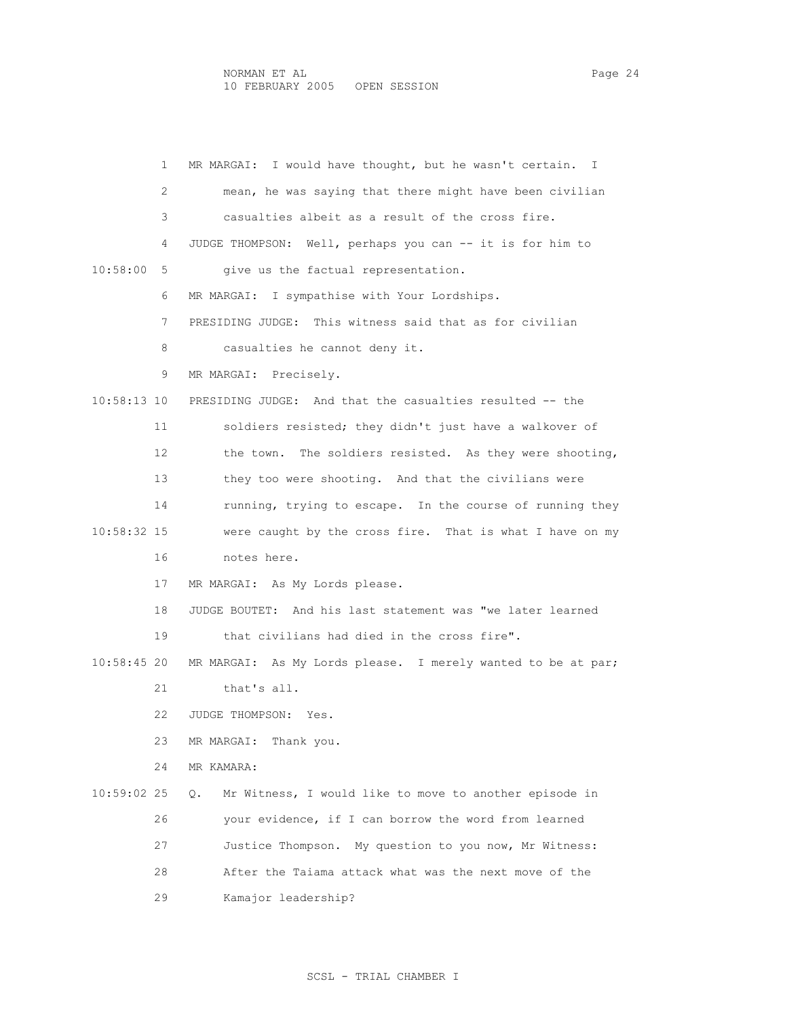1 MR MARGAI: I would have thought, but he wasn't certain. I 2 mean, he was saying that there might have been civilian 3 casualties albeit as a result of the cross fire. 4 JUDGE THOMPSON: Well, perhaps you can -- it is for him to 10:58:00 5 give us the factual representation. 6 MR MARGAI: I sympathise with Your Lordships. 7 PRESIDING JUDGE: This witness said that as for civilian 8 casualties he cannot deny it. 9 MR MARGAI: Precisely. 10:58:13 10 PRESIDING JUDGE: And that the casualties resulted -- the 11 soldiers resisted; they didn't just have a walkover of 12 the town. The soldiers resisted. As they were shooting, 13 they too were shooting. And that the civilians were 14 running, trying to escape. In the course of running they 10:58:32 15 were caught by the cross fire. That is what I have on my 16 notes here. 17 MR MARGAI: As My Lords please. 18 JUDGE BOUTET: And his last statement was "we later learned 19 that civilians had died in the cross fire". 10:58:45 20 MR MARGAI: As My Lords please. I merely wanted to be at par; 21 that's all. 22 JUDGE THOMPSON: Yes. 23 MR MARGAI: Thank you. 24 MR KAMARA: 10:59:02 25 Q. Mr Witness, I would like to move to another episode in 26 your evidence, if I can borrow the word from learned 27 Justice Thompson. My question to you now, Mr Witness: 28 After the Taiama attack what was the next move of the 29 Kamajor leadership?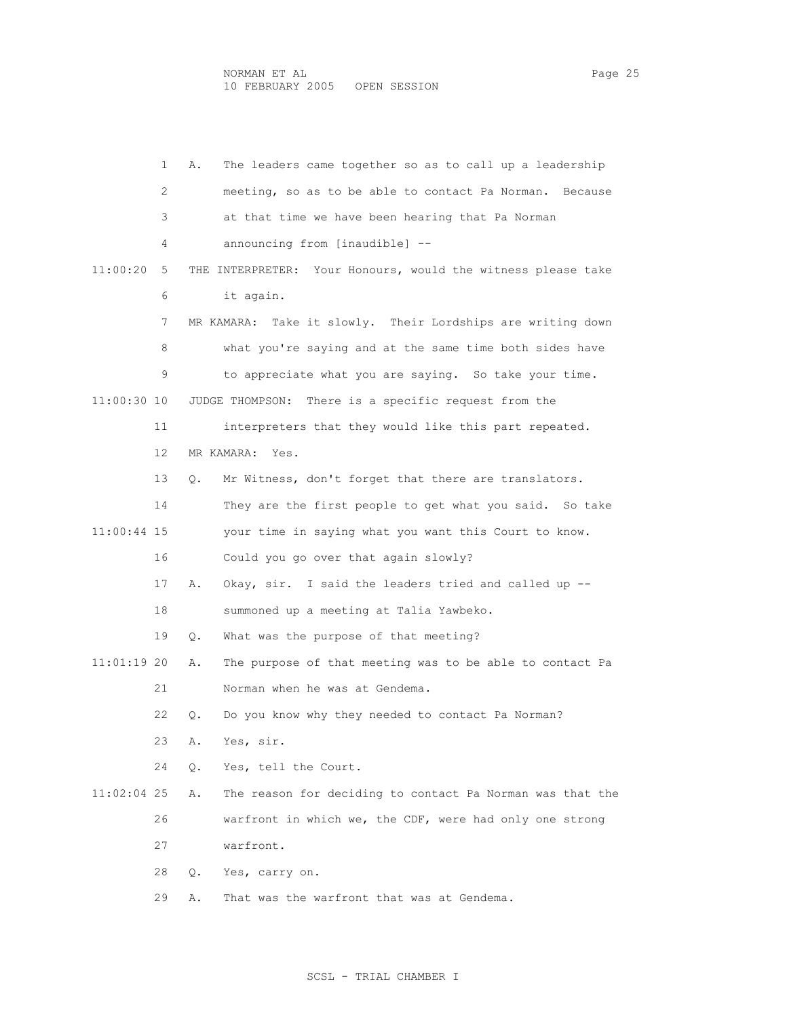1 A. The leaders came together so as to call up a leadership 2 meeting, so as to be able to contact Pa Norman. Because 3 at that time we have been hearing that Pa Norman 4 announcing from [inaudible] -- 11:00:20 5 THE INTERPRETER: Your Honours, would the witness please take 6 it again. 7 MR KAMARA: Take it slowly. Their Lordships are writing down 8 what you're saying and at the same time both sides have 9 to appreciate what you are saying. So take your time. 11:00:30 10 JUDGE THOMPSON: There is a specific request from the 11 interpreters that they would like this part repeated. 12 MR KAMARA: Yes. 13 Q. Mr Witness, don't forget that there are translators. 14 They are the first people to get what you said. So take 11:00:44 15 your time in saying what you want this Court to know. 16 Could you go over that again slowly? 17 A. Okay, sir. I said the leaders tried and called up -- 18 summoned up a meeting at Talia Yawbeko. 19 Q. What was the purpose of that meeting? 11:01:19 20 A. The purpose of that meeting was to be able to contact Pa 21 Norman when he was at Gendema. 22 Q. Do you know why they needed to contact Pa Norman? 23 A. Yes, sir. 24 Q. Yes, tell the Court. 11:02:04 25 A. The reason for deciding to contact Pa Norman was that the 26 warfront in which we, the CDF, were had only one strong 27 warfront. 28 Q. Yes, carry on. 29 A. That was the warfront that was at Gendema.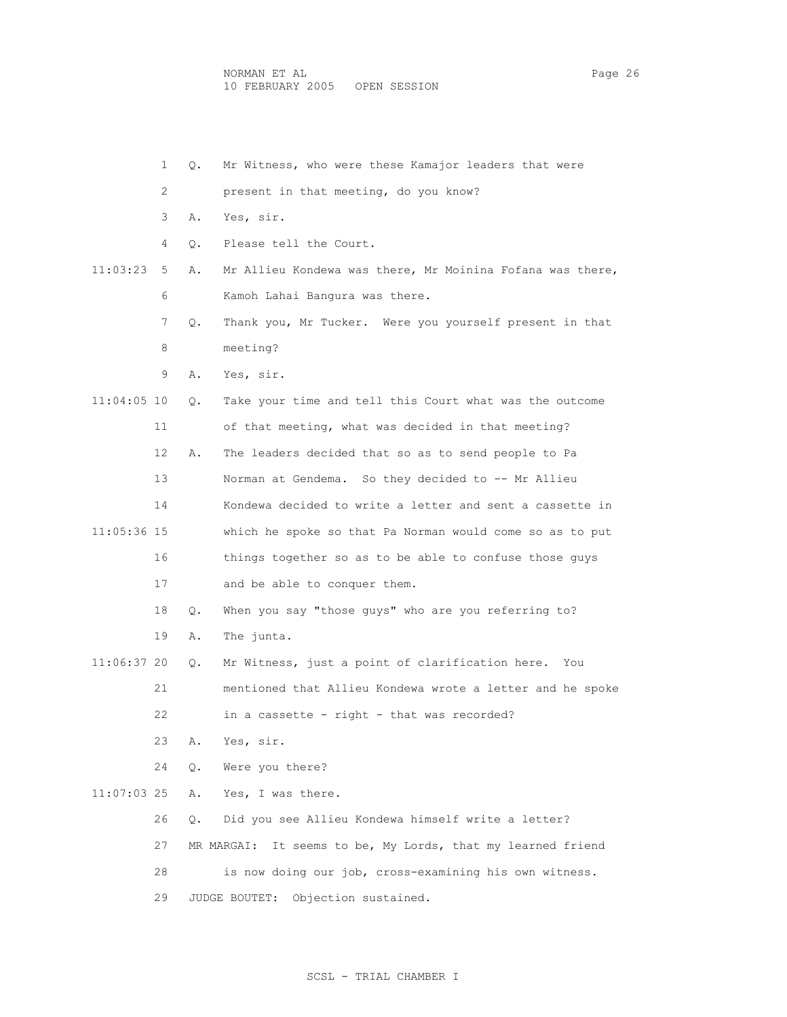|             | $\mathbf 1$ | $\circ$ . | Mr Witness, who were these Kamajor leaders that were           |
|-------------|-------------|-----------|----------------------------------------------------------------|
|             | 2           |           | present in that meeting, do you know?                          |
|             | 3           | Α.        | Yes, sir.                                                      |
|             | 4           | О.        | Please tell the Court.                                         |
| 11:03:23    | 5           | Α.        | Mr Allieu Kondewa was there, Mr Moinina Fofana was there,      |
|             | 6           |           | Kamoh Lahai Bangura was there.                                 |
|             | 7           | Q.        | Thank you, Mr Tucker. Were you yourself present in that        |
|             | 8           |           | meeting?                                                       |
|             | 9           | Α.        | Yes, sir.                                                      |
| 11:04:05 10 |             | Q.        | Take your time and tell this Court what was the outcome        |
|             | 11          |           | of that meeting, what was decided in that meeting?             |
|             | 12          | Α.        | The leaders decided that so as to send people to Pa            |
|             | 13          |           | Norman at Gendema. So they decided to -- Mr Allieu             |
|             | 14          |           | Kondewa decided to write a letter and sent a cassette in       |
| 11:05:36 15 |             |           | which he spoke so that Pa Norman would come so as to put       |
|             | 16          |           | things together so as to be able to confuse those guys         |
|             | 17          |           | and be able to conquer them.                                   |
|             | 18          | Q.        | When you say "those guys" who are you referring to?            |
|             | 19          | Α.        | The junta.                                                     |
| 11:06:37 20 |             | Q.        | Mr Witness, just a point of clarification here.<br>You         |
|             | 21          |           | mentioned that Allieu Kondewa wrote a letter and he spoke      |
|             | 22          |           | in a cassette - right - that was recorded?                     |
|             | 23          | Α.        | Yes, sir.                                                      |
|             | 24          | Q.        | Were you there?                                                |
| 11:07:03 25 |             | Α.        | Yes, I was there.                                              |
|             | 26          | О.        | Did you see Allieu Kondewa himself write a letter?             |
|             | 27          |           | It seems to be, My Lords, that my learned friend<br>MR MARGAI: |
|             | 28          |           | is now doing our job, cross-examining his own witness.         |
|             | 29          |           | Objection sustained.<br>JUDGE BOUTET:                          |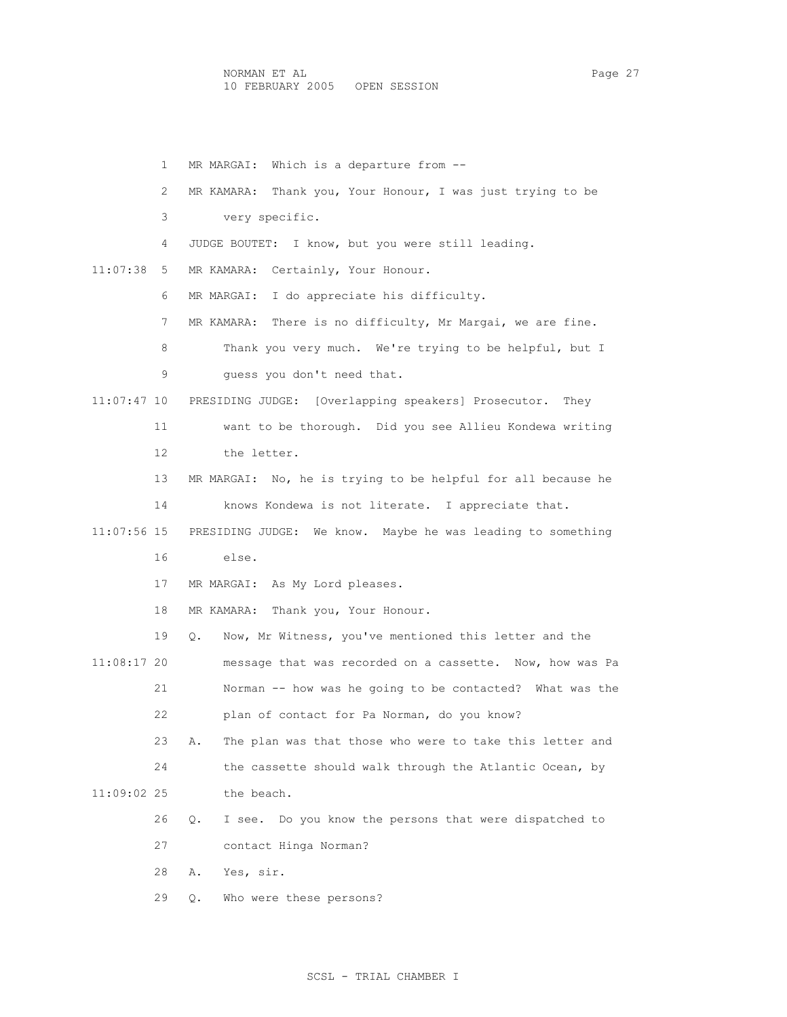|             | $\mathbf{1}$ | MR MARGAI: Which is a departure from --                        |
|-------------|--------------|----------------------------------------------------------------|
|             | 2            | Thank you, Your Honour, I was just trying to be<br>MR KAMARA:  |
|             | 3            | very specific.                                                 |
|             | 4            | JUDGE BOUTET: I know, but you were still leading.              |
| 11:07:38    | 5            | MR KAMARA: Certainly, Your Honour.                             |
|             | 6            | I do appreciate his difficulty.<br>MR MARGAI:                  |
|             | 7            | MR KAMARA: There is no difficulty, Mr Margai, we are fine.     |
|             | 8            | Thank you very much. We're trying to be helpful, but I         |
|             | 9            | quess you don't need that.                                     |
| 11:07:47 10 |              | PRESIDING JUDGE: [Overlapping speakers] Prosecutor. They       |
|             | 11           | want to be thorough. Did you see Allieu Kondewa writing        |
|             | 12           | the letter.                                                    |
|             | 13           | MR MARGAI: No, he is trying to be helpful for all because he   |
|             | 14           | knows Kondewa is not literate. I appreciate that.              |
| 11:07:56 15 |              | PRESIDING JUDGE: We know. Maybe he was leading to something    |
|             | 16           | else.                                                          |
|             | 17           | MR MARGAI: As My Lord pleases.                                 |
|             | 18           | MR KAMARA: Thank you, Your Honour.                             |
|             | 19           | Now, Mr Witness, you've mentioned this letter and the<br>Q.    |
| 11:08:17 20 |              | message that was recorded on a cassette. Now, how was Pa       |
|             | 21           | Norman -- how was he going to be contacted? What was the       |
|             | 22           | plan of contact for Pa Norman, do you know?                    |
|             | 23           | The plan was that those who were to take this letter and<br>Α. |
|             | 24           | the cassette should walk through the Atlantic Ocean, by        |
| 11:09:02 25 |              | the beach.                                                     |
|             | 26           | Q.<br>I see. Do you know the persons that were dispatched to   |
|             | 27           | contact Hinga Norman?                                          |
|             | 28           | Yes, sir.<br>Α.                                                |
|             | 29           | Who were these persons?<br>Q.                                  |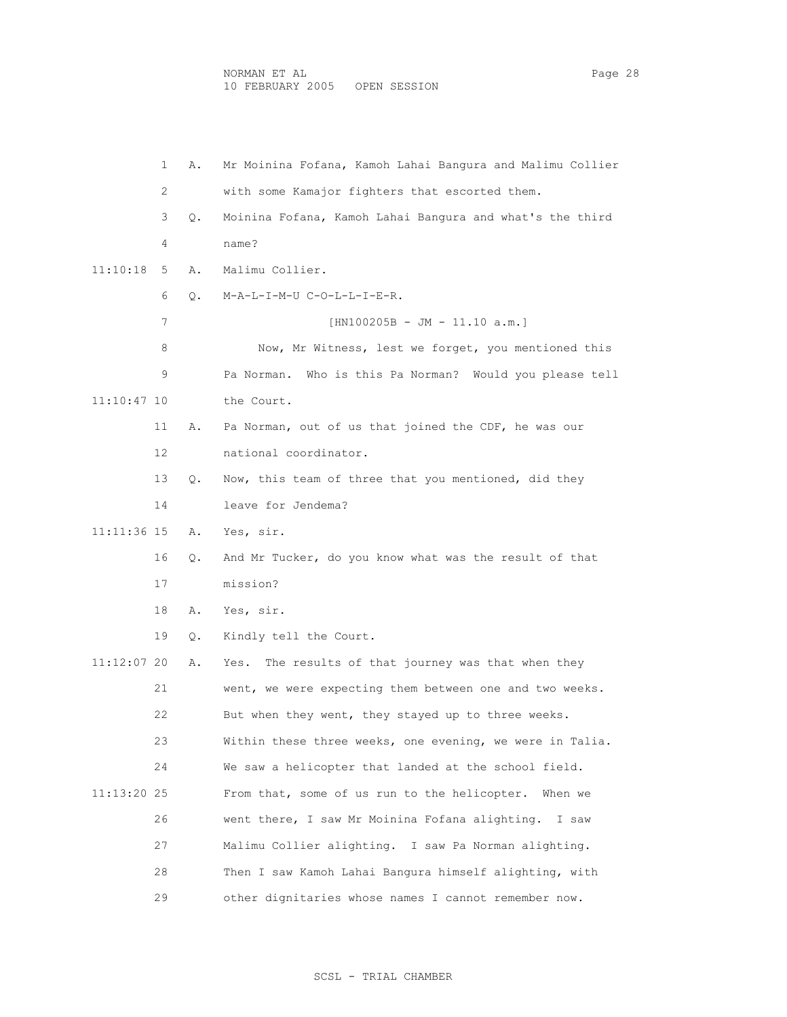1 A. Mr Moinina Fofana, Kamoh Lahai Bangura and Malimu Collier 2 with some Kamajor fighters that escorted them. 3 Q. Moinina Fofana, Kamoh Lahai Bangura and what's the third 4 name? 11:10:18 5 A. Malimu Collier. 6 Q. M-A-L-I-M-U C-O-L-L-I-E-R. 7 [HN100205B - JM - 11.10 a.m.] 8 Now, Mr Witness, lest we forget, you mentioned this 9 Pa Norman. Who is this Pa Norman? Would you please tell 11:10:47 10 the Court. 11 A. Pa Norman, out of us that joined the CDF, he was our 12 national coordinator. 13 Q. Now, this team of three that you mentioned, did they 14 leave for Jendema? 11:11:36 15 A. Yes, sir. 16 Q. And Mr Tucker, do you know what was the result of that 17 mission? 18 A. Yes, sir. 19 Q. Kindly tell the Court. 11:12:07 20 A. Yes. The results of that journey was that when they 21 went, we were expecting them between one and two weeks. 22 But when they went, they stayed up to three weeks. 23 Within these three weeks, one evening, we were in Talia. 24 We saw a helicopter that landed at the school field. 11:13:20 25 From that, some of us run to the helicopter. When we 26 went there, I saw Mr Moinina Fofana alighting. I saw 27 Malimu Collier alighting. I saw Pa Norman alighting. 28 Then I saw Kamoh Lahai Bangura himself alighting, with 29 other dignitaries whose names I cannot remember now.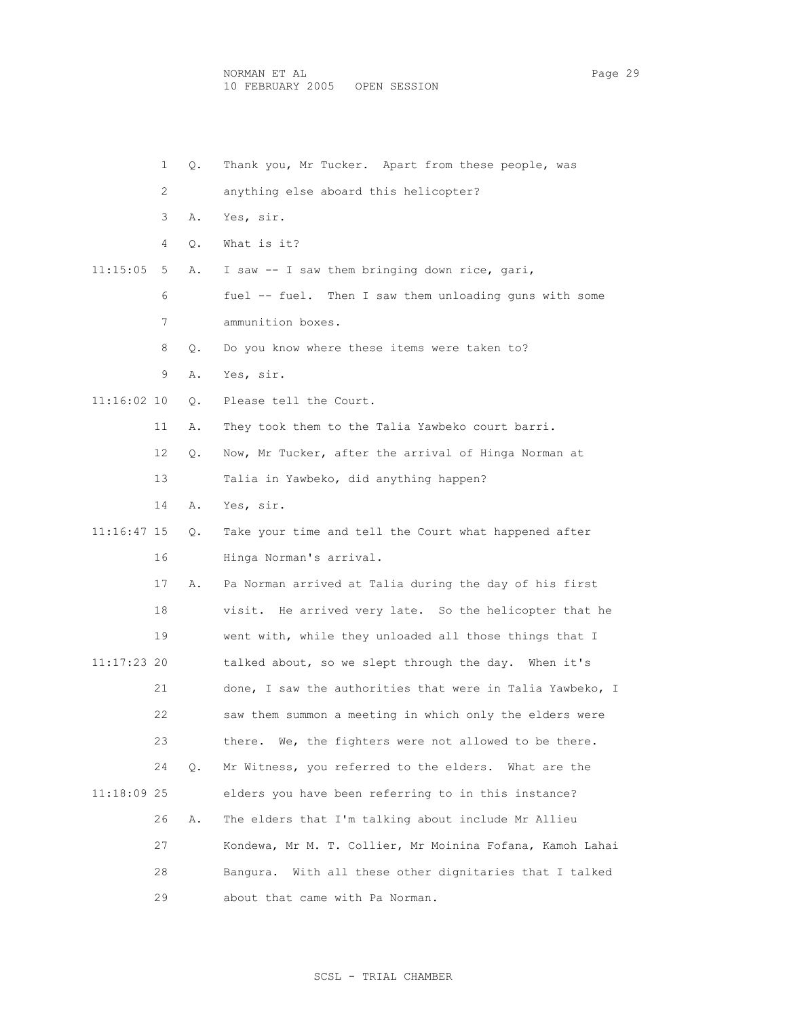|               | $\mathbf{1}$ | Q. | Thank you, Mr Tucker. Apart from these people, was         |
|---------------|--------------|----|------------------------------------------------------------|
|               | 2            |    | anything else aboard this helicopter?                      |
|               | 3            | Α. | Yes, sir.                                                  |
|               | 4            | Q. | What is it?                                                |
| 11:15:05      | 5            | Α. | I saw -- I saw them bringing down rice, gari,              |
|               | 6            |    | fuel -- fuel. Then I saw them unloading guns with some     |
|               | 7            |    | ammunition boxes.                                          |
|               | 8            | Q. | Do you know where these items were taken to?               |
|               | 9            | Α. | Yes, sir.                                                  |
| $11:16:02$ 10 |              | Q. | Please tell the Court.                                     |
|               | 11           | Α. | They took them to the Talia Yawbeko court barri.           |
|               | 12           | Q. | Now, Mr Tucker, after the arrival of Hinga Norman at       |
|               | 13           |    | Talia in Yawbeko, did anything happen?                     |
|               | 14           | Α. | Yes, sir.                                                  |
| 11:16:47 15   |              | Q. | Take your time and tell the Court what happened after      |
|               | 16           |    | Hinga Norman's arrival.                                    |
|               | 17           | Α. | Pa Norman arrived at Talia during the day of his first     |
|               | 18           |    | visit. He arrived very late. So the helicopter that he     |
|               | 19           |    | went with, while they unloaded all those things that I     |
| 11:17:23 20   |              |    | talked about, so we slept through the day. When it's       |
|               | 21           |    | done, I saw the authorities that were in Talia Yawbeko, I  |
|               | 22           |    | saw them summon a meeting in which only the elders were    |
|               | 23           |    | there. We, the fighters were not allowed to be there.      |
|               | 24           | Q. | Mr Witness, you referred to the elders. What are the       |
| 11:18:09 25   |              |    | elders you have been referring to in this instance?        |
|               | 26           | Α. | The elders that I'm talking about include Mr Allieu        |
|               | 27           |    | Kondewa, Mr M. T. Collier, Mr Moinina Fofana, Kamoh Lahai  |
|               | 28           |    | With all these other dignitaries that I talked<br>Banqura. |
|               | 29           |    | about that came with Pa Norman.                            |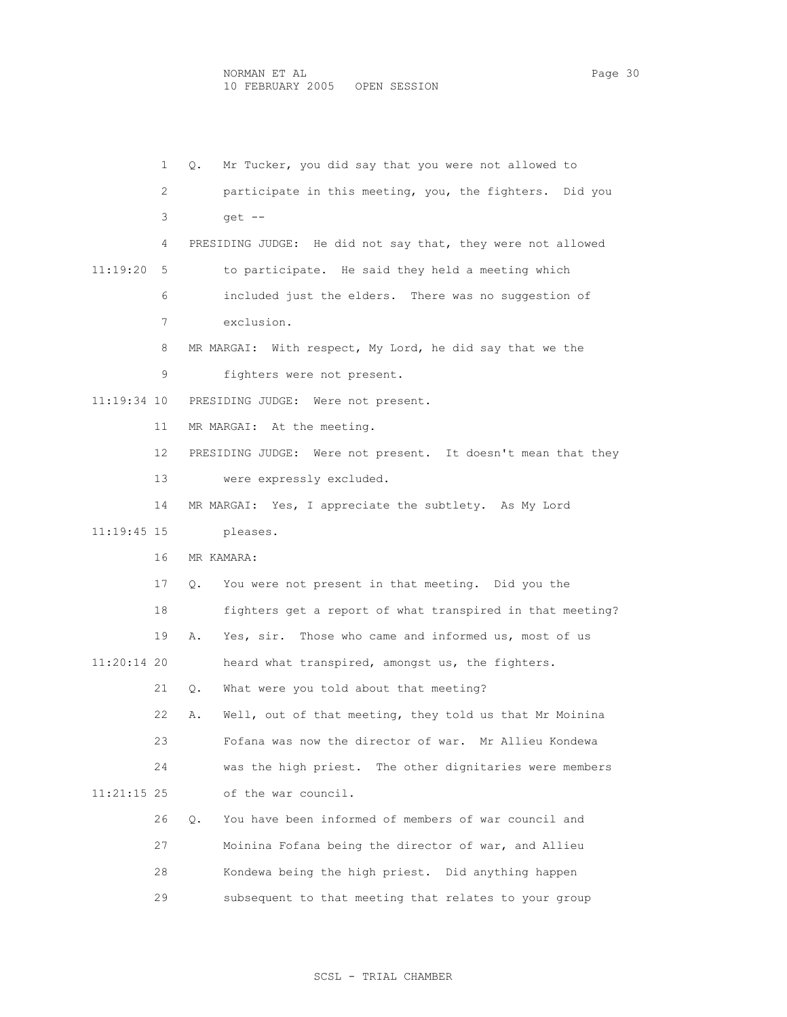|               | 1  | Mr Tucker, you did say that you were not allowed to<br>Q.     |
|---------------|----|---------------------------------------------------------------|
|               | 2  | participate in this meeting, you, the fighters. Did you       |
|               | 3. | $qet$ --                                                      |
|               | 4  | PRESIDING JUDGE: He did not say that, they were not allowed   |
| 11:19:20      | 5  | to participate. He said they held a meeting which             |
|               | 6  | included just the elders. There was no suggestion of          |
|               | 7  | exclusion.                                                    |
|               | 8  | MR MARGAI: With respect, My Lord, he did say that we the      |
|               | 9  | fighters were not present.                                    |
| 11:19:34 10   |    | PRESIDING JUDGE: Were not present.                            |
|               | 11 | MR MARGAI: At the meeting.                                    |
|               | 12 | PRESIDING JUDGE: Were not present. It doesn't mean that they  |
|               | 13 | were expressly excluded.                                      |
|               | 14 | MR MARGAI: Yes, I appreciate the subtlety. As My Lord         |
| 11:19:45 15   |    | pleases.                                                      |
|               | 16 | MR KAMARA:                                                    |
|               | 17 | You were not present in that meeting. Did you the<br>Q.       |
|               | 18 | fighters get a report of what transpired in that meeting?     |
|               | 19 | Yes, sir. Those who came and informed us, most of us<br>Α.    |
| 11:20:14 20   |    | heard what transpired, amongst us, the fighters.              |
|               | 21 | What were you told about that meeting?<br>О.                  |
|               | 22 | Well, out of that meeting, they told us that Mr Moinina<br>Α. |
|               | 23 | Fofana was now the director of war.<br>Mr Allieu Kondewa      |
|               | 24 | was the high priest. The other dignitaries were members       |
| $11:21:15$ 25 |    | of the war council.                                           |
|               | 26 | You have been informed of members of war council and<br>О.    |
|               | 27 | Moinina Fofana being the director of war, and Allieu          |
|               | 28 | Kondewa being the high priest. Did anything happen            |
|               | 29 | subsequent to that meeting that relates to your group         |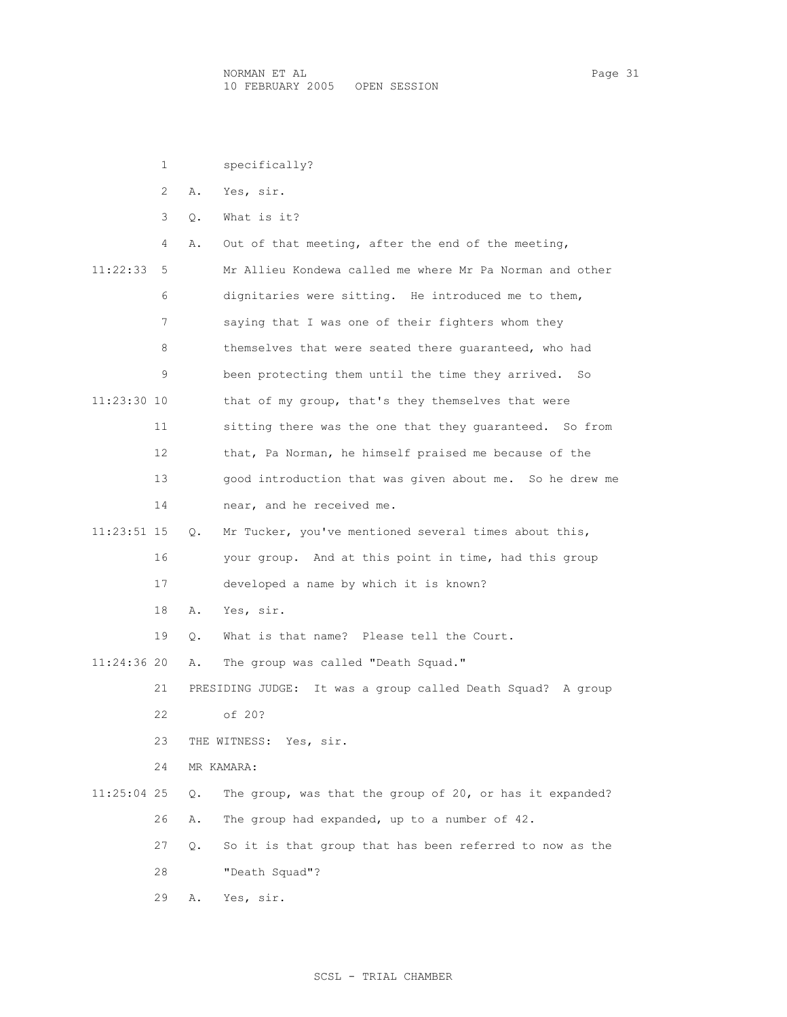|             | 1              |    | specifically?                                                     |
|-------------|----------------|----|-------------------------------------------------------------------|
|             | $\overline{2}$ | Α. | Yes, sir.                                                         |
|             | 3              | О. | What is it?                                                       |
|             | 4              | Α. | Out of that meeting, after the end of the meeting,                |
| 11:22:33    | 5              |    | Mr Allieu Kondewa called me where Mr Pa Norman and other          |
|             | 6              |    | dignitaries were sitting. He introduced me to them,               |
|             | 7              |    | saying that I was one of their fighters whom they                 |
|             | 8              |    | themselves that were seated there quaranteed, who had             |
|             | 9              |    | been protecting them until the time they arrived. So              |
| 11:23:30 10 |                |    | that of my group, that's they themselves that were                |
|             | 11             |    | sitting there was the one that they quaranteed. So from           |
|             | 12             |    | that, Pa Norman, he himself praised me because of the             |
|             | 13             |    | good introduction that was given about me. So he drew me          |
|             | 14             |    | near, and he received me.                                         |
| 11:23:51 15 |                | Q. | Mr Tucker, you've mentioned several times about this,             |
|             | 16             |    | your group. And at this point in time, had this group             |
|             | 17             |    | developed a name by which it is known?                            |
|             | 18             | Α. | Yes, sir.                                                         |
|             | 19             | Q. | What is that name? Please tell the Court.                         |
| 11:24:36 20 |                | Α. | The group was called "Death Squad."                               |
|             | 21             |    | It was a group called Death Squad?<br>PRESIDING JUDGE:<br>A group |
|             | 22             |    | of 20?                                                            |
|             | 23             |    | THE WITNESS: Yes, sir.                                            |
|             | 24             |    | MR KAMARA:                                                        |
| 11:25:04 25 |                | Q. | The group, was that the group of 20, or has it expanded?          |
|             | 26             | Α. | The group had expanded, up to a number of 42.                     |
|             | 27             | Q. | So it is that group that has been referred to now as the          |
|             | 28             |    | "Death Squad"?                                                    |
|             | 29             | Α. | Yes, sir.                                                         |

SCSL - TRIAL CHAMBER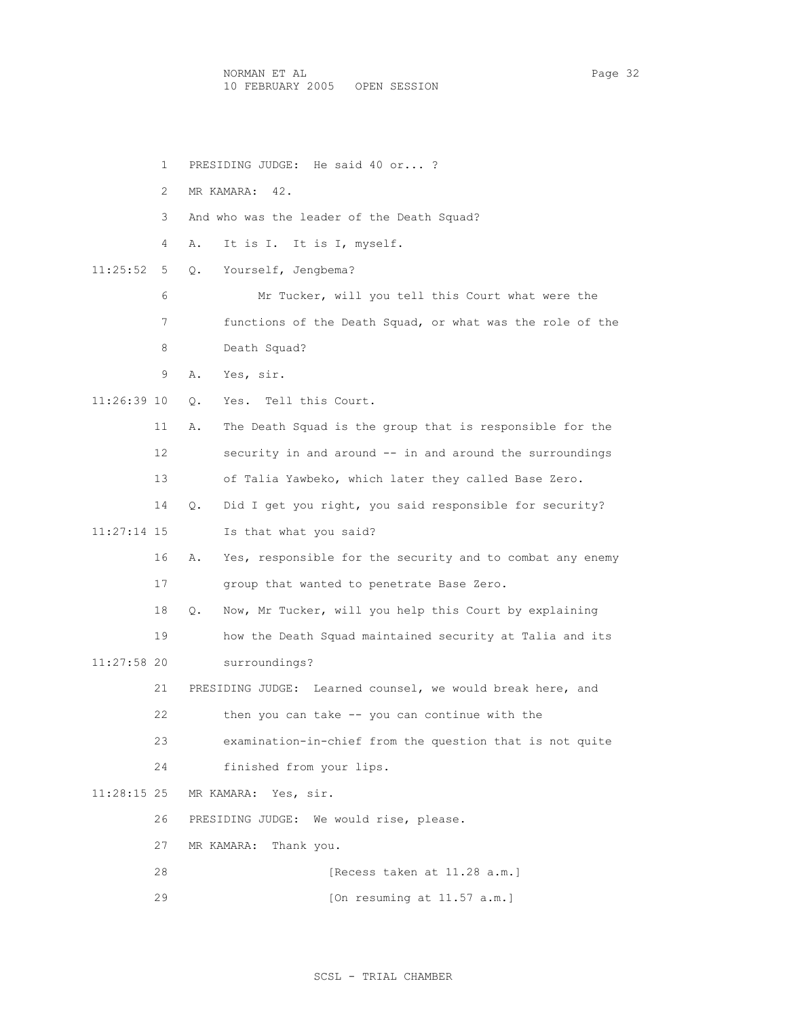1 PRESIDING JUDGE: He said 40 or... ? 2 MR KAMARA: 42. 3 And who was the leader of the Death Squad? 4 A. It is I. It is I, myself. 11:25:52 5 Q. Yourself, Jengbema? 6 Mr Tucker, will you tell this Court what were the 7 functions of the Death Squad, or what was the role of the 8 Death Squad? 9 A. Yes, sir. 11:26:39 10 Q. Yes. Tell this Court. 11 A. The Death Squad is the group that is responsible for the 12 security in and around -- in and around the surroundings 13 of Talia Yawbeko, which later they called Base Zero. 14 Q. Did I get you right, you said responsible for security? 11:27:14 15 Is that what you said? 16 A. Yes, responsible for the security and to combat any enemy 17 group that wanted to penetrate Base Zero. 18 Q. Now, Mr Tucker, will you help this Court by explaining 19 how the Death Squad maintained security at Talia and its 11:27:58 20 surroundings? 21 PRESIDING JUDGE: Learned counsel, we would break here, and 22 then you can take -- you can continue with the 23 examination-in-chief from the question that is not quite 24 finished from your lips. 11:28:15 25 MR KAMARA: Yes, sir. 26 PRESIDING JUDGE: We would rise, please. 27 MR KAMARA: Thank you. 28 [Recess taken at 11.28 a.m.] 29 [On resuming at 11.57 a.m.]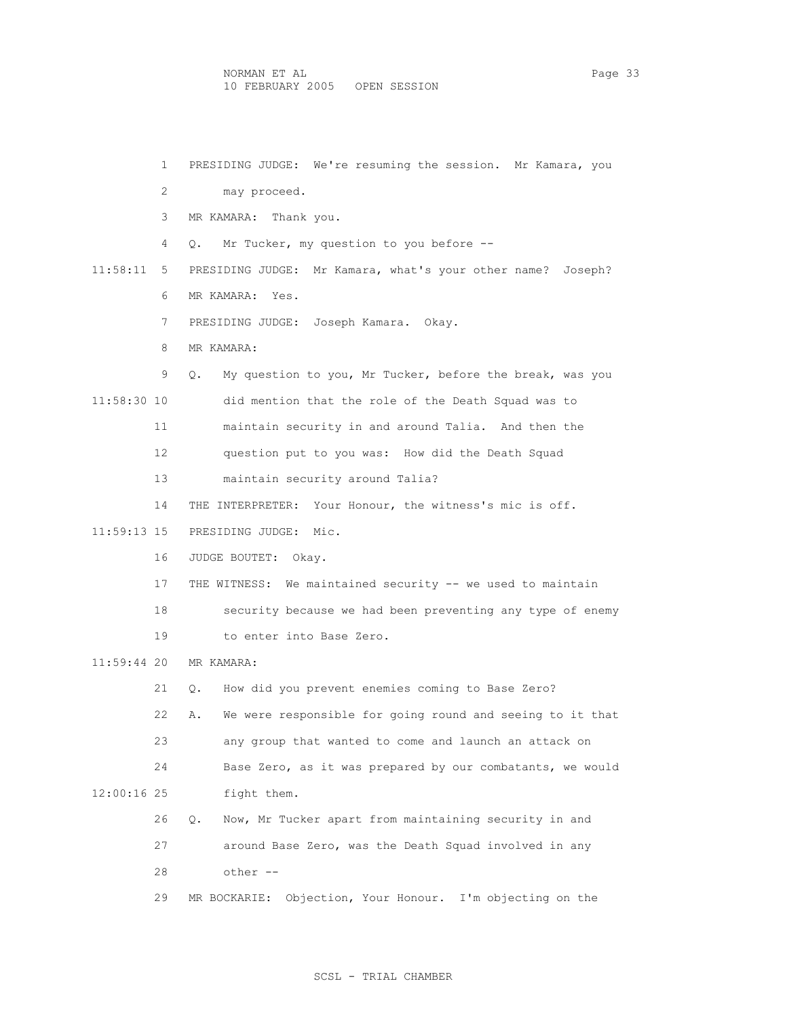| $\mathbf{1}$  | PRESIDING JUDGE: We're resuming the session. Mr Kamara, you     |
|---------------|-----------------------------------------------------------------|
| 2             | may proceed.                                                    |
| 3             | MR KAMARA: Thank you.                                           |
| 4             | Mr Tucker, my question to you before --<br>Q.                   |
| 11:58:11<br>5 | PRESIDING JUDGE: Mr Kamara, what's your other name? Joseph?     |
| 6             | MR KAMARA: Yes.                                                 |
| 7             | PRESIDING JUDGE: Joseph Kamara. Okay.                           |
| 8             | MR KAMARA:                                                      |
| 9             | My question to you, Mr Tucker, before the break, was you<br>О.  |
| 11:58:30 10   | did mention that the role of the Death Squad was to             |
| 11            | maintain security in and around Talia. And then the             |
| 12            | question put to you was: How did the Death Squad                |
| 13            | maintain security around Talia?                                 |
| 14            | THE INTERPRETER: Your Honour, the witness's mic is off.         |
| 11:59:13 15   | PRESIDING JUDGE: Mic.                                           |
| 16            | JUDGE BOUTET: Okay.                                             |
| 17            | THE WITNESS: We maintained security -- we used to maintain      |
| 18            | security because we had been preventing any type of enemy       |
| 19            | to enter into Base Zero.                                        |
| 11:59:44 20   | MR KAMARA:                                                      |
| 21            | How did you prevent enemies coming to Base Zero?<br>$\circ$ .   |
| 22            | We were responsible for going round and seeing to it that<br>Α. |
| 23            | any group that wanted to come and launch an attack on           |
| 24            | Base Zero, as it was prepared by our combatants, we would       |
| $12:00:16$ 25 | fight them.                                                     |
| 26            | Now, Mr Tucker apart from maintaining security in and<br>Q.     |
| 27            | around Base Zero, was the Death Squad involved in any           |
| 28            | other --                                                        |
| 29            | Objection, Your Honour.<br>I'm objecting on the<br>MR BOCKARIE: |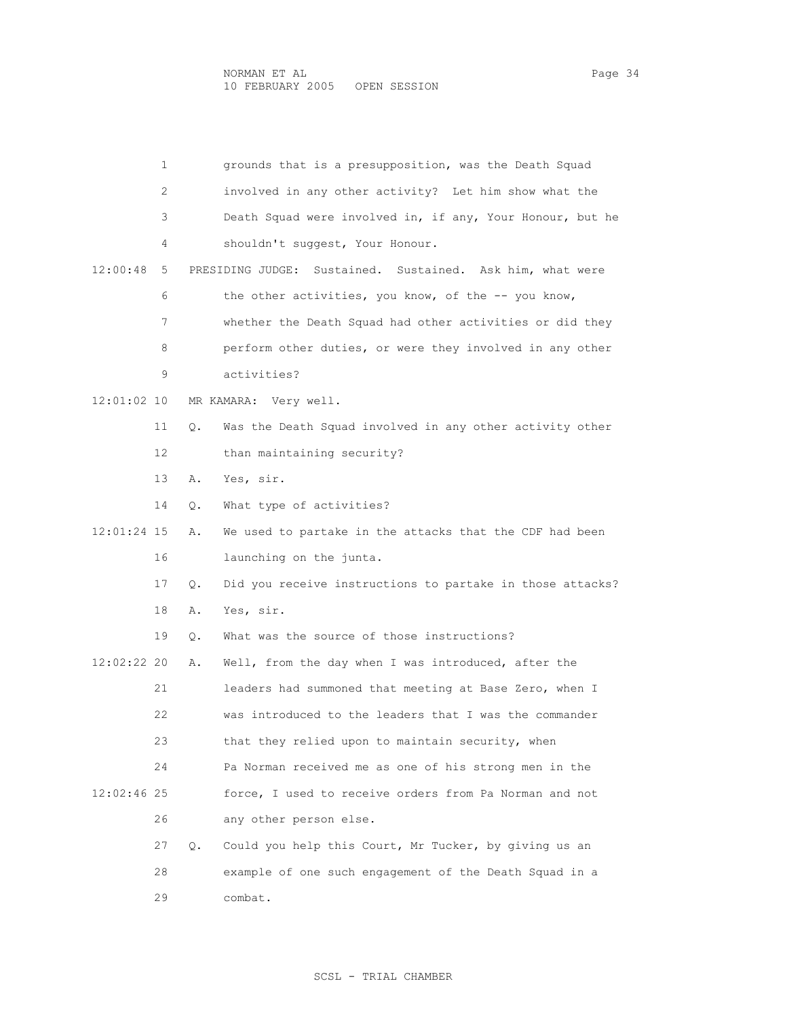1 grounds that is a presupposition, was the Death Squad 2 involved in any other activity? Let him show what the 3 Death Squad were involved in, if any, Your Honour, but he 4 shouldn't suggest, Your Honour. 12:00:48 5 PRESIDING JUDGE: Sustained. Sustained. Ask him, what were 6 the other activities, you know, of the -- you know, 7 whether the Death Squad had other activities or did they 8 perform other duties, or were they involved in any other 9 activities? 12:01:02 10 MR KAMARA: Very well. 11 Q. Was the Death Squad involved in any other activity other 12 than maintaining security? 13 A. Yes, sir. 14 Q. What type of activities? 12:01:24 15 A. We used to partake in the attacks that the CDF had been 16 launching on the junta. 17 Q. Did you receive instructions to partake in those attacks? 18 A. Yes, sir. 19 Q. What was the source of those instructions? 12:02:22 20 A. Well, from the day when I was introduced, after the 21 leaders had summoned that meeting at Base Zero, when I 22 was introduced to the leaders that I was the commander 23 that they relied upon to maintain security, when 24 Pa Norman received me as one of his strong men in the 12:02:46 25 force, I used to receive orders from Pa Norman and not 26 any other person else. 27 Q. Could you help this Court, Mr Tucker, by giving us an 28 example of one such engagement of the Death Squad in a 29 combat.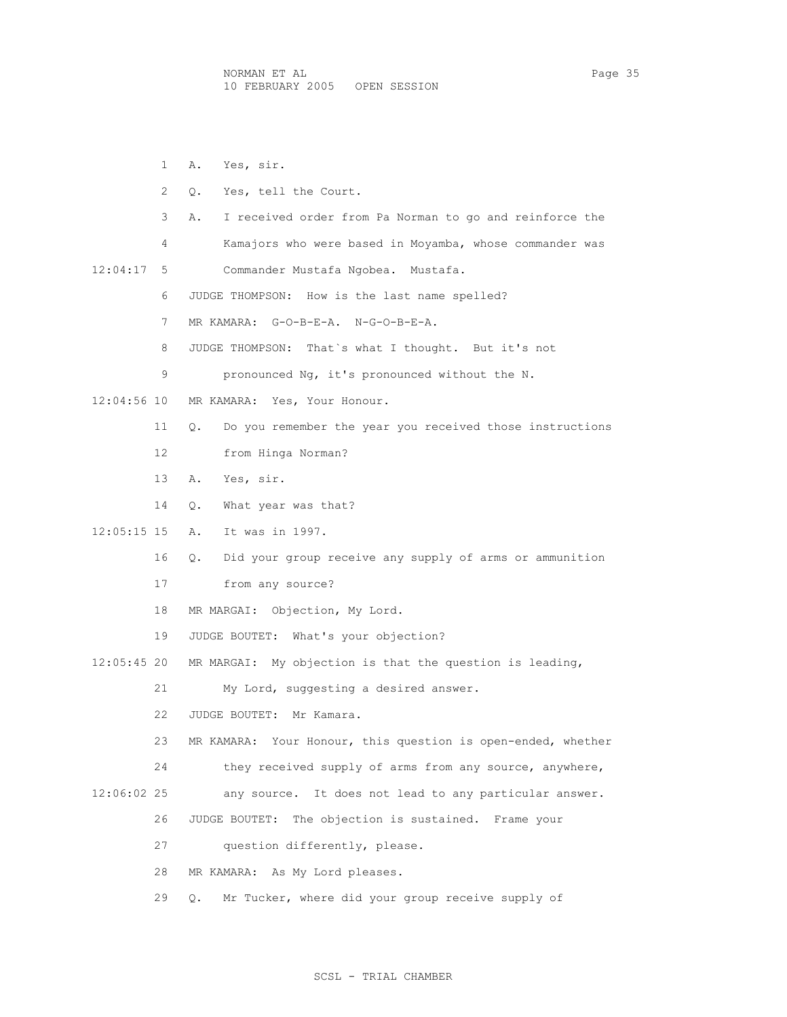1 A. Yes, sir. 2 Q. Yes, tell the Court. 3 A. I received order from Pa Norman to go and reinforce the 4 Kamajors who were based in Moyamba, whose commander was 12:04:17 5 Commander Mustafa Ngobea. Mustafa. 6 JUDGE THOMPSON: How is the last name spelled? 7 MR KAMARA: G-O-B-E-A. N-G-O-B-E-A. 8 JUDGE THOMPSON: That`s what I thought. But it's not 9 pronounced Ng, it's pronounced without the N. 12:04:56 10 MR KAMARA: Yes, Your Honour. 11 Q. Do you remember the year you received those instructions 12 from Hinga Norman? 13 A. Yes, sir. 14 Q. What year was that? 12:05:15 15 A. It was in 1997. 16 Q. Did your group receive any supply of arms or ammunition 17 from any source? 18 MR MARGAI: Objection, My Lord. 19 JUDGE BOUTET: What's your objection? 12:05:45 20 MR MARGAI: My objection is that the question is leading, 21 My Lord, suggesting a desired answer. 22 JUDGE BOUTET: Mr Kamara. 23 MR KAMARA: Your Honour, this question is open-ended, whether 24 they received supply of arms from any source, anywhere, 12:06:02 25 any source. It does not lead to any particular answer. 26 JUDGE BOUTET: The objection is sustained. Frame your 27 question differently, please. 28 MR KAMARA: As My Lord pleases.

# 29 Q. Mr Tucker, where did your group receive supply of

### SCSL - TRIAL CHAMBER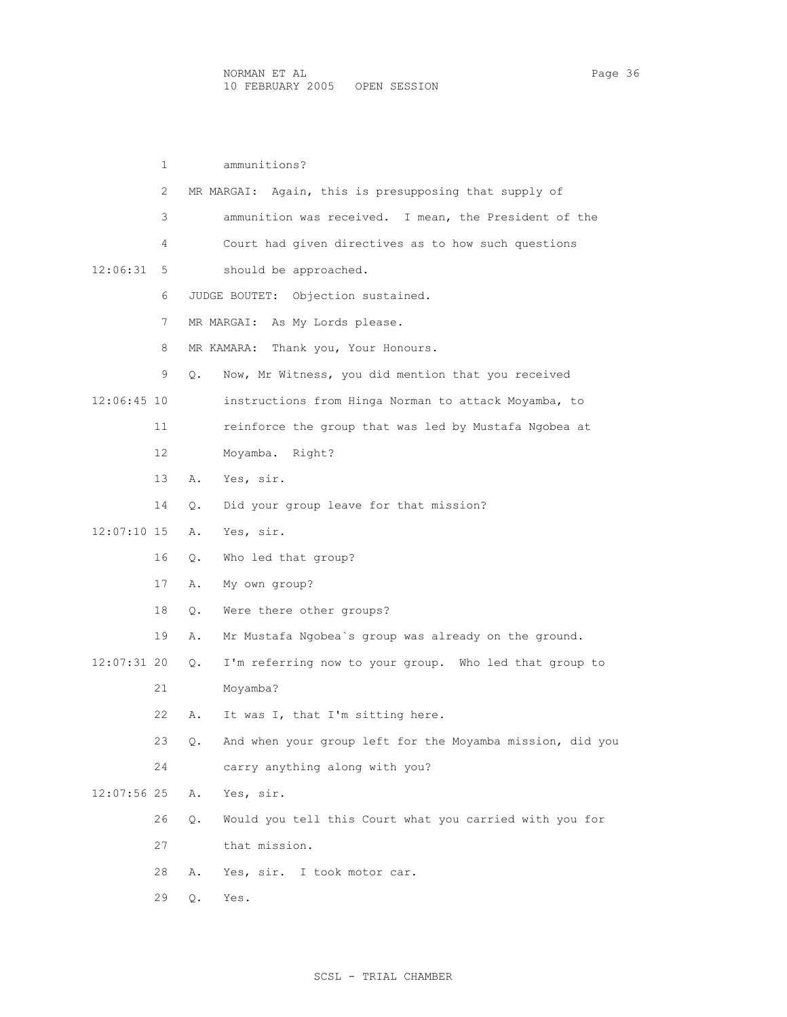|             | 1  |    | ammunitions?                                              |
|-------------|----|----|-----------------------------------------------------------|
|             | 2  |    | MR MARGAI: Again, this is presupposing that supply of     |
|             | 3  |    | ammunition was received. I mean, the President of the     |
|             | 4  |    | Court had given directives as to how such questions       |
| 12:06:31    | 5. |    | should be approached.                                     |
|             | 6  |    | Objection sustained.<br>JUDGE BOUTET:                     |
|             | 7  |    | MR MARGAI: As My Lords please.                            |
|             | 8  |    | Thank you, Your Honours.<br>MR KAMARA:                    |
|             | 9  | Q. | Now, Mr Witness, you did mention that you received        |
| 12:06:45 10 |    |    | instructions from Hinga Norman to attack Moyamba, to      |
|             | 11 |    | reinforce the group that was led by Mustafa Ngobea at     |
|             | 12 |    | Moyamba. Right?                                           |
|             | 13 | Α. | Yes, sir.                                                 |
|             | 14 | Q. | Did your group leave for that mission?                    |
| 12:07:10 15 |    | Α. | Yes, sir.                                                 |
|             | 16 | О. | Who led that group?                                       |
|             | 17 | Α. | My own group?                                             |
|             | 18 | Q. | Were there other groups?                                  |
|             | 19 | Α. | Mr Mustafa Ngobea's group was already on the ground.      |
| 12:07:31 20 |    | Q. | I'm referring now to your group. Who led that group to    |
|             | 21 |    | Moyamba?                                                  |
|             | 22 | Α. | It was I, that I'm sitting here.                          |
|             | 23 | Q. | And when your group left for the Moyamba mission, did you |
|             | 24 |    | carry anything along with you?                            |
| 12:07:56 25 |    | Α. | Yes, sir.                                                 |
|             | 26 | Q. | Would you tell this Court what you carried with you for   |
|             | 27 |    | that mission.                                             |
|             | 28 | Α. | Yes, sir.<br>I took motor car.                            |
|             | 29 | Q. | Yes.                                                      |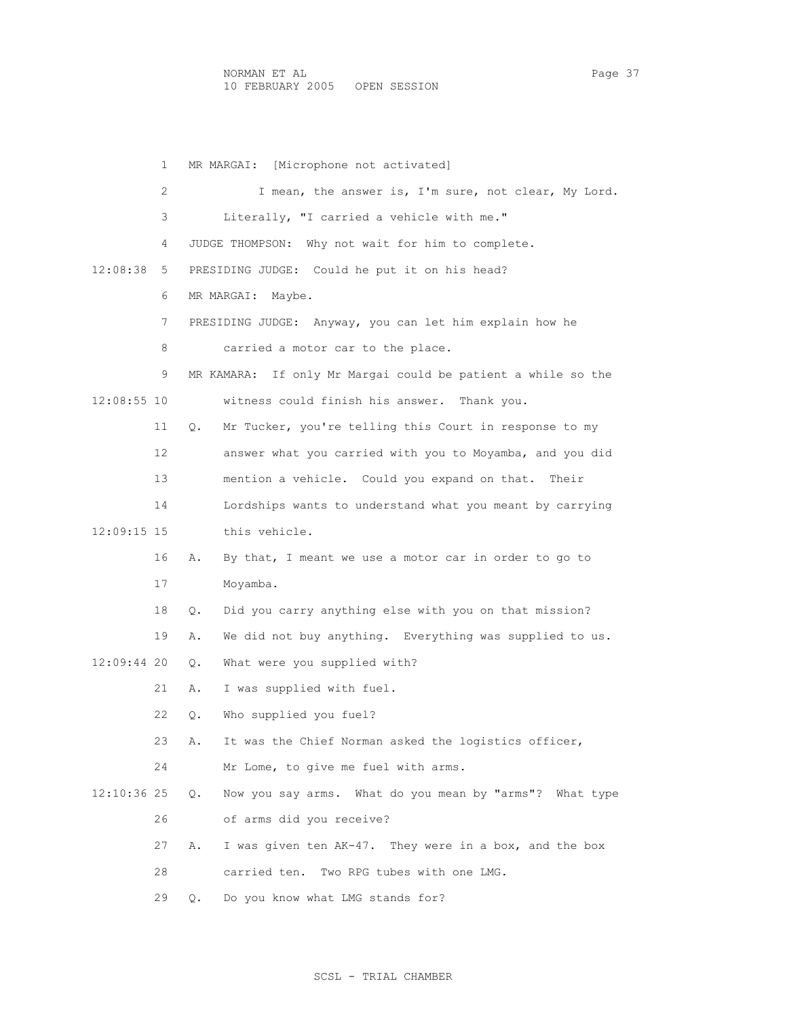1 MR MARGAI: [Microphone not activated] 2 I mean, the answer is, I'm sure, not clear, My Lord. 3 Literally, "I carried a vehicle with me." 4 JUDGE THOMPSON: Why not wait for him to complete. 12:08:38 5 PRESIDING JUDGE: Could he put it on his head? 6 MR MARGAI: Maybe. 7 PRESIDING JUDGE: Anyway, you can let him explain how he 8 carried a motor car to the place. 9 MR KAMARA: If only Mr Margai could be patient a while so the 12:08:55 10 witness could finish his answer. Thank you. 11 Q. Mr Tucker, you're telling this Court in response to my 12 answer what you carried with you to Moyamba, and you did 13 mention a vehicle. Could you expand on that. Their 14 Lordships wants to understand what you meant by carrying 12:09:15 15 this vehicle. 16 A. By that, I meant we use a motor car in order to go to 17 Moyamba. 18 Q. Did you carry anything else with you on that mission? 19 A. We did not buy anything. Everything was supplied to us. 12:09:44 20 Q. What were you supplied with? 21 A. I was supplied with fuel. 22 Q. Who supplied you fuel? 23 A. It was the Chief Norman asked the logistics officer, 24 Mr Lome, to give me fuel with arms. 12:10:36 25 Q. Now you say arms. What do you mean by "arms"? What type 26 of arms did you receive? 27 A. I was given ten AK-47. They were in a box, and the box 28 carried ten. Two RPG tubes with one LMG. 29 Q. Do you know what LMG stands for?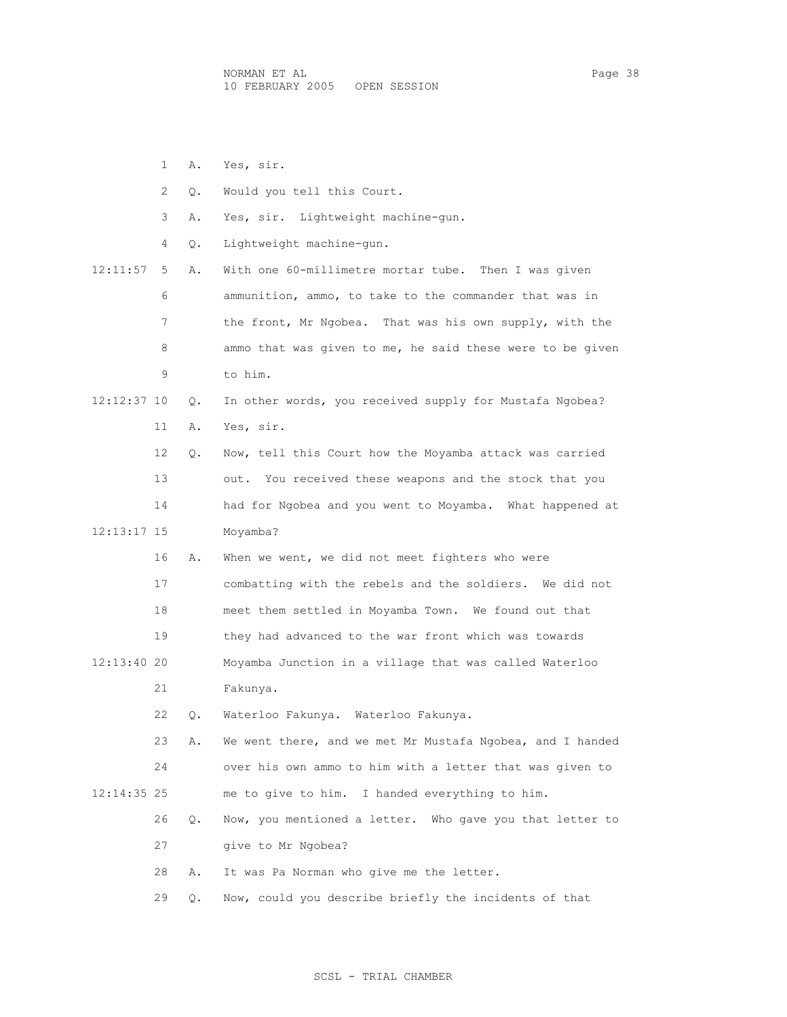1 A. Yes, sir. 2 Q. Would you tell this Court. 3 A. Yes, sir. Lightweight machine-gun. 4 Q. Lightweight machine-gun. 12:11:57 5 A. With one 60-millimetre mortar tube. Then I was given 6 ammunition, ammo, to take to the commander that was in 7 the front, Mr Ngobea. That was his own supply, with the 8 ammo that was given to me, he said these were to be given 9 to him. 12:12:37 10 Q. In other words, you received supply for Mustafa Ngobea? 11 A. Yes, sir. 12 Q. Now, tell this Court how the Moyamba attack was carried 13 out. You received these weapons and the stock that you 14 had for Ngobea and you went to Moyamba. What happened at 12:13:17 15 Moyamba? 16 A. When we went, we did not meet fighters who were 17 combatting with the rebels and the soldiers. We did not 18 meet them settled in Moyamba Town. We found out that 19 they had advanced to the war front which was towards 12:13:40 20 Moyamba Junction in a village that was called Waterloo 21 Fakunya. 22 Q. Waterloo Fakunya. Waterloo Fakunya. 23 A. We went there, and we met Mr Mustafa Ngobea, and I handed 24 over his own ammo to him with a letter that was given to 12:14:35 25 me to give to him. I handed everything to him. 26 Q. Now, you mentioned a letter. Who gave you that letter to 27 give to Mr Ngobea? 28 A. It was Pa Norman who give me the letter. 29 Q. Now, could you describe briefly the incidents of that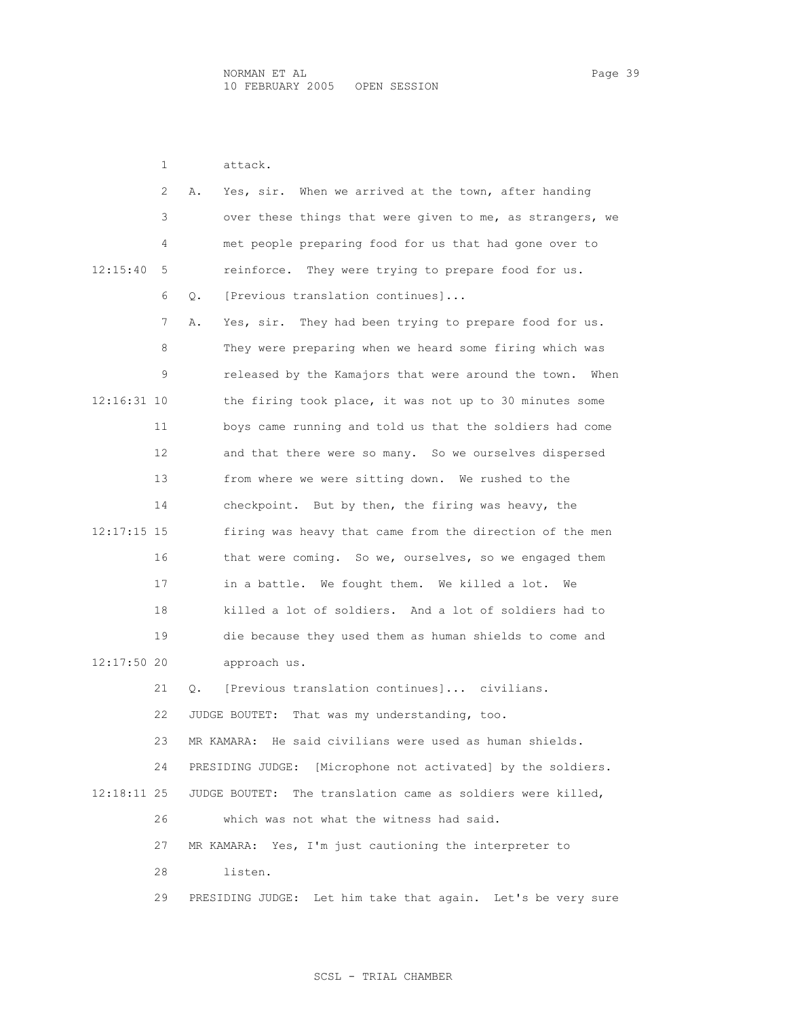1 attack.

 2 A. Yes, sir. When we arrived at the town, after handing 3 over these things that were given to me, as strangers, we 4 met people preparing food for us that had gone over to 12:15:40 5 reinforce. They were trying to prepare food for us. 6 Q. [Previous translation continues]... 7 A. Yes, sir. They had been trying to prepare food for us. 8 They were preparing when we heard some firing which was 9 released by the Kamajors that were around the town. When 12:16:31 10 the firing took place, it was not up to 30 minutes some 11 boys came running and told us that the soldiers had come 12 and that there were so many. So we ourselves dispersed 13 from where we were sitting down. We rushed to the 14 checkpoint. But by then, the firing was heavy, the 12:17:15 15 firing was heavy that came from the direction of the men 16 that were coming. So we, ourselves, so we engaged them 17 in a battle. We fought them. We killed a lot. We 18 killed a lot of soldiers. And a lot of soldiers had to 19 die because they used them as human shields to come and 12:17:50 20 approach us. 21 Q. [Previous translation continues]... civilians. 22 JUDGE BOUTET: That was my understanding, too. 23 MR KAMARA: He said civilians were used as human shields. 24 PRESIDING JUDGE: [Microphone not activated] by the soldiers. 12:18:11 25 JUDGE BOUTET: The translation came as soldiers were killed, 26 which was not what the witness had said. 27 MR KAMARA: Yes, I'm just cautioning the interpreter to 28 listen. 29 PRESIDING JUDGE: Let him take that again. Let's be very sure

## SCSL - TRIAL CHAMBER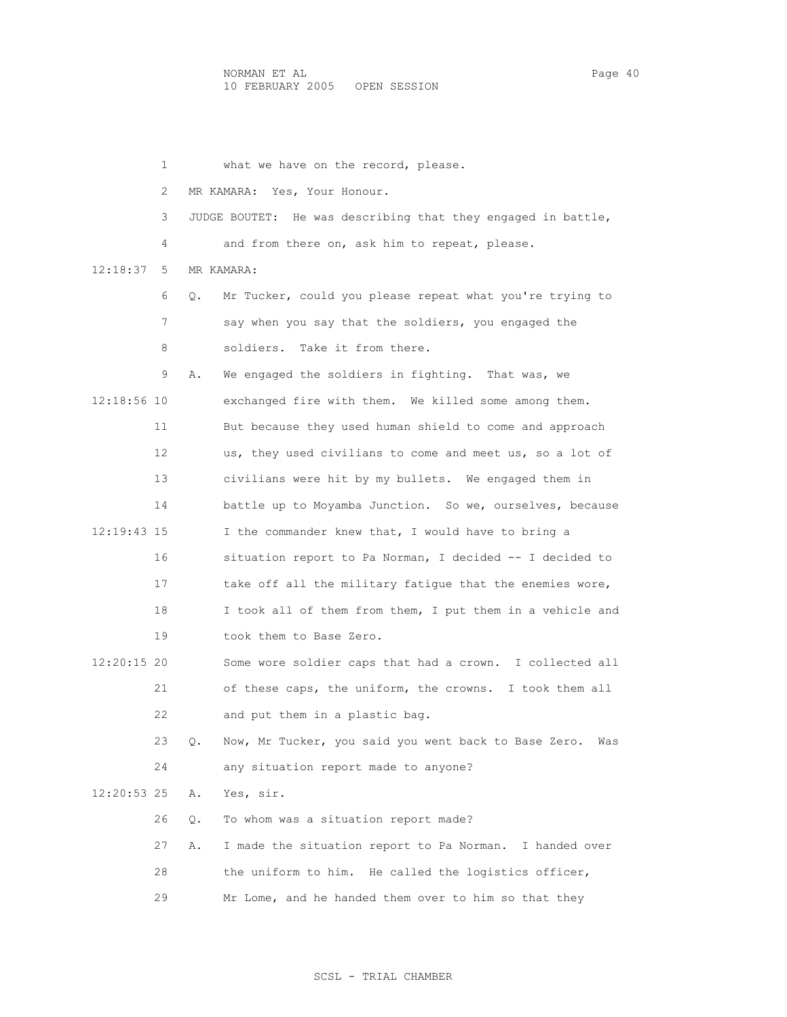1 what we have on the record, please. 2 MR KAMARA: Yes, Your Honour. 3 JUDGE BOUTET: He was describing that they engaged in battle, 4 and from there on, ask him to repeat, please. 12:18:37 5 MR KAMARA: 6 Q. Mr Tucker, could you please repeat what you're trying to 7 say when you say that the soldiers, you engaged the 8 soldiers. Take it from there. 9 A. We engaged the soldiers in fighting. That was, we 12:18:56 10 exchanged fire with them. We killed some among them. 11 But because they used human shield to come and approach 12 us, they used civilians to come and meet us, so a lot of 13 civilians were hit by my bullets. We engaged them in 14 battle up to Moyamba Junction. So we, ourselves, because 12:19:43 15 I the commander knew that, I would have to bring a 16 situation report to Pa Norman, I decided -- I decided to 17 take off all the military fatigue that the enemies wore, 18 I took all of them from them, I put them in a vehicle and 19 took them to Base Zero. 12:20:15 20 Some wore soldier caps that had a crown. I collected all 21 of these caps, the uniform, the crowns. I took them all 22 and put them in a plastic bag. 23 Q. Now, Mr Tucker, you said you went back to Base Zero. Was 24 any situation report made to anyone? 12:20:53 25 A. Yes, sir. 26 Q. To whom was a situation report made? 27 A. I made the situation report to Pa Norman. I handed over 28 the uniform to him. He called the logistics officer, 29 Mr Lome, and he handed them over to him so that they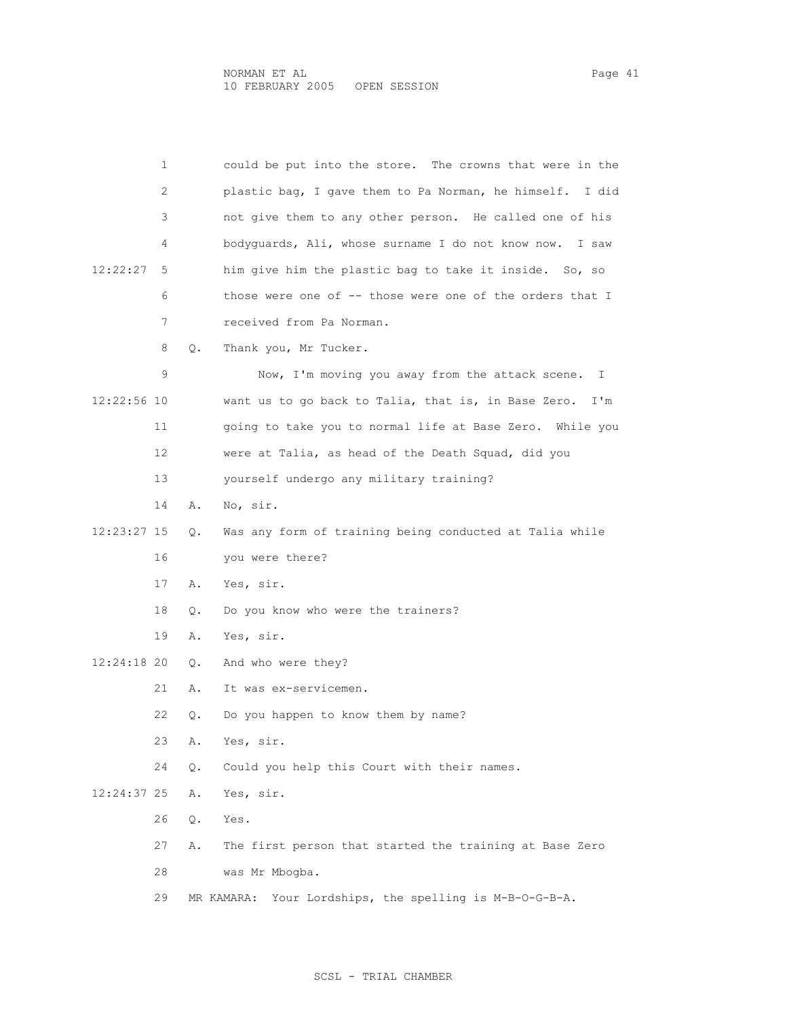|               | 1  |           | could be put into the store. The crowns that were in the   |
|---------------|----|-----------|------------------------------------------------------------|
|               | 2  |           | plastic bag, I gave them to Pa Norman, he himself. I did   |
|               | 3  |           | not give them to any other person. He called one of his    |
|               | 4  |           | bodyguards, Ali, whose surname I do not know now. I saw    |
| 12:22:27      | 5  |           | him give him the plastic bag to take it inside. So, so     |
|               | 6  |           | those were one of -- those were one of the orders that I   |
|               | 7  |           | received from Pa Norman.                                   |
|               | 8  | $\circ$ . | Thank you, Mr Tucker.                                      |
|               | 9  |           | Now, I'm moving you away from the attack scene.<br>T       |
| 12:22:56 10   |    |           | want us to go back to Talia, that is, in Base Zero.<br>I'm |
|               | 11 |           | going to take you to normal life at Base Zero. While you   |
|               | 12 |           | were at Talia, as head of the Death Squad, did you         |
|               | 13 |           | yourself undergo any military training?                    |
|               | 14 | Α.        | No, sir.                                                   |
| 12:23:27 15   |    | О.        | Was any form of training being conducted at Talia while    |
|               | 16 |           | you were there?                                            |
|               | 17 | Α.        | Yes, sir.                                                  |
|               | 18 | О.        | Do you know who were the trainers?                         |
|               | 19 | Α.        | Yes, sir.                                                  |
| $12:24:18$ 20 |    | Q.        | And who were they?                                         |
|               | 21 | Α.        | It was ex-servicemen.                                      |
|               | 22 | Q.        | Do you happen to know them by name?                        |
|               | 23 | Α.        | Yes, sir.                                                  |
|               | 24 | Q.        | Could you help this Court with their names.                |
| 12:24:37 25   |    | Α.        | Yes, sir.                                                  |
|               | 26 | Q.        | Yes.                                                       |
|               | 27 | Α.        | The first person that started the training at Base Zero    |
|               | 28 |           | was Mr Mbogba.                                             |
|               | 29 |           | Your Lordships, the spelling is M-B-O-G-B-A.<br>MR KAMARA: |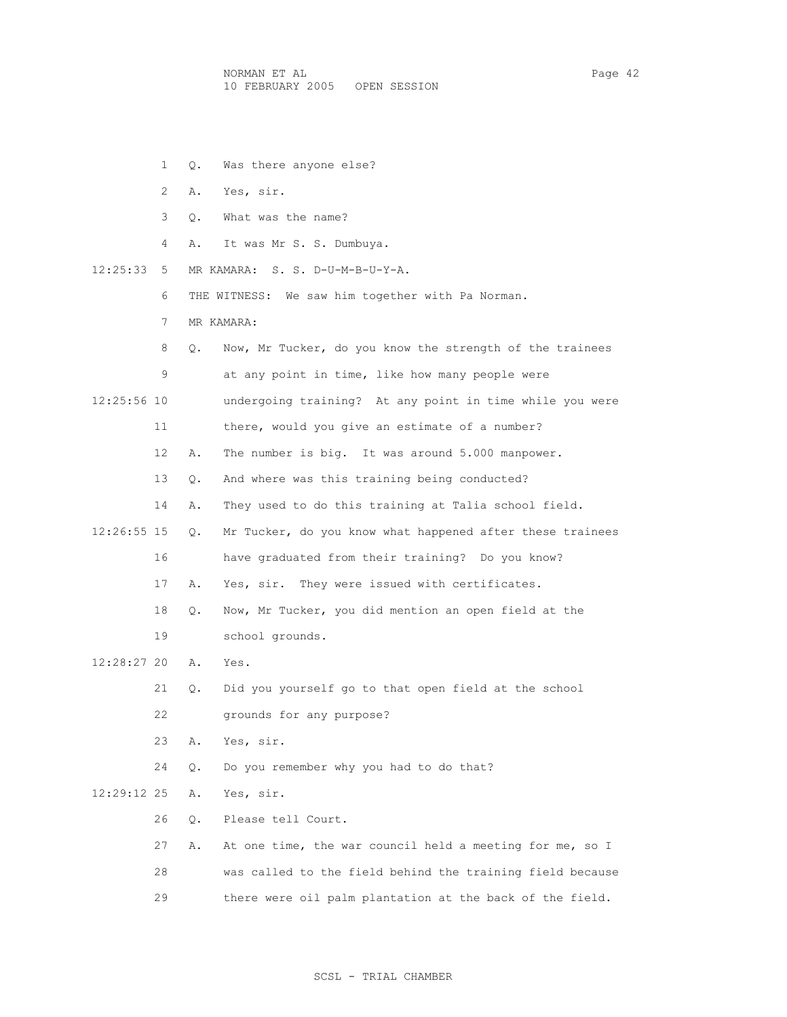1 Q. Was there anyone else? 2 A. Yes, sir. 3 Q. What was the name? 4 A. It was Mr S. S. Dumbuya. 12:25:33 5 MR KAMARA: S. S. D-U-M-B-U-Y-A. 6 THE WITNESS: We saw him together with Pa Norman. 7 MR KAMARA: 8 Q. Now, Mr Tucker, do you know the strength of the trainees 9 at any point in time, like how many people were 12:25:56 10 undergoing training? At any point in time while you were 11 there, would you give an estimate of a number? 12 A. The number is big. It was around 5.000 manpower. 13 Q. And where was this training being conducted? 14 A. They used to do this training at Talia school field. 12:26:55 15 Q. Mr Tucker, do you know what happened after these trainees 16 have graduated from their training? Do you know? 17 A. Yes, sir. They were issued with certificates. 18 Q. Now, Mr Tucker, you did mention an open field at the 19 school grounds. 12:28:27 20 A. Yes. 21 Q. Did you yourself go to that open field at the school 22 grounds for any purpose? 23 A. Yes, sir. 24 Q. Do you remember why you had to do that? 12:29:12 25 A. Yes, sir. 26 Q. Please tell Court. 27 A. At one time, the war council held a meeting for me, so I 28 was called to the field behind the training field because 29 there were oil palm plantation at the back of the field.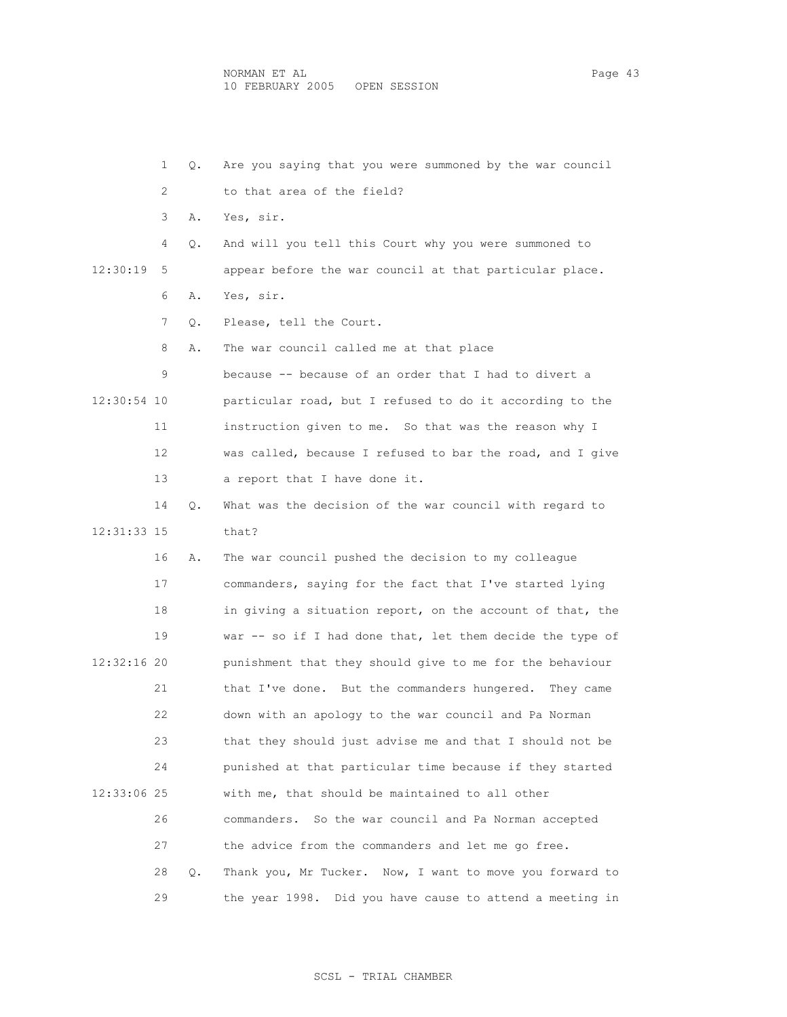1 Q. Are you saying that you were summoned by the war council 2 to that area of the field? 3 A. Yes, sir. 4 Q. And will you tell this Court why you were summoned to 12:30:19 5 appear before the war council at that particular place. 6 A. Yes, sir. 7 Q. Please, tell the Court. 8 A. The war council called me at that place 9 because -- because of an order that I had to divert a 12:30:54 10 particular road, but I refused to do it according to the 11 instruction given to me. So that was the reason why I 12 was called, because I refused to bar the road, and I give 13 a report that I have done it. 14 Q. What was the decision of the war council with regard to 12:31:33 15 that? 16 A. The war council pushed the decision to my colleague 17 commanders, saying for the fact that I've started lying 18 in giving a situation report, on the account of that, the 19 war -- so if I had done that, let them decide the type of 12:32:16 20 punishment that they should give to me for the behaviour 21 that I've done. But the commanders hungered. They came 22 down with an apology to the war council and Pa Norman 23 that they should just advise me and that I should not be 24 punished at that particular time because if they started 12:33:06 25 with me, that should be maintained to all other 26 commanders. So the war council and Pa Norman accepted 27 the advice from the commanders and let me go free. 28 Q. Thank you, Mr Tucker. Now, I want to move you forward to 29 the year 1998. Did you have cause to attend a meeting in

SCSL - TRIAL CHAMBER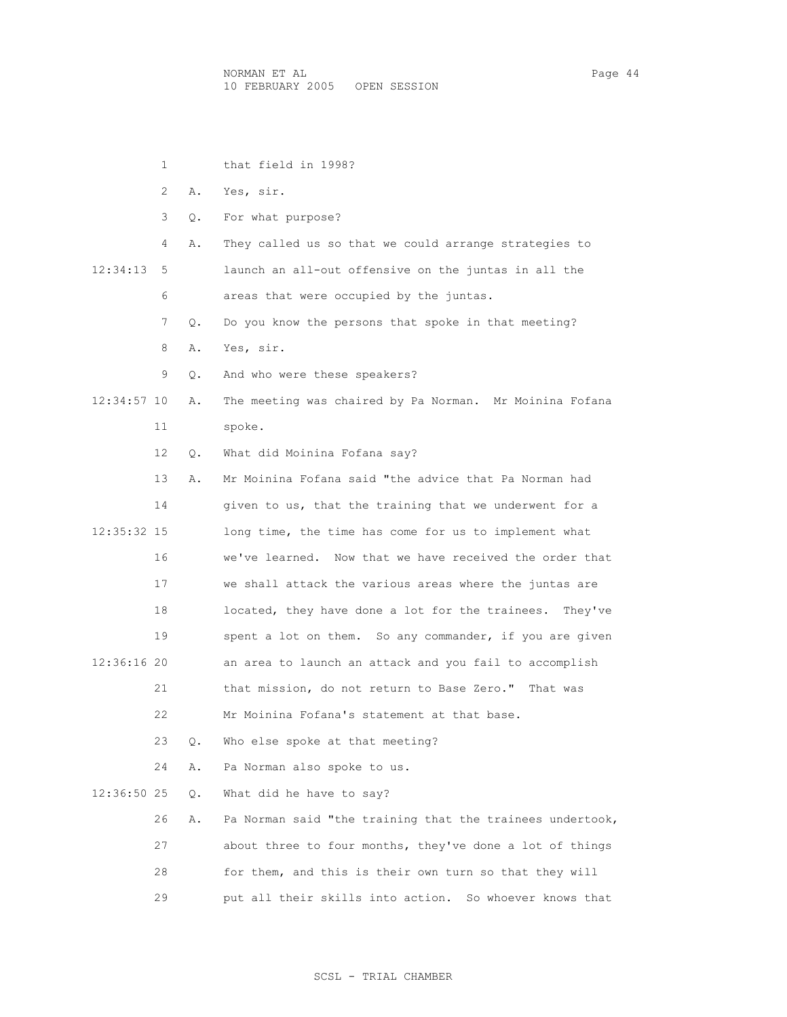1 that field in 1998?

|             | 2  | Α. | Yes, sir.                                                  |
|-------------|----|----|------------------------------------------------------------|
|             | 3  | Q. | For what purpose?                                          |
|             | 4  | Α. | They called us so that we could arrange strategies to      |
| 12:34:13    | 5  |    | launch an all-out offensive on the juntas in all the       |
|             | 6  |    | areas that were occupied by the juntas.                    |
|             | 7  | О. | Do you know the persons that spoke in that meeting?        |
|             | 8  | Α. | Yes, sir.                                                  |
|             | 9  | О. | And who were these speakers?                               |
| 12:34:57 10 |    | Α. | The meeting was chaired by Pa Norman. Mr Moinina Fofana    |
|             | 11 |    | spoke.                                                     |
|             | 12 | Q. | What did Moinina Fofana say?                               |
|             | 13 | Α. | Mr Moinina Fofana said "the advice that Pa Norman had      |
|             | 14 |    | given to us, that the training that we underwent for a     |
| 12:35:32 15 |    |    | long time, the time has come for us to implement what      |
|             | 16 |    | we've learned. Now that we have received the order that    |
|             | 17 |    | we shall attack the various areas where the juntas are     |
|             | 18 |    | located, they have done a lot for the trainees.<br>They've |
|             | 19 |    | spent a lot on them. So any commander, if you are given    |
| 12:36:16 20 |    |    | an area to launch an attack and you fail to accomplish     |
|             | 21 |    | that mission, do not return to Base Zero." That was        |
|             | 22 |    | Mr Moinina Fofana's statement at that base.                |
|             | 23 | Q. | Who else spoke at that meeting?                            |
|             | 24 | Α. | Pa Norman also spoke to us.                                |
| 12:36:50 25 |    | Q. | What did he have to say?                                   |
|             | 26 | Α. | Pa Norman said "the training that the trainees undertook,  |
|             | 27 |    | about three to four months, they've done a lot of things   |
|             | 28 |    | for them, and this is their own turn so that they will     |
|             | 29 |    | put all their skills into action.<br>So whoever knows that |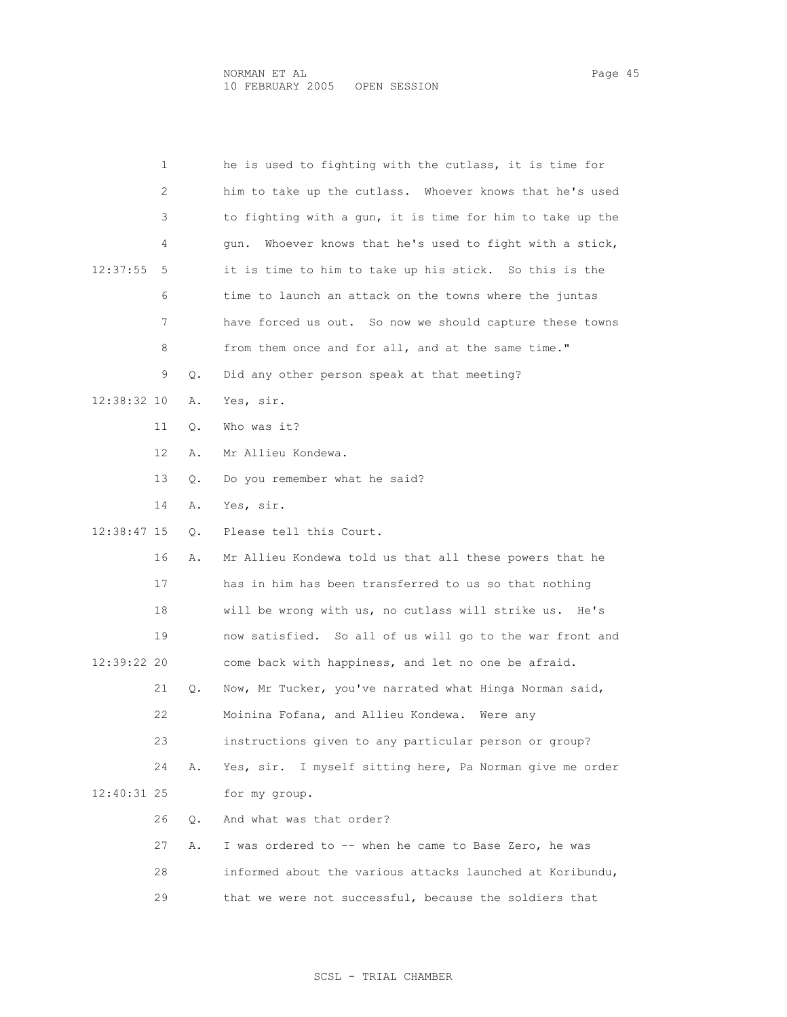|             | 1  |    | he is used to fighting with the cutlass, it is time for     |
|-------------|----|----|-------------------------------------------------------------|
|             | 2  |    | him to take up the cutlass. Whoever knows that he's used    |
|             | 3  |    | to fighting with a gun, it is time for him to take up the   |
|             | 4  |    | Whoever knows that he's used to fight with a stick,<br>qun. |
| 12:37:55    | 5  |    | it is time to him to take up his stick. So this is the      |
|             | 6  |    | time to launch an attack on the towns where the juntas      |
|             | 7  |    | have forced us out. So now we should capture these towns    |
|             | 8  |    | from them once and for all, and at the same time."          |
|             | 9  | Q. | Did any other person speak at that meeting?                 |
| 12:38:32 10 |    | Α. | Yes, sir.                                                   |
|             | 11 | О. | Who was it?                                                 |
|             | 12 | Α. | Mr Allieu Kondewa.                                          |
|             | 13 | О. | Do you remember what he said?                               |
|             | 14 | Α. | Yes, sir.                                                   |
| 12:38:47 15 |    | О. | Please tell this Court.                                     |
|             | 16 | Α. | Mr Allieu Kondewa told us that all these powers that he     |
|             | 17 |    | has in him has been transferred to us so that nothing       |
|             | 18 |    | will be wrong with us, no cutlass will strike us.<br>He's   |
|             | 19 |    | now satisfied. So all of us will go to the war front and    |
| 12:39:22 20 |    |    | come back with happiness, and let no one be afraid.         |
|             | 21 | Q. | Now, Mr Tucker, you've narrated what Hinga Norman said,     |
|             | 22 |    | Moinina Fofana, and Allieu Kondewa.<br>Were any             |
|             | 23 |    | instructions given to any particular person or group?       |
|             | 24 | Α. | Yes, sir. I myself sitting here, Pa Norman give me order    |
| 12:40:31 25 |    |    | for my group.                                               |
|             | 26 | О. | And what was that order?                                    |
|             | 27 | Α. | I was ordered to -- when he came to Base Zero, he was       |
|             | 28 |    | informed about the various attacks launched at Koribundu,   |
|             | 29 |    | that we were not successful, because the soldiers that      |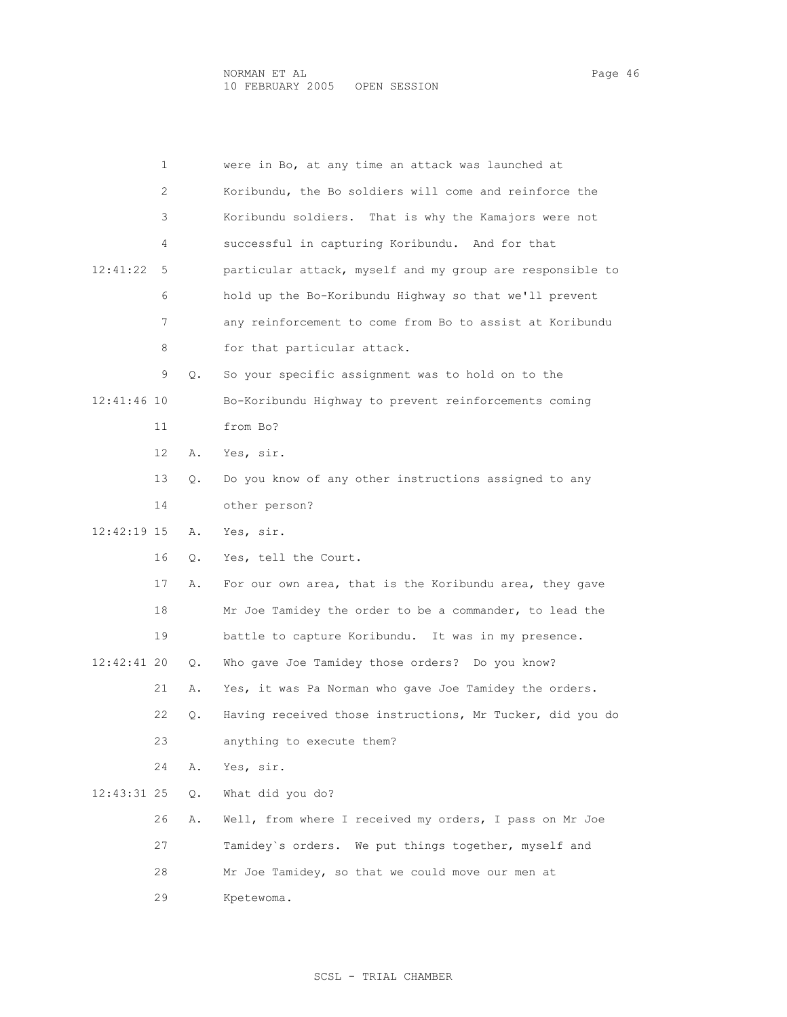|             | 1  |    | were in Bo, at any time an attack was launched at         |
|-------------|----|----|-----------------------------------------------------------|
|             | 2  |    | Koribundu, the Bo soldiers will come and reinforce the    |
|             | 3  |    | Koribundu soldiers. That is why the Kamajors were not     |
|             | 4  |    | successful in capturing Koribundu. And for that           |
| 12:41:22    | 5  |    | particular attack, myself and my group are responsible to |
|             | 6  |    | hold up the Bo-Koribundu Highway so that we'll prevent    |
|             | 7  |    | any reinforcement to come from Bo to assist at Koribundu  |
|             | 8  |    | for that particular attack.                               |
|             | 9  | Q. | So your specific assignment was to hold on to the         |
| 12:41:46 10 |    |    | Bo-Koribundu Highway to prevent reinforcements coming     |
|             | 11 |    | from Bo?                                                  |
|             | 12 | Α. | Yes, sir.                                                 |
|             | 13 | О. | Do you know of any other instructions assigned to any     |
|             | 14 |    | other person?                                             |
| 12:42:19 15 |    | Α. | Yes, sir.                                                 |
|             | 16 | Q. | Yes, tell the Court.                                      |
|             | 17 | Α. | For our own area, that is the Koribundu area, they gave   |
|             | 18 |    | Mr Joe Tamidey the order to be a commander, to lead the   |
|             | 19 |    | battle to capture Koribundu. It was in my presence.       |
| 12:42:41 20 |    | О. | Who gave Joe Tamidey those orders? Do you know?           |
|             | 21 | Α. | Yes, it was Pa Norman who gave Joe Tamidey the orders.    |
|             | 22 | Q. | Having received those instructions, Mr Tucker, did you do |
|             | 23 |    | anything to execute them?                                 |
|             | 24 | Α. | Yes, sir.                                                 |
| 12:43:31 25 |    | Q. | What did you do?                                          |
|             | 26 | Α. | Well, from where I received my orders, I pass on Mr Joe   |
|             | 27 |    | Tamidey's orders. We put things together, myself and      |
|             | 28 |    | Mr Joe Tamidey, so that we could move our men at          |
|             | 29 |    | Kpetewoma.                                                |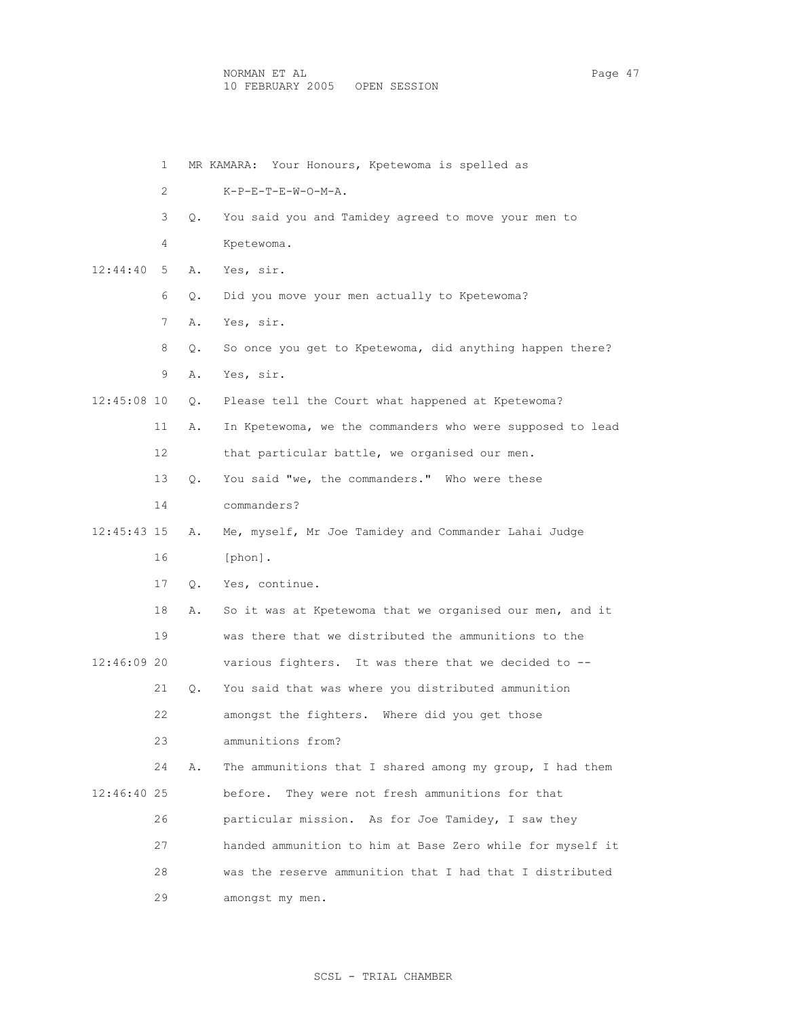|             | 1  |    | MR KAMARA: Your Honours, Kpetewoma is spelled as          |
|-------------|----|----|-----------------------------------------------------------|
|             | 2  |    | $K-P-E-T-E-W-O-M-A$ .                                     |
|             | 3  | Q. | You said you and Tamidey agreed to move your men to       |
|             | 4  |    | Kpetewoma.                                                |
| 12:44:40    | 5  | Α. | Yes, sir.                                                 |
|             | 6  | Q. | Did you move your men actually to Kpetewoma?              |
|             | 7  | Α. | Yes, sir.                                                 |
|             | 8  | О. | So once you get to Kpetewoma, did anything happen there?  |
|             | 9  | Α. | Yes, sir.                                                 |
| 12:45:08 10 |    | Q. | Please tell the Court what happened at Kpetewoma?         |
|             | 11 | Α. | In Kpetewoma, we the commanders who were supposed to lead |
|             | 12 |    | that particular battle, we organised our men.             |
|             | 13 | О. | You said "we, the commanders." Who were these             |
|             | 14 |    | commanders?                                               |
| 12:45:43 15 |    | Α. | Me, myself, Mr Joe Tamidey and Commander Lahai Judge      |
|             | 16 |    | [phon].                                                   |
|             | 17 | Q. | Yes, continue.                                            |
|             | 18 | Α. | So it was at Kpetewoma that we organised our men, and it  |
|             | 19 |    | was there that we distributed the ammunitions to the      |
| 12:46:09 20 |    |    | various fighters. It was there that we decided to --      |
|             | 21 | Q. | You said that was where you distributed ammunition        |
|             | 22 |    | amongst the fighters. Where did you get those             |
|             | 23 |    | ammunitions from?                                         |
|             | 24 | Α. | The ammunitions that I shared among my group, I had them  |
| 12:46:40 25 |    |    | before.<br>They were not fresh ammunitions for that       |
|             | 26 |    | particular mission. As for Joe Tamidey, I saw they        |
|             | 27 |    | handed ammunition to him at Base Zero while for myself it |
|             | 28 |    | was the reserve ammunition that I had that I distributed  |
|             | 29 |    | amongst my men.                                           |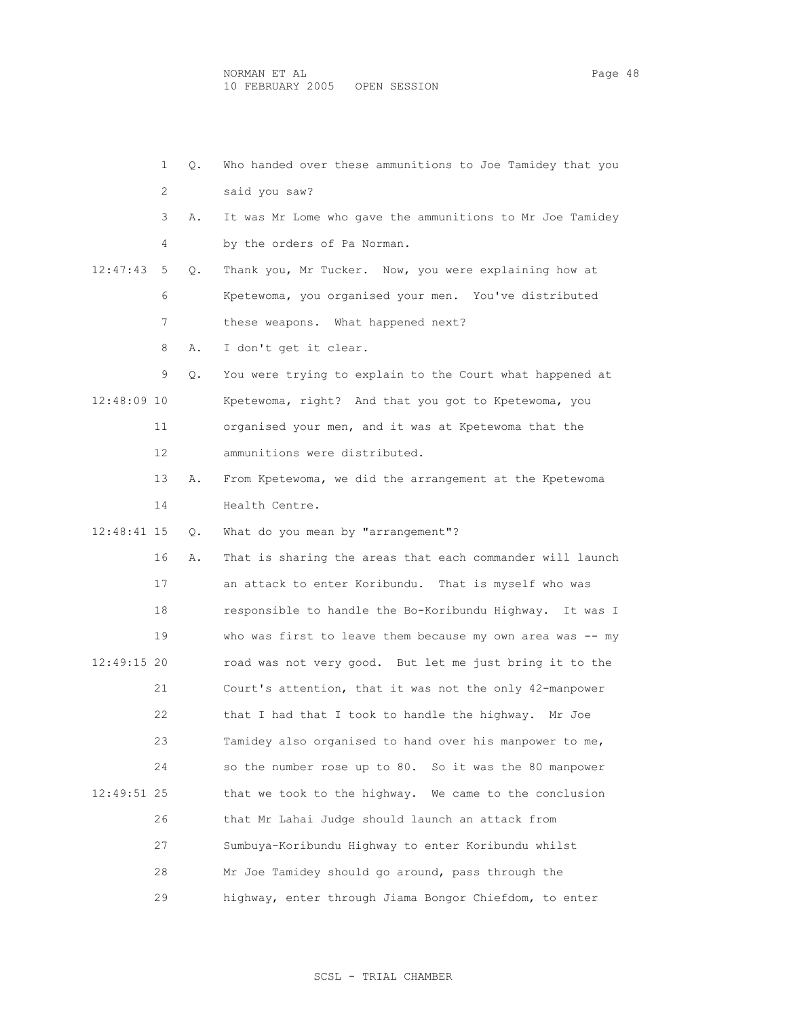|             | $\mathbf{1}$ | Q. | Who handed over these ammunitions to Joe Tamidey that you  |
|-------------|--------------|----|------------------------------------------------------------|
|             | 2            |    | said you saw?                                              |
|             | 3            | Α. | It was Mr Lome who gave the ammunitions to Mr Joe Tamidey  |
|             | 4            |    | by the orders of Pa Norman.                                |
| 12:47:43    | 5            | Q. | Thank you, Mr Tucker. Now, you were explaining how at      |
|             | 6            |    | Kpetewoma, you organised your men. You've distributed      |
|             | 7            |    | these weapons. What happened next?                         |
|             | 8            | Α. | I don't get it clear.                                      |
|             | 9            | Q. | You were trying to explain to the Court what happened at   |
| 12:48:09 10 |              |    | Kpetewoma, right? And that you got to Kpetewoma, you       |
|             | 11           |    | organised your men, and it was at Kpetewoma that the       |
|             | 12           |    | ammunitions were distributed.                              |
|             | 13           | Α. | From Kpetewoma, we did the arrangement at the Kpetewoma    |
|             | 14           |    | Health Centre.                                             |
| 12:48:41 15 |              | Q. | What do you mean by "arrangement"?                         |
|             | 16           | Α. | That is sharing the areas that each commander will launch  |
|             | 17           |    | an attack to enter Koribundu. That is myself who was       |
|             | 18           |    | responsible to handle the Bo-Koribundu Highway. It was I   |
|             | 19           |    | who was first to leave them because my own area was $-$ my |
| 12:49:15 20 |              |    | road was not very good. But let me just bring it to the    |
|             | 21           |    | Court's attention, that it was not the only 42-manpower    |
|             | 22           |    | that I had that I took to handle the highway.<br>Mr Joe    |
|             | 23           |    | Tamidey also organised to hand over his manpower to me,    |
|             | 24           |    | so the number rose up to 80. So it was the 80 manpower     |
| 12:49:51 25 |              |    | that we took to the highway. We came to the conclusion     |
|             | 26           |    | that Mr Lahai Judge should launch an attack from           |
|             | 27           |    | Sumbuya-Koribundu Highway to enter Koribundu whilst        |
|             | 28           |    | Mr Joe Tamidey should go around, pass through the          |
|             | 29           |    | highway, enter through Jiama Bongor Chiefdom, to enter     |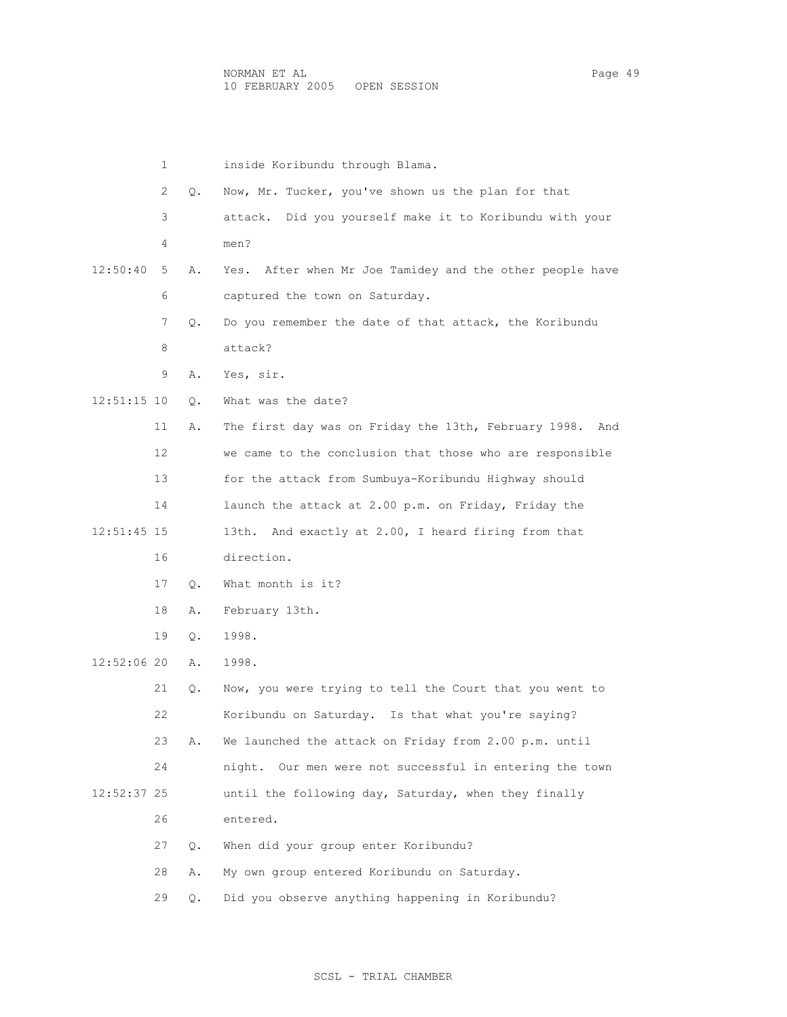|               | 1  |    | inside Koribundu through Blama.                             |
|---------------|----|----|-------------------------------------------------------------|
|               | 2  | Q. | Now, Mr. Tucker, you've shown us the plan for that          |
|               | 3  |    | Did you yourself make it to Koribundu with your<br>attack.  |
|               | 4  |    | men?                                                        |
| 12:50:40      | 5  | Α. | After when Mr Joe Tamidey and the other people have<br>Yes. |
|               | 6  |    | captured the town on Saturday.                              |
|               | 7  | Q. | Do you remember the date of that attack, the Koribundu      |
|               | 8  |    | attack?                                                     |
|               | 9  | Α. | Yes, sir.                                                   |
| 12:51:15 10   |    | Q. | What was the date?                                          |
|               | 11 | Α. | The first day was on Friday the 13th, February 1998.<br>And |
|               | 12 |    | we came to the conclusion that those who are responsible    |
|               | 13 |    | for the attack from Sumbuya-Koribundu Highway should        |
|               | 14 |    | launch the attack at 2.00 p.m. on Friday, Friday the        |
| $12:51:45$ 15 |    |    | 13th. And exactly at 2.00, I heard firing from that         |
|               | 16 |    | direction.                                                  |
|               | 17 | О. | What month is it?                                           |
|               | 18 | Α. | February 13th.                                              |
|               | 19 | Q. | 1998.                                                       |
| 12:52:06 20   |    | Α. | 1998.                                                       |
|               | 21 | Q. | Now, you were trying to tell the Court that you went to     |
|               | 22 |    | Koribundu on Saturday. Is that what you're saying?          |
|               | 23 | Α. | We launched the attack on Friday from 2.00 p.m. until       |
|               | 24 |    | night. Our men were not successful in entering the town     |
| 12:52:37 25   |    |    | until the following day, Saturday, when they finally        |
|               | 26 |    | entered.                                                    |
|               | 27 | Q. | When did your group enter Koribundu?                        |
|               | 28 | Α. | My own group entered Koribundu on Saturday.                 |
|               | 29 | Q. | Did you observe anything happening in Koribundu?            |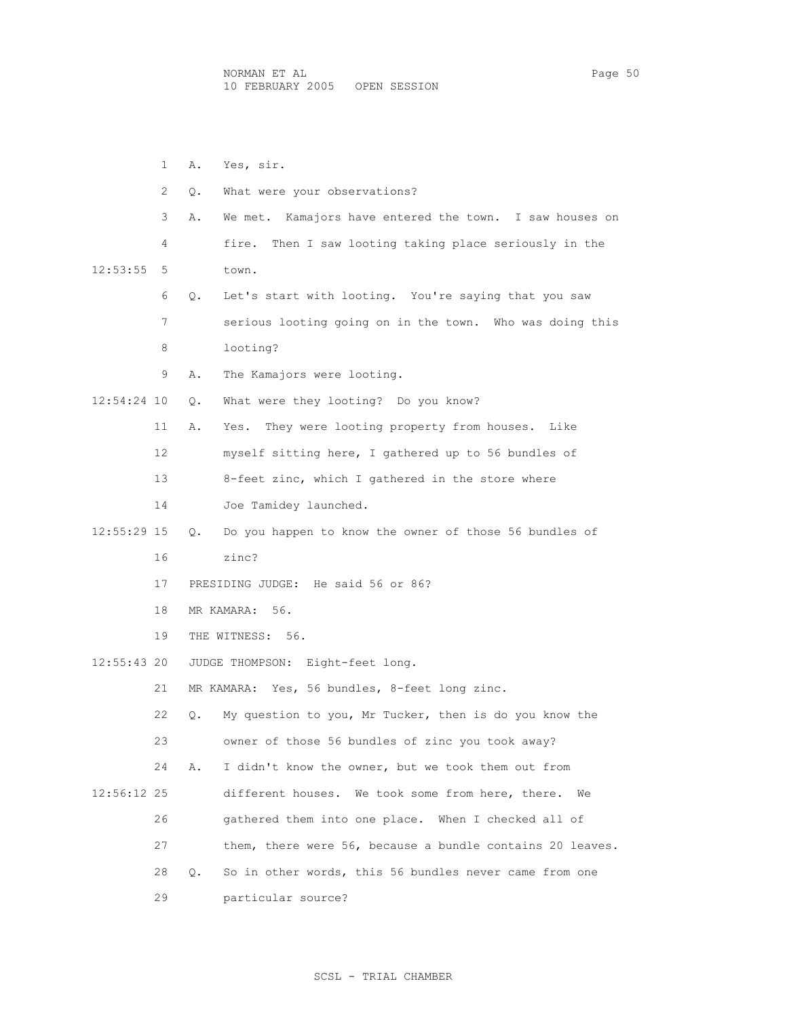1 A. Yes, sir. 2 Q. What were your observations? 3 A. We met. Kamajors have entered the town. I saw houses on 4 fire. Then I saw looting taking place seriously in the 12:53:55 5 town. 6 Q. Let's start with looting. You're saying that you saw 7 serious looting going on in the town. Who was doing this 8 looting? 9 A. The Kamajors were looting. 12:54:24 10 Q. What were they looting? Do you know? 11 A. Yes. They were looting property from houses. Like 12 myself sitting here, I gathered up to 56 bundles of 13 8-feet zinc, which I gathered in the store where 14 Joe Tamidey launched. 12:55:29 15 Q. Do you happen to know the owner of those 56 bundles of 16 zinc? 17 PRESIDING JUDGE: He said 56 or 86? 18 MR KAMARA: 56. 19 THE WITNESS: 56. 12:55:43 20 JUDGE THOMPSON: Eight-feet long. 21 MR KAMARA: Yes, 56 bundles, 8-feet long zinc. 22 Q. My question to you, Mr Tucker, then is do you know the 23 owner of those 56 bundles of zinc you took away? 24 A. I didn't know the owner, but we took them out from 12:56:12 25 different houses. We took some from here, there. We 26 gathered them into one place. When I checked all of 27 them, there were 56, because a bundle contains 20 leaves. 28 Q. So in other words, this 56 bundles never came from one 29 particular source?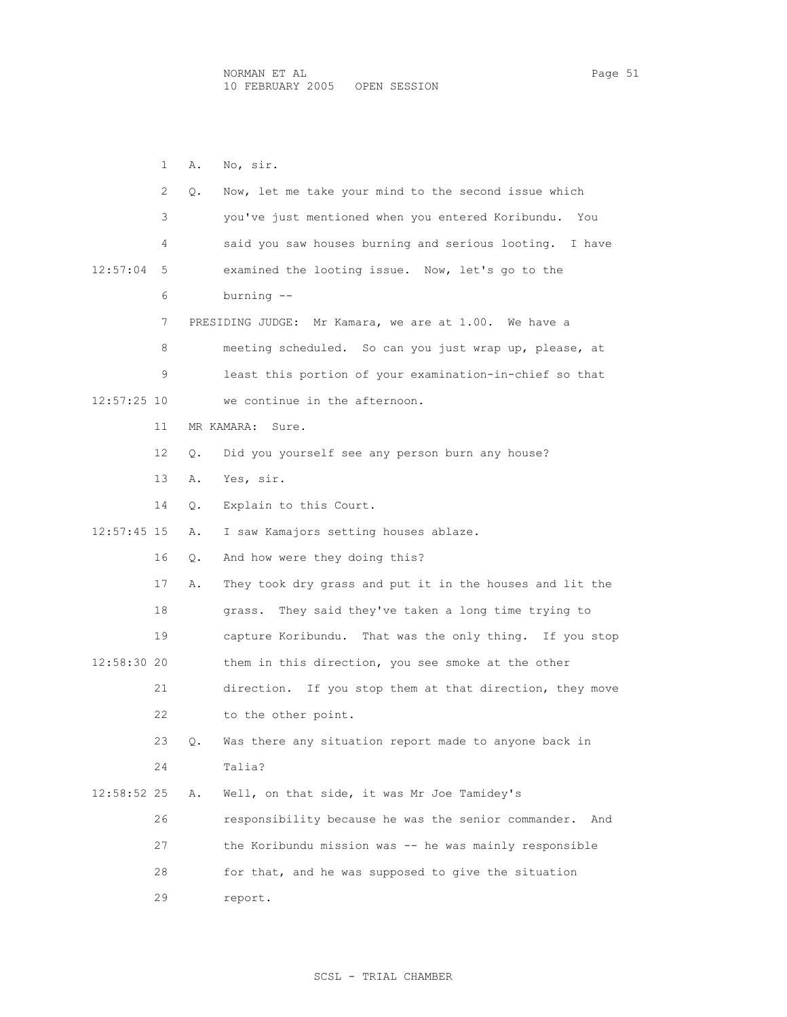1 A. No, sir. 2 Q. Now, let me take your mind to the second issue which 3 you've just mentioned when you entered Koribundu. You 4 said you saw houses burning and serious looting. I have 12:57:04 5 examined the looting issue. Now, let's go to the 6 burning -- 7 PRESIDING JUDGE: Mr Kamara, we are at 1.00. We have a 8 meeting scheduled. So can you just wrap up, please, at 9 least this portion of your examination-in-chief so that 12:57:25 10 we continue in the afternoon. 11 MR KAMARA: Sure. 12 Q. Did you yourself see any person burn any house? 13 A. Yes, sir. 14 Q. Explain to this Court. 12:57:45 15 A. I saw Kamajors setting houses ablaze. 16 Q. And how were they doing this? 17 A. They took dry grass and put it in the houses and lit the 18 grass. They said they've taken a long time trying to 19 capture Koribundu. That was the only thing. If you stop 12:58:30 20 them in this direction, you see smoke at the other 21 direction. If you stop them at that direction, they move 22 to the other point. 23 Q. Was there any situation report made to anyone back in 24 Talia? 12:58:52 25 A. Well, on that side, it was Mr Joe Tamidey's 26 responsibility because he was the senior commander. And 27 the Koribundu mission was -- he was mainly responsible 28 for that, and he was supposed to give the situation 29 report.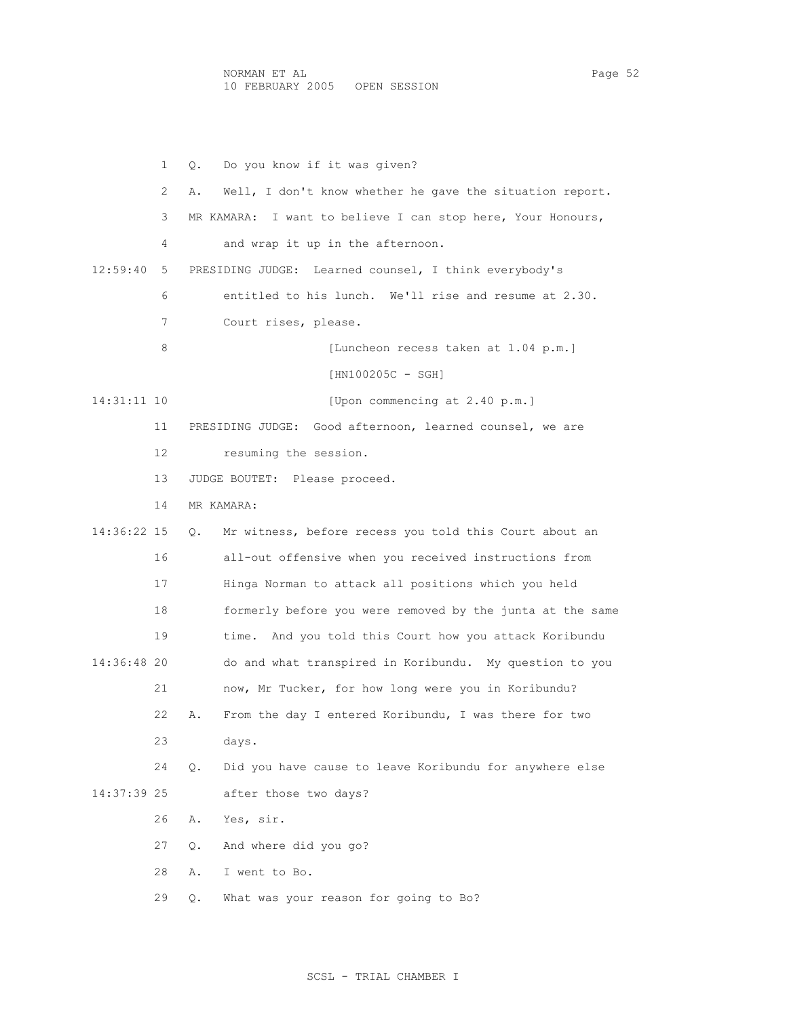1 Q. Do you know if it was given? 2 A. Well, I don't know whether he gave the situation report. 3 MR KAMARA: I want to believe I can stop here, Your Honours, 4 and wrap it up in the afternoon. 12:59:40 5 PRESIDING JUDGE: Learned counsel, I think everybody's 6 entitled to his lunch. We'll rise and resume at 2.30. 7 Court rises, please. 8 [Luncheon recess taken at 1.04 p.m.] [HN100205C - SGH] 14:31:11 10 [Upon commencing at 2.40 p.m.] 11 PRESIDING JUDGE: Good afternoon, learned counsel, we are 12 resuming the session. 13 JUDGE BOUTET: Please proceed. 14 MR KAMARA: 14:36:22 15 Q. Mr witness, before recess you told this Court about an 16 all-out offensive when you received instructions from 17 Hinga Norman to attack all positions which you held 18 formerly before you were removed by the junta at the same 19 time. And you told this Court how you attack Koribundu 14:36:48 20 do and what transpired in Koribundu. My question to you 21 now, Mr Tucker, for how long were you in Koribundu? 22 A. From the day I entered Koribundu, I was there for two 23 days. 24 Q. Did you have cause to leave Koribundu for anywhere else 14:37:39 25 after those two days? 26 A. Yes, sir. 27 Q. And where did you go? 28 A. I went to Bo. 29 Q. What was your reason for going to Bo?

## SCSL - TRIAL CHAMBER I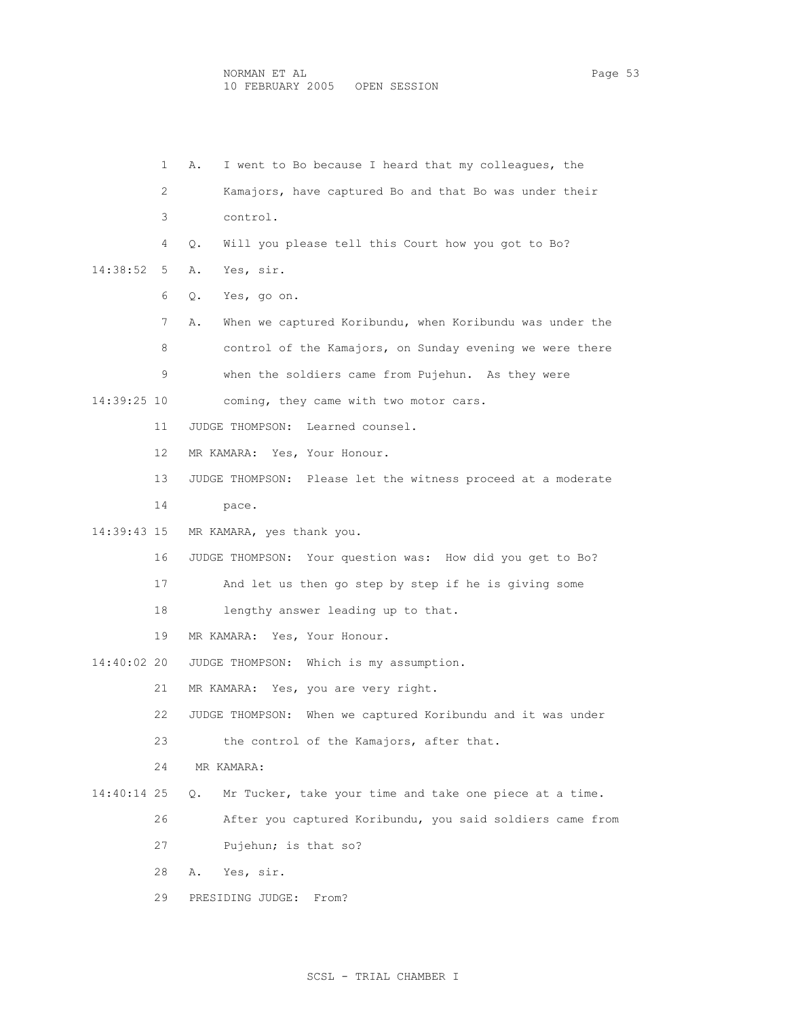|             | 1  | I went to Bo because I heard that my colleagues, the<br>Α.     |
|-------------|----|----------------------------------------------------------------|
|             | 2  | Kamajors, have captured Bo and that Bo was under their         |
|             | 3  | control.                                                       |
|             | 4  | Will you please tell this Court how you got to Bo?<br>Q.       |
| 14:38:52    | 5  | Yes, sir.<br>Α.                                                |
|             | 6  | Yes, go on.<br>$\circ$ .                                       |
|             | 7  | When we captured Koribundu, when Koribundu was under the<br>Α. |
|             | 8  | control of the Kamajors, on Sunday evening we were there       |
|             | 9  | when the soldiers came from Pujehun. As they were              |
| 14:39:25 10 |    | coming, they came with two motor cars.                         |
|             | 11 | JUDGE THOMPSON: Learned counsel.                               |
|             | 12 | MR KAMARA: Yes, Your Honour.                                   |
|             | 13 | JUDGE THOMPSON: Please let the witness proceed at a moderate   |
|             | 14 | pace.                                                          |
| 14:39:43 15 |    | MR KAMARA, yes thank you.                                      |
|             | 16 | JUDGE THOMPSON: Your question was: How did you get to Bo?      |
|             | 17 | And let us then go step by step if he is giving some           |
|             | 18 | lengthy answer leading up to that.                             |
|             | 19 | MR KAMARA: Yes, Your Honour.                                   |
| 14:40:02 20 |    | Which is my assumption.<br>JUDGE THOMPSON:                     |
|             | 21 | MR KAMARA: Yes, you are very right.                            |
|             | 22 | When we captured Koribundu and it was under<br>JUDGE THOMPSON: |
|             | 23 | the control of the Kamajors, after that.                       |
|             | 24 | MR KAMARA:                                                     |
| 14:40:14 25 |    | Mr Tucker, take your time and take one piece at a time.<br>О.  |
|             | 26 | After you captured Koribundu, you said soldiers came from      |
|             | 27 | Pujehun; is that so?                                           |
|             | 28 | Yes, sir.<br>Α.                                                |
|             | 29 | PRESIDING JUDGE:<br>From?                                      |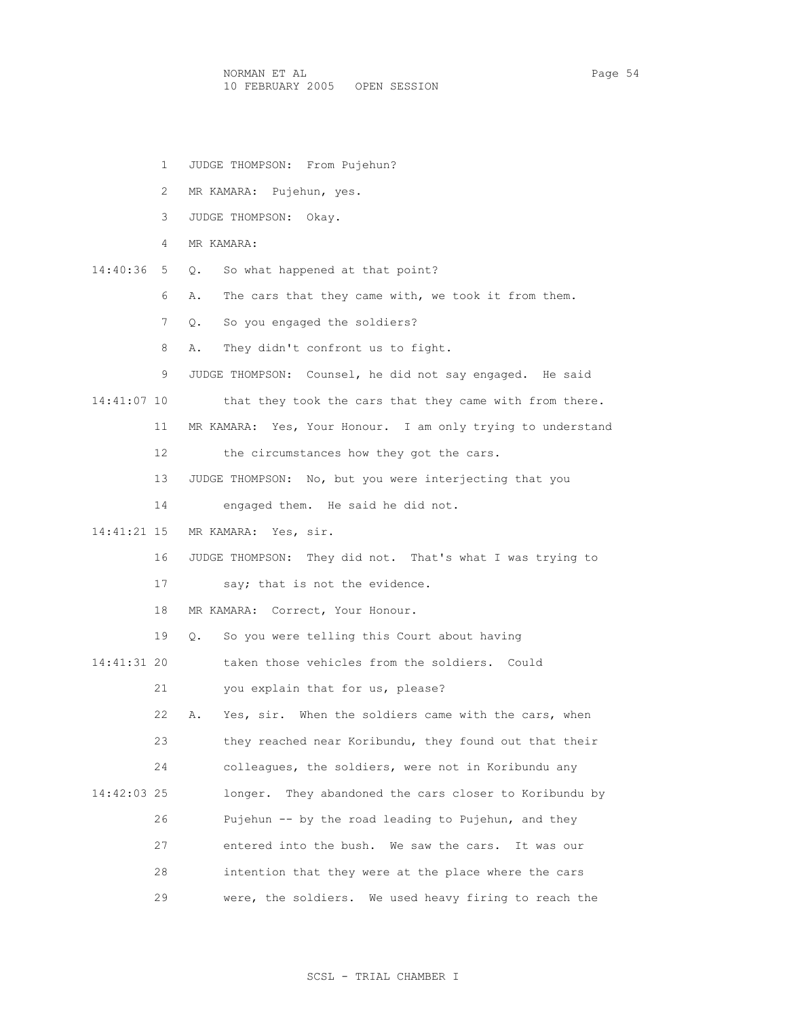NORMAN ET AL PAGE 1999 PAGE 2014 10 FEBRUARY 2005 OPEN SESSION

- 1 JUDGE THOMPSON: From Pujehun?
- 2 MR KAMARA: Pujehun, yes.
- 3 JUDGE THOMPSON: Okay.
- 4 MR KAMARA:
- 14:40:36 5 Q. So what happened at that point?
	- 6 A. The cars that they came with, we took it from them.
	- 7 Q. So you engaged the soldiers?
	- 8 A. They didn't confront us to fight.
	- 9 JUDGE THOMPSON: Counsel, he did not say engaged. He said
- 14:41:07 10 that they took the cars that they came with from there.
	- 11 MR KAMARA: Yes, Your Honour. I am only trying to understand
	- 12 the circumstances how they got the cars.
	- 13 JUDGE THOMPSON: No, but you were interjecting that you
	- 14 engaged them. He said he did not.
- 14:41:21 15 MR KAMARA: Yes, sir.
	- 16 JUDGE THOMPSON: They did not. That's what I was trying to
	- 17 say; that is not the evidence.
	- 18 MR KAMARA: Correct, Your Honour.
	- 19 Q. So you were telling this Court about having

14:41:31 20 taken those vehicles from the soldiers. Could

- 21 you explain that for us, please?
- 22 A. Yes, sir. When the soldiers came with the cars, when
- 23 they reached near Koribundu, they found out that their
- 24 colleagues, the soldiers, were not in Koribundu any
- 14:42:03 25 longer. They abandoned the cars closer to Koribundu by
	- 26 Pujehun -- by the road leading to Pujehun, and they
		- 27 entered into the bush. We saw the cars. It was our
	- 28 intention that they were at the place where the cars
	- 29 were, the soldiers. We used heavy firing to reach the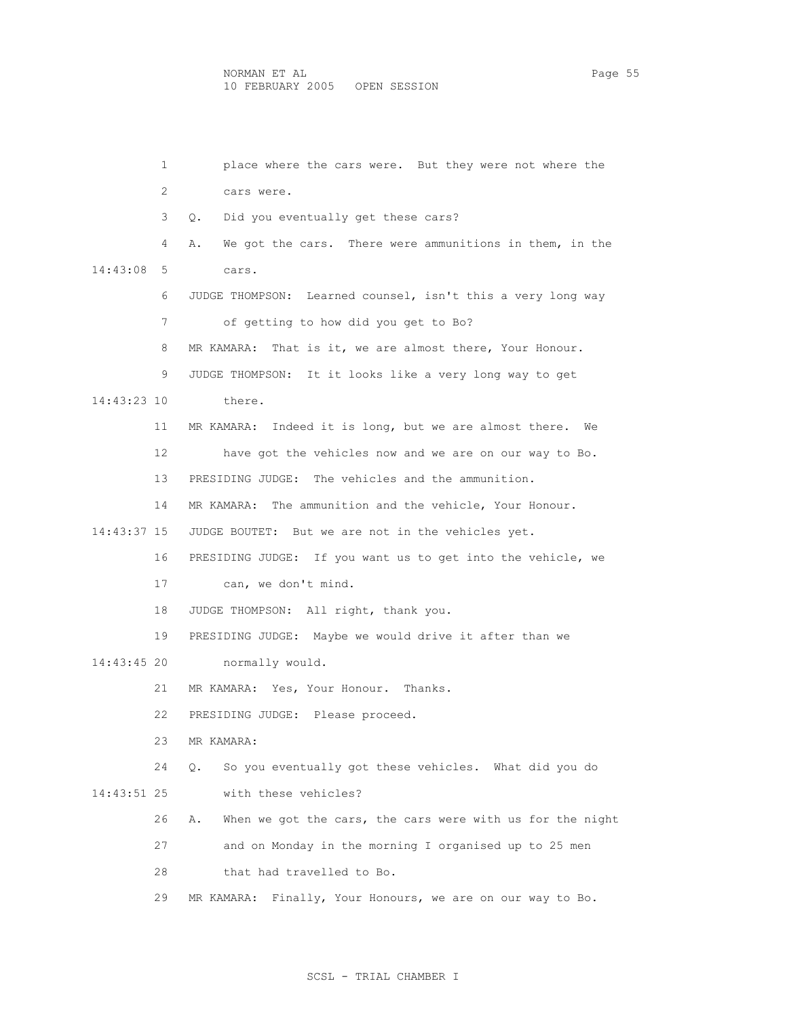| $\mathbf{1}$ | place where the cars were. But they were not where the             |
|--------------|--------------------------------------------------------------------|
| 2            | cars were.                                                         |
| 3            | Q. Did you eventually get these cars?                              |
| 4            | We got the cars. There were ammunitions in them, in the<br>Α.      |
| $14:43:08$ 5 | cars.                                                              |
| 6            | JUDGE THOMPSON: Learned counsel, isn't this a very long way        |
| 7            | of getting to how did you get to Bo?                               |
| 8            | That is it, we are almost there, Your Honour.<br>MR KAMARA:        |
| 9            | JUDGE THOMPSON: It it looks like a very long way to get            |
| 14:43:23 10  | there.                                                             |
| 11           | MR KAMARA: Indeed it is long, but we are almost there. We          |
| 12           | have got the vehicles now and we are on our way to Bo.             |
| 13           | PRESIDING JUDGE: The vehicles and the ammunition.                  |
| 14           | MR KAMARA: The ammunition and the vehicle, Your Honour.            |
| 14:43:37 15  | JUDGE BOUTET: But we are not in the vehicles yet.                  |
| 16           | PRESIDING JUDGE: If you want us to get into the vehicle, we        |
| 17           | can, we don't mind.                                                |
| 18           | JUDGE THOMPSON: All right, thank you.                              |
| 19           | PRESIDING JUDGE: Maybe we would drive it after than we             |
| 14:43:45 20  | normally would.                                                    |
| 21           | MR KAMARA: Yes, Your Honour. Thanks.                               |
| 22           | PRESIDING JUDGE: Please proceed.                                   |
| 23           | MR KAMARA:                                                         |
| 24           | So you eventually got these vehicles. What did you do<br>$\circ$ . |
| 14:43:51 25  | with these vehicles?                                               |
| 26           | When we got the cars, the cars were with us for the night<br>Α.    |
| 27           | and on Monday in the morning I organised up to 25 men              |
| 28           | that had travelled to Bo.                                          |
| 29           | Finally, Your Honours, we are on our way to Bo.<br>MR KAMARA:      |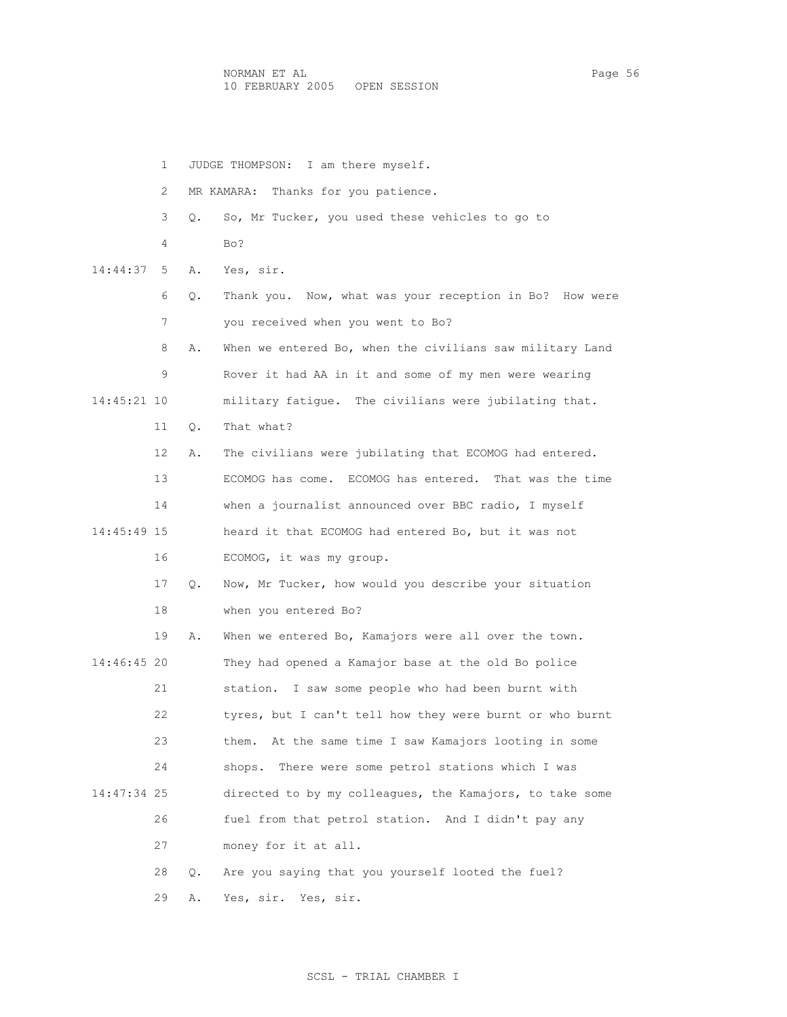NORMAN ET AL Page 56 10 FEBRUARY 2005 OPEN SESSION

 1 JUDGE THOMPSON: I am there myself. 2 MR KAMARA: Thanks for you patience. 3 Q. So, Mr Tucker, you used these vehicles to go to 4 Bo? 14:44:37 5 A. Yes, sir. 6 Q. Thank you. Now, what was your reception in Bo? How were 7 you received when you went to Bo? 8 A. When we entered Bo, when the civilians saw military Land 9 Rover it had AA in it and some of my men were wearing 14:45:21 10 military fatigue. The civilians were jubilating that. 11 Q. That what? 12 A. The civilians were jubilating that ECOMOG had entered. 13 ECOMOG has come. ECOMOG has entered. That was the time 14 when a journalist announced over BBC radio, I myself 14:45:49 15 heard it that ECOMOG had entered Bo, but it was not 16 ECOMOG, it was my group. 17 Q. Now, Mr Tucker, how would you describe your situation 18 when you entered Bo? 19 A. When we entered Bo, Kamajors were all over the town. 14:46:45 20 They had opened a Kamajor base at the old Bo police 21 station. I saw some people who had been burnt with 22 tyres, but I can't tell how they were burnt or who burnt 23 them. At the same time I saw Kamajors looting in some 24 shops. There were some petrol stations which I was 14:47:34 25 directed to by my colleagues, the Kamajors, to take some 26 fuel from that petrol station. And I didn't pay any 27 money for it at all. 28 Q. Are you saying that you yourself looted the fuel? 29 A. Yes, sir. Yes, sir.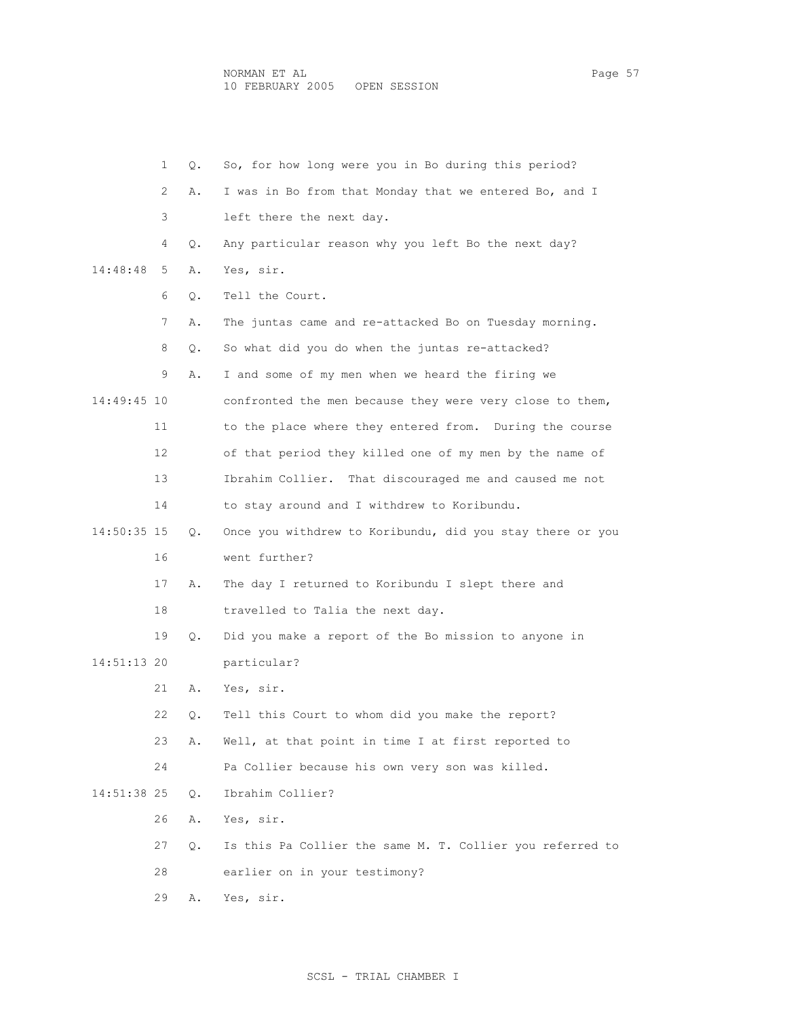1 Q. So, for how long were you in Bo during this period? 2 A. I was in Bo from that Monday that we entered Bo, and I 3 left there the next day. 4 Q. Any particular reason why you left Bo the next day? 14:48:48 5 A. Yes, sir. 6 Q. Tell the Court. 7 A. The juntas came and re-attacked Bo on Tuesday morning. 8 Q. So what did you do when the juntas re-attacked? 9 A. I and some of my men when we heard the firing we 14:49:45 10 confronted the men because they were very close to them, 11 to the place where they entered from. During the course 12 of that period they killed one of my men by the name of 13 Ibrahim Collier. That discouraged me and caused me not 14 to stay around and I withdrew to Koribundu. 14:50:35 15 Q. Once you withdrew to Koribundu, did you stay there or you 16 went further? 17 A. The day I returned to Koribundu I slept there and 18 travelled to Talia the next day. 19 Q. Did you make a report of the Bo mission to anyone in 14:51:13 20 particular? 21 A. Yes, sir. 22 Q. Tell this Court to whom did you make the report? 23 A. Well, at that point in time I at first reported to 24 Pa Collier because his own very son was killed. 14:51:38 25 Q. Ibrahim Collier? 26 A. Yes, sir. 27 Q. Is this Pa Collier the same M. T. Collier you referred to 28 earlier on in your testimony? 29 A. Yes, sir.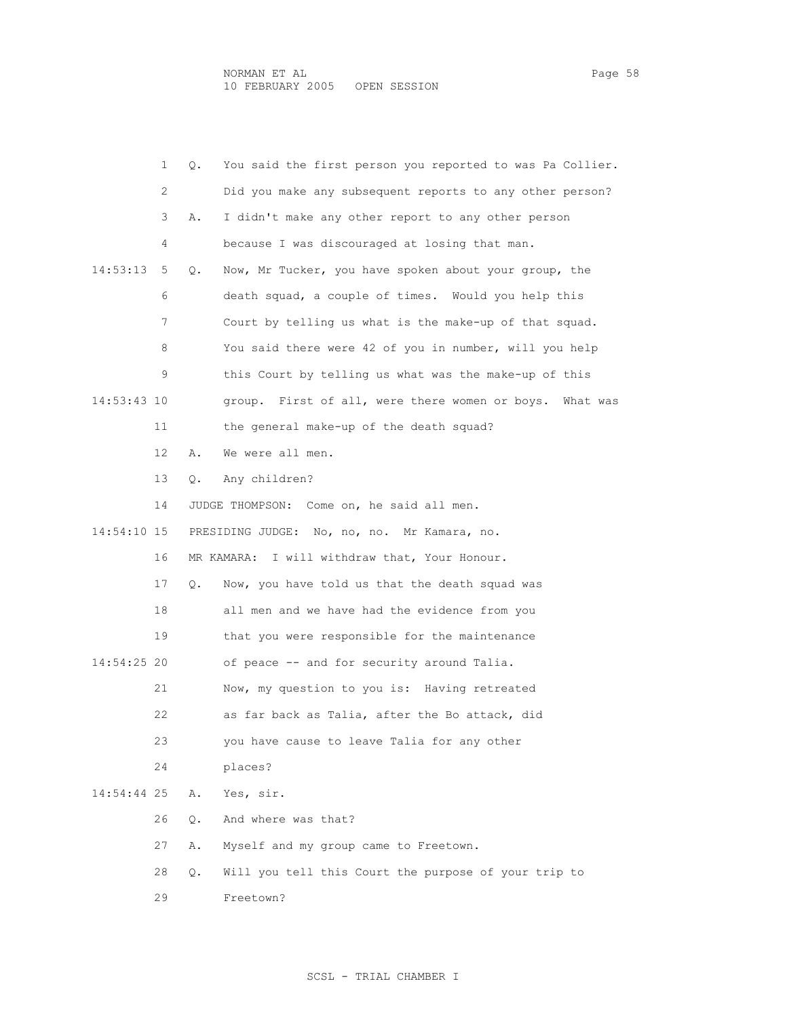|             | $\mathbf{1}$ | Q.        | You said the first person you reported to was Pa Collier.  |
|-------------|--------------|-----------|------------------------------------------------------------|
|             | 2            |           | Did you make any subsequent reports to any other person?   |
|             | 3            | Α.        | I didn't make any other report to any other person         |
|             |              |           |                                                            |
|             | 4            |           | because I was discouraged at losing that man.              |
| 14:53:13    | 5            | $\circ$ . | Now, Mr Tucker, you have spoken about your group, the      |
|             | 6            |           | death squad, a couple of times. Would you help this        |
|             | 7            |           | Court by telling us what is the make-up of that squad.     |
|             | 8            |           | You said there were 42 of you in number, will you help     |
|             | 9            |           | this Court by telling us what was the make-up of this      |
| 14:53:43 10 |              |           | group. First of all, were there women or boys.<br>What was |
|             | 11           |           | the general make-up of the death squad?                    |
|             | 12           | Α.        | We were all men.                                           |
|             | 13           | О.        | Any children?                                              |
|             | 14           |           | JUDGE THOMPSON: Come on, he said all men.                  |
| 14:54:10 15 |              |           | PRESIDING JUDGE: No, no, no. Mr Kamara, no.                |
|             | 16           |           | I will withdraw that, Your Honour.<br>MR KAMARA:           |
|             | 17           | О.        | Now, you have told us that the death squad was             |
|             | 18           |           | all men and we have had the evidence from you              |
|             | 19           |           | that you were responsible for the maintenance              |
| 14:54:25 20 |              |           | of peace -- and for security around Talia.                 |
|             | 21           |           | Now, my question to you is: Having retreated               |
|             | 22           |           | as far back as Talia, after the Bo attack, did             |
|             | 23           |           | you have cause to leave Talia for any other                |
|             | 24           |           | places?                                                    |
|             |              |           |                                                            |

14:54:44 25 A. Yes, sir.

26 Q. And where was that?

27 A. Myself and my group came to Freetown.

28 Q. Will you tell this Court the purpose of your trip to

29 Freetown?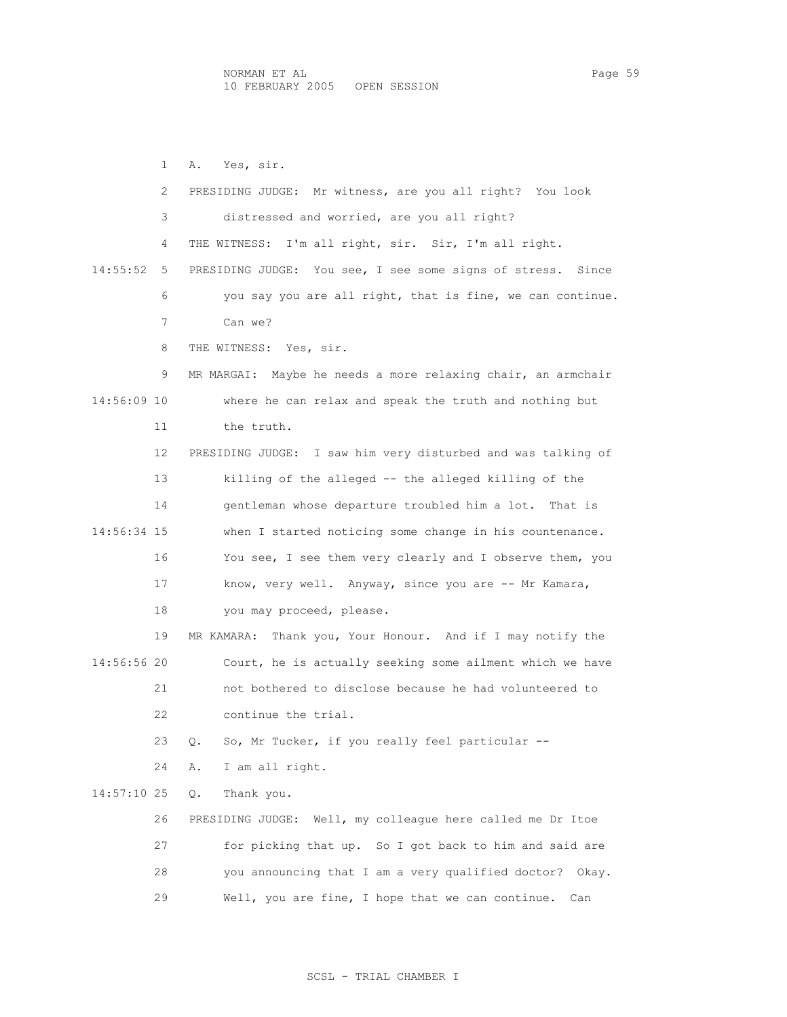1 A. Yes, sir. 2 PRESIDING JUDGE: Mr witness, are you all right? You look 3 distressed and worried, are you all right? 4 THE WITNESS: I'm all right, sir. Sir, I'm all right. 14:55:52 5 PRESIDING JUDGE: You see, I see some signs of stress. Since 6 you say you are all right, that is fine, we can continue. 7 Can we? 8 THE WITNESS: Yes, sir. 9 MR MARGAI: Maybe he needs a more relaxing chair, an armchair 14:56:09 10 where he can relax and speak the truth and nothing but 11 the truth. 12 PRESIDING JUDGE: I saw him very disturbed and was talking of 13 killing of the alleged -- the alleged killing of the 14 gentleman whose departure troubled him a lot. That is 14:56:34 15 when I started noticing some change in his countenance. 16 You see, I see them very clearly and I observe them, you 17 know, very well. Anyway, since you are -- Mr Kamara, 18 you may proceed, please. 19 MR KAMARA: Thank you, Your Honour. And if I may notify the 14:56:56 20 Court, he is actually seeking some ailment which we have 21 not bothered to disclose because he had volunteered to 22 continue the trial. 23 Q. So, Mr Tucker, if you really feel particular -- 24 A. I am all right. 14:57:10 25 Q. Thank you. 26 PRESIDING JUDGE: Well, my colleague here called me Dr Itoe 27 for picking that up. So I got back to him and said are 28 you announcing that I am a very qualified doctor? Okay. 29 Well, you are fine, I hope that we can continue. Can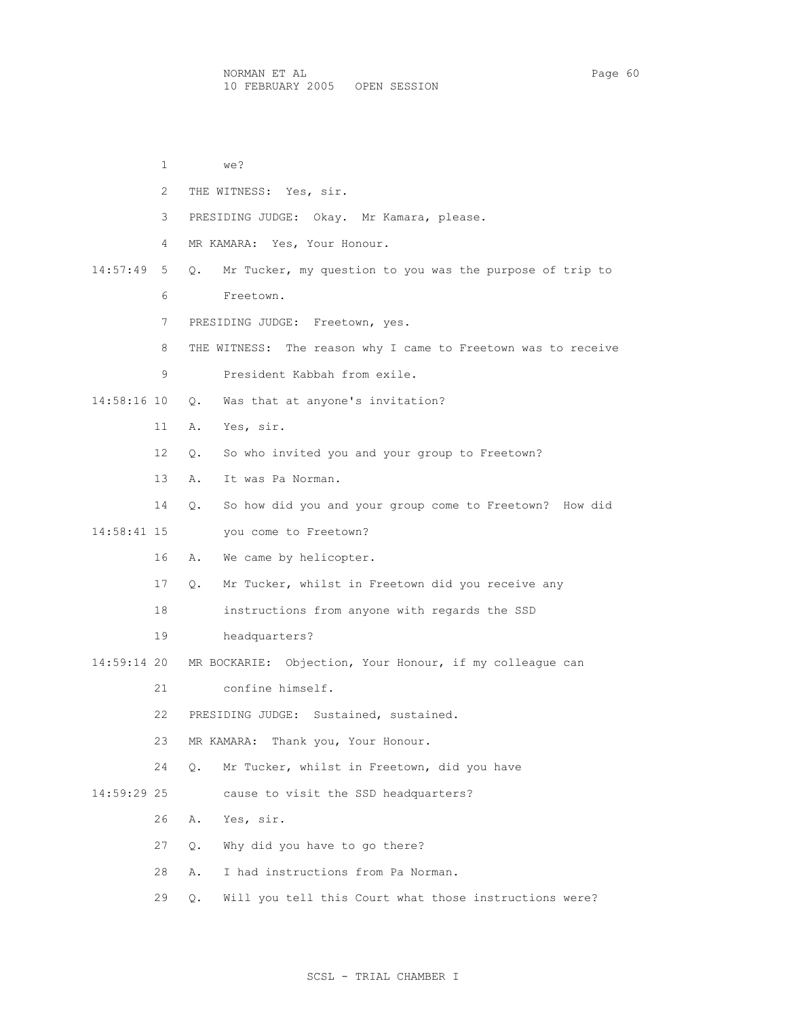1 we? 2 THE WITNESS: Yes, sir. 3 PRESIDING JUDGE: Okay. Mr Kamara, please. 4 MR KAMARA: Yes, Your Honour. 14:57:49 5 Q. Mr Tucker, my question to you was the purpose of trip to 6 Freetown. 7 PRESIDING JUDGE: Freetown, yes. 8 THE WITNESS: The reason why I came to Freetown was to receive 9 President Kabbah from exile. 14:58:16 10 Q. Was that at anyone's invitation? 11 A. Yes, sir. 12 Q. So who invited you and your group to Freetown? 13 A. It was Pa Norman. 14 Q. So how did you and your group come to Freetown? How did 14:58:41 15 you come to Freetown? 16 A. We came by helicopter. 17 Q. Mr Tucker, whilst in Freetown did you receive any 18 instructions from anyone with regards the SSD 19 headquarters? 14:59:14 20 MR BOCKARIE: Objection, Your Honour, if my colleague can 21 confine himself. 22 PRESIDING JUDGE: Sustained, sustained. 23 MR KAMARA: Thank you, Your Honour. 24 Q. Mr Tucker, whilst in Freetown, did you have 14:59:29 25 cause to visit the SSD headquarters? 26 A. Yes, sir. 27 Q. Why did you have to go there? 28 A. I had instructions from Pa Norman. 29 Q. Will you tell this Court what those instructions were?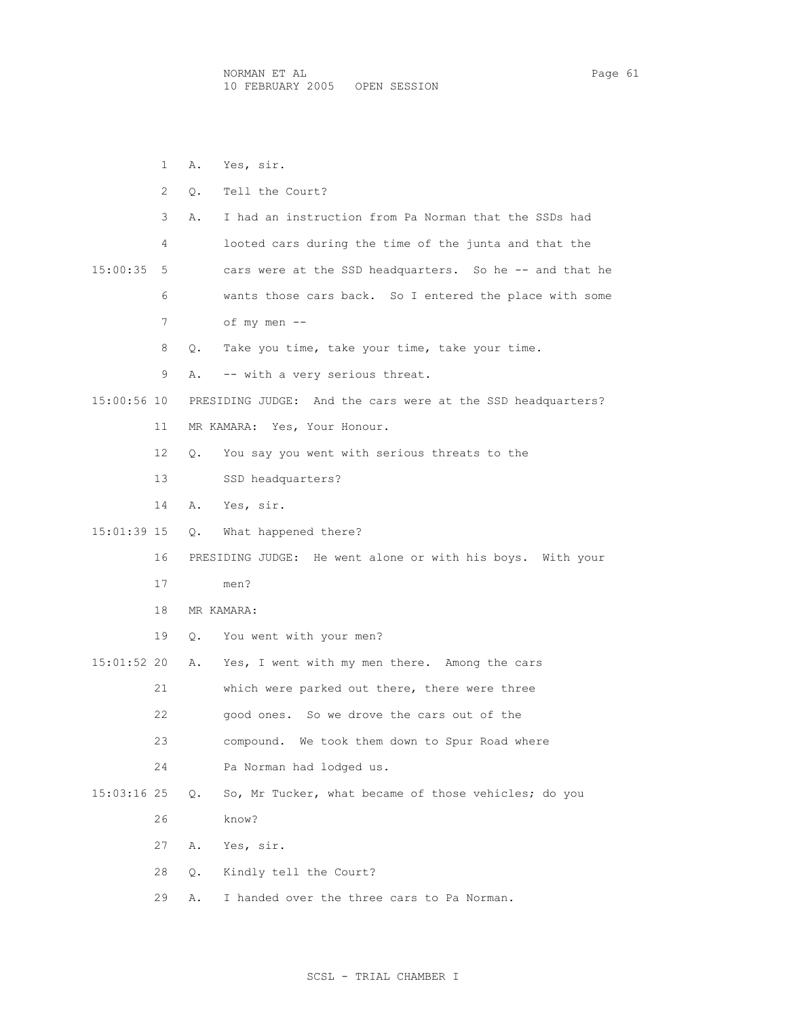1 A. Yes, sir. 2 Q. Tell the Court? 3 A. I had an instruction from Pa Norman that the SSDs had 4 looted cars during the time of the junta and that the 15:00:35 5 cars were at the SSD headquarters. So he -- and that he 6 wants those cars back. So I entered the place with some 7 of my men -- 8 Q. Take you time, take your time, take your time. 9 A. -- with a very serious threat. 15:00:56 10 PRESIDING JUDGE: And the cars were at the SSD headquarters? 11 MR KAMARA: Yes, Your Honour. 12 Q. You say you went with serious threats to the 13 SSD headquarters? 14 A. Yes, sir. 15:01:39 15 Q. What happened there? 16 PRESIDING JUDGE: He went alone or with his boys. With your 17 men? 18 MR KAMARA: 19 Q. You went with your men? 15:01:52 20 A. Yes, I went with my men there. Among the cars 21 which were parked out there, there were three 22 good ones. So we drove the cars out of the 23 compound. We took them down to Spur Road where 24 Pa Norman had lodged us. 15:03:16 25 Q. So, Mr Tucker, what became of those vehicles; do you 26 know? 27 A. Yes, sir. 28 Q. Kindly tell the Court? 29 A. I handed over the three cars to Pa Norman.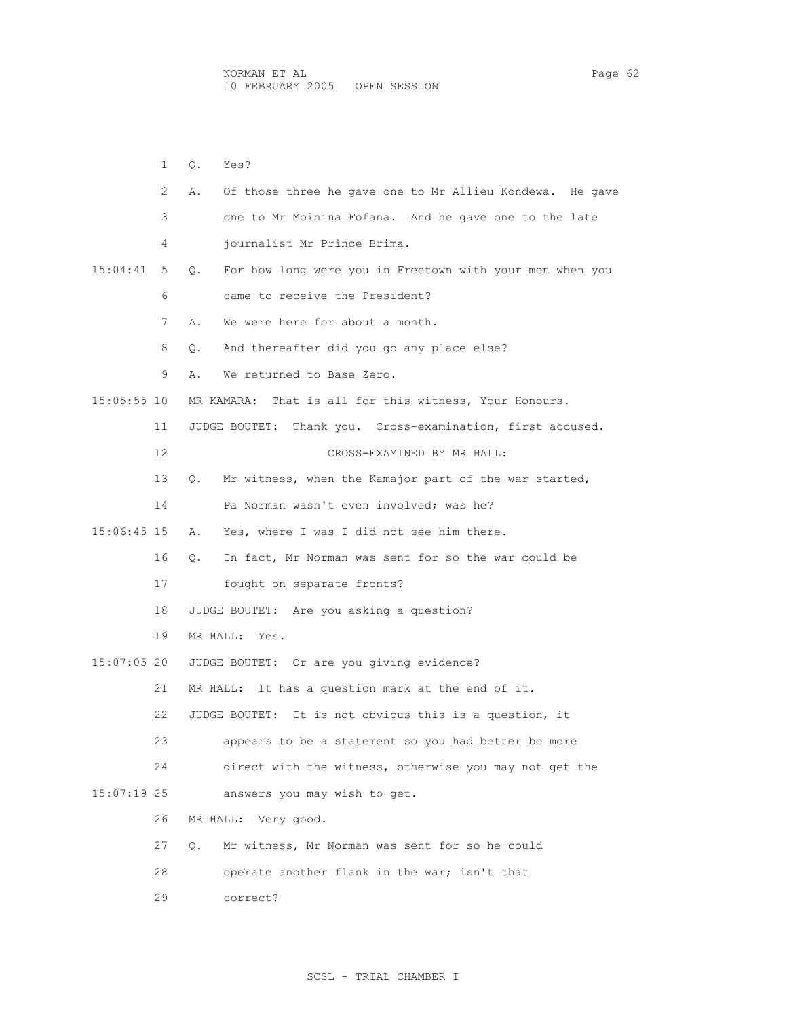1 Q. Yes? 2 A. Of those three he gave one to Mr Allieu Kondewa. He gave 3 one to Mr Moinina Fofana. And he gave one to the late 4 journalist Mr Prince Brima. 15:04:41 5 Q. For how long were you in Freetown with your men when you 6 came to receive the President? 7 A. We were here for about a month. 8 0. And thereafter did you go any place else? 9 A. We returned to Base Zero. 15:05:55 10 MR KAMARA: That is all for this witness, Your Honours. 11 JUDGE BOUTET: Thank you. Cross-examination, first accused. 12 CROSS-EXAMINED BY MR HALL: 13 Q. Mr witness, when the Kamajor part of the war started, 14 Pa Norman wasn't even involved; was he? 15:06:45 15 A. Yes, where I was I did not see him there. 16 Q. In fact, Mr Norman was sent for so the war could be 17 fought on separate fronts? 18 JUDGE BOUTET: Are you asking a question? 19 MR HALL: Yes. 15:07:05 20 JUDGE BOUTET: Or are you giving evidence? 21 MR HALL: It has a question mark at the end of it. 22 JUDGE BOUTET: It is not obvious this is a question, it 23 appears to be a statement so you had better be more 24 direct with the witness, otherwise you may not get the 15:07:19 25 answers you may wish to get. 26 MR HALL: Very good. 27 Q. Mr witness, Mr Norman was sent for so he could 28 operate another flank in the war; isn't that 29 correct?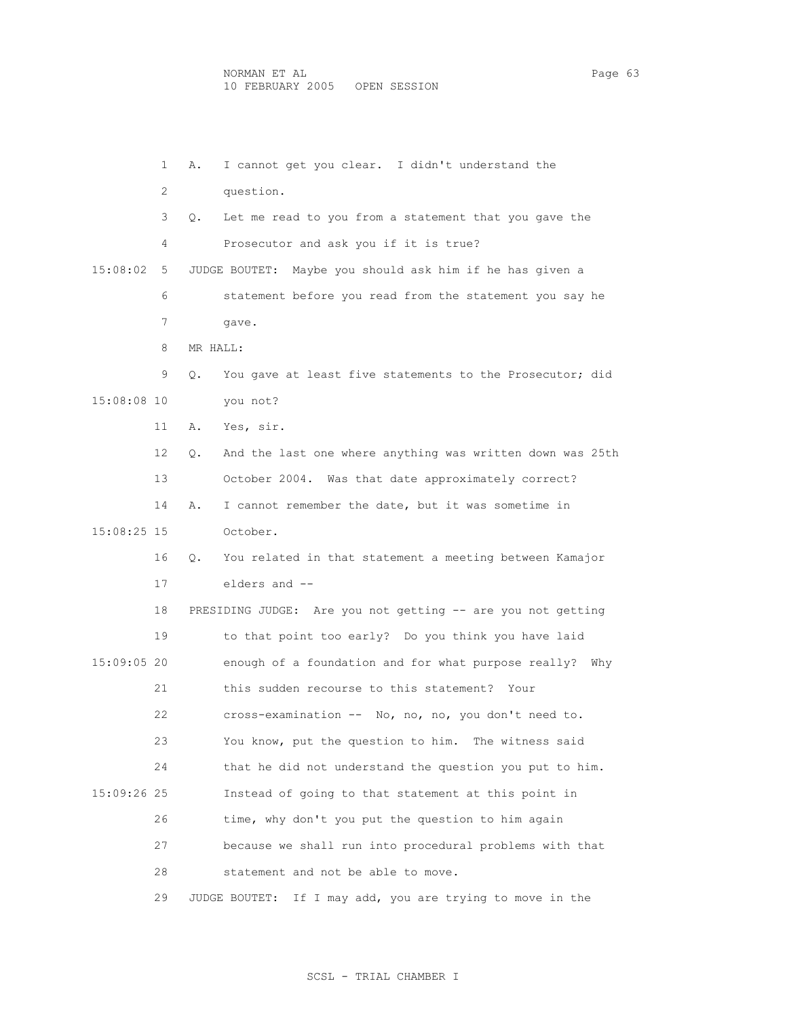1 A. I cannot get you clear. I didn't understand the 2 question. 3 Q. Let me read to you from a statement that you gave the 4 Prosecutor and ask you if it is true? 15:08:02 5 JUDGE BOUTET: Maybe you should ask him if he has given a 6 statement before you read from the statement you say he 7 gave. 8 MR HALL: 9 Q. You gave at least five statements to the Prosecutor; did 15:08:08 10 you not? 11 A. Yes, sir. 12 Q. And the last one where anything was written down was 25th 13 October 2004. Was that date approximately correct? 14 A. I cannot remember the date, but it was sometime in 15:08:25 15 October. 16 Q. You related in that statement a meeting between Kamajor 17 elders and -- 18 PRESIDING JUDGE: Are you not getting -- are you not getting 19 to that point too early? Do you think you have laid 15:09:05 20 enough of a foundation and for what purpose really? Why 21 this sudden recourse to this statement? Your 22 cross-examination -- No, no, no, you don't need to. 23 You know, put the question to him. The witness said 24 that he did not understand the question you put to him. 15:09:26 25 Instead of going to that statement at this point in 26 time, why don't you put the question to him again 27 because we shall run into procedural problems with that 28 statement and not be able to move. 29 JUDGE BOUTET: If I may add, you are trying to move in the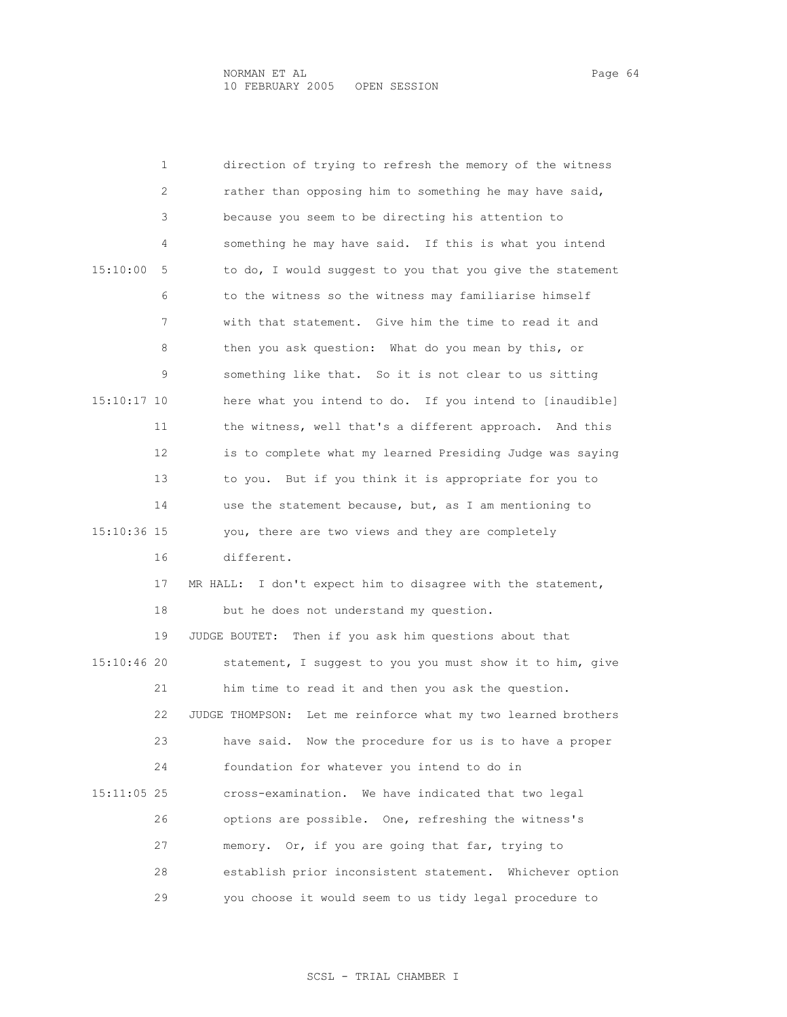1 direction of trying to refresh the memory of the witness 2 rather than opposing him to something he may have said, 3 because you seem to be directing his attention to 4 something he may have said. If this is what you intend 15:10:00 5 to do, I would suggest to you that you give the statement 6 to the witness so the witness may familiarise himself 7 with that statement. Give him the time to read it and 8 then you ask question: What do you mean by this, or 9 something like that. So it is not clear to us sitting 15:10:17 10 here what you intend to do. If you intend to [inaudible] 11 the witness, well that's a different approach. And this 12 is to complete what my learned Presiding Judge was saying 13 to you. But if you think it is appropriate for you to 14 use the statement because, but, as I am mentioning to 15:10:36 15 you, there are two views and they are completely 16 different. 17 MR HALL: I don't expect him to disagree with the statement, 18 but he does not understand my question. 19 JUDGE BOUTET: Then if you ask him questions about that 15:10:46 20 statement, I suggest to you you must show it to him, give 21 him time to read it and then you ask the question. 22 JUDGE THOMPSON: Let me reinforce what my two learned brothers 23 have said. Now the procedure for us is to have a proper 24 foundation for whatever you intend to do in 15:11:05 25 cross-examination. We have indicated that two legal 26 options are possible. One, refreshing the witness's 27 memory. Or, if you are going that far, trying to 28 establish prior inconsistent statement. Whichever option 29 you choose it would seem to us tidy legal procedure to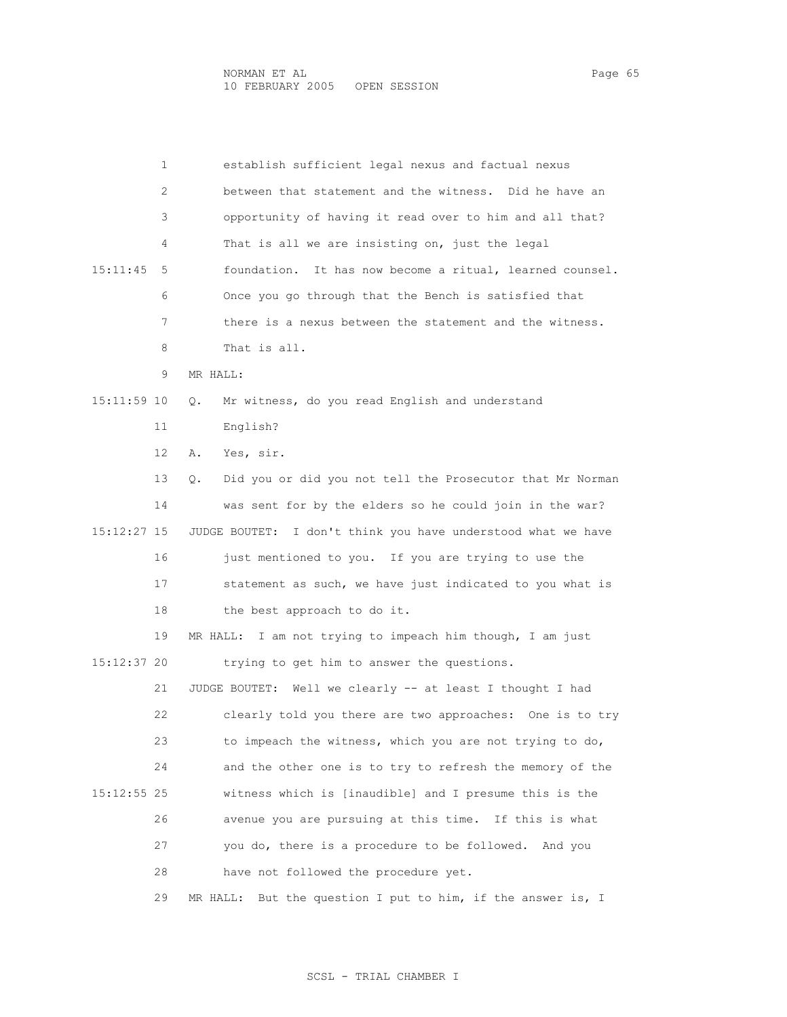|               | 1  | establish sufficient legal nexus and factual nexus              |
|---------------|----|-----------------------------------------------------------------|
|               | 2  | between that statement and the witness. Did he have an          |
|               | 3  | opportunity of having it read over to him and all that?         |
|               | 4  | That is all we are insisting on, just the legal                 |
| 15:11:45      | 5  | foundation. It has now become a ritual, learned counsel.        |
|               | 6  | Once you go through that the Bench is satisfied that            |
|               | 7  | there is a nexus between the statement and the witness.         |
|               | 8  | That is all.                                                    |
|               | 9  | MR HALL:                                                        |
| 15:11:59 10   |    | Mr witness, do you read English and understand<br>Q.            |
|               | 11 | English?                                                        |
|               | 12 | Yes, sir.<br>Α.                                                 |
|               | 13 | Did you or did you not tell the Prosecutor that Mr Norman<br>Q. |
|               | 14 | was sent for by the elders so he could join in the war?         |
| 15:12:27 15   |    | I don't think you have understood what we have<br>JUDGE BOUTET: |
|               | 16 | just mentioned to you. If you are trying to use the             |
|               | 17 | statement as such, we have just indicated to you what is        |
|               | 18 | the best approach to do it.                                     |
|               | 19 | I am not trying to impeach him though, I am just<br>MR HALL:    |
| 15:12:37 20   |    | trying to get him to answer the questions.                      |
|               | 21 | JUDGE BOUTET: Well we clearly -- at least I thought I had       |
|               | 22 | clearly told you there are two approaches: One is to try        |
|               | 23 | to impeach the witness, which you are not trying to do,         |
|               | 24 | and the other one is to try to refresh the memory of the        |
| $15:12:55$ 25 |    | witness which is [inaudible] and I presume this is the          |
|               | 26 | avenue you are pursuing at this time. If this is what           |
|               | 27 | you do, there is a procedure to be followed. And you            |
|               | 28 | have not followed the procedure yet.                            |
|               | 29 | MR HALL: But the question I put to him, if the answer is, I     |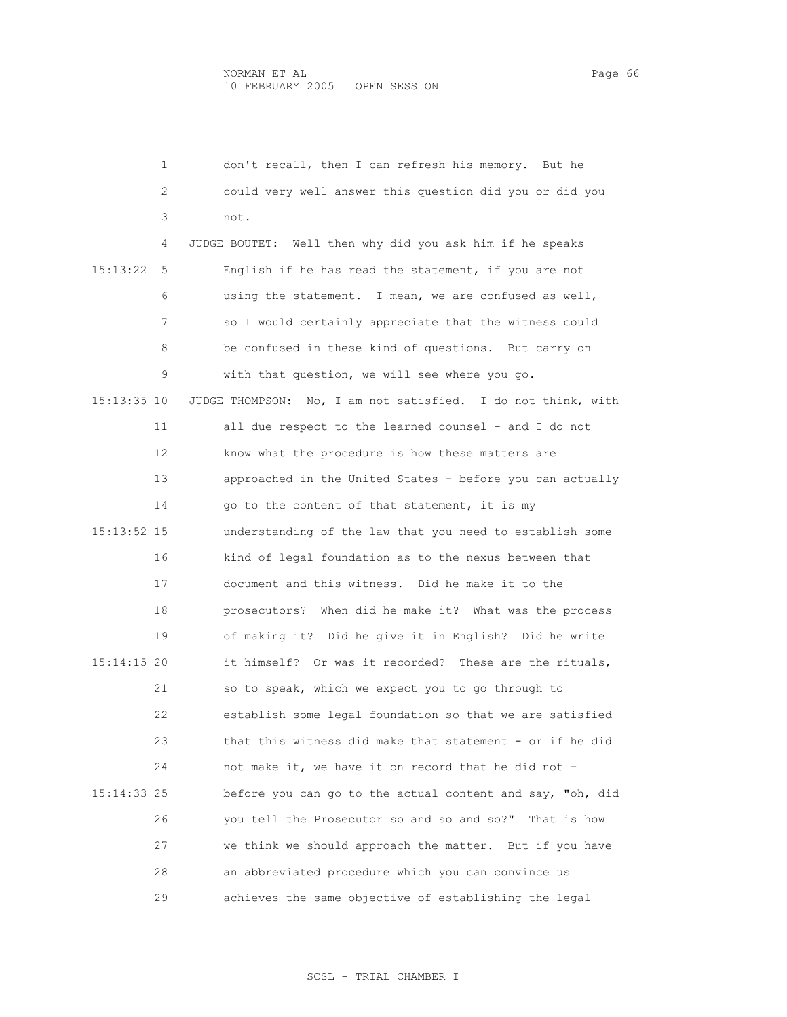1 don't recall, then I can refresh his memory. But he 2 could very well answer this question did you or did you 3 not. 4 JUDGE BOUTET: Well then why did you ask him if he speaks 15:13:22 5 English if he has read the statement, if you are not 6 using the statement. I mean, we are confused as well, 7 so I would certainly appreciate that the witness could 8 be confused in these kind of questions. But carry on 9 with that question, we will see where you go. 15:13:35 10 JUDGE THOMPSON: No, I am not satisfied. I do not think, with 11 all due respect to the learned counsel - and I do not 12 know what the procedure is how these matters are 13 approached in the United States - before you can actually 14 go to the content of that statement, it is my 15:13:52 15 understanding of the law that you need to establish some 16 kind of legal foundation as to the nexus between that 17 document and this witness. Did he make it to the 18 prosecutors? When did he make it? What was the process 19 of making it? Did he give it in English? Did he write 15:14:15 20 it himself? Or was it recorded? These are the rituals, 21 so to speak, which we expect you to go through to 22 establish some legal foundation so that we are satisfied 23 that this witness did make that statement - or if he did 24 not make it, we have it on record that he did not - 15:14:33 25 before you can go to the actual content and say, "oh, did 26 you tell the Prosecutor so and so and so?" That is how 27 we think we should approach the matter. But if you have 28 an abbreviated procedure which you can convince us 29 achieves the same objective of establishing the legal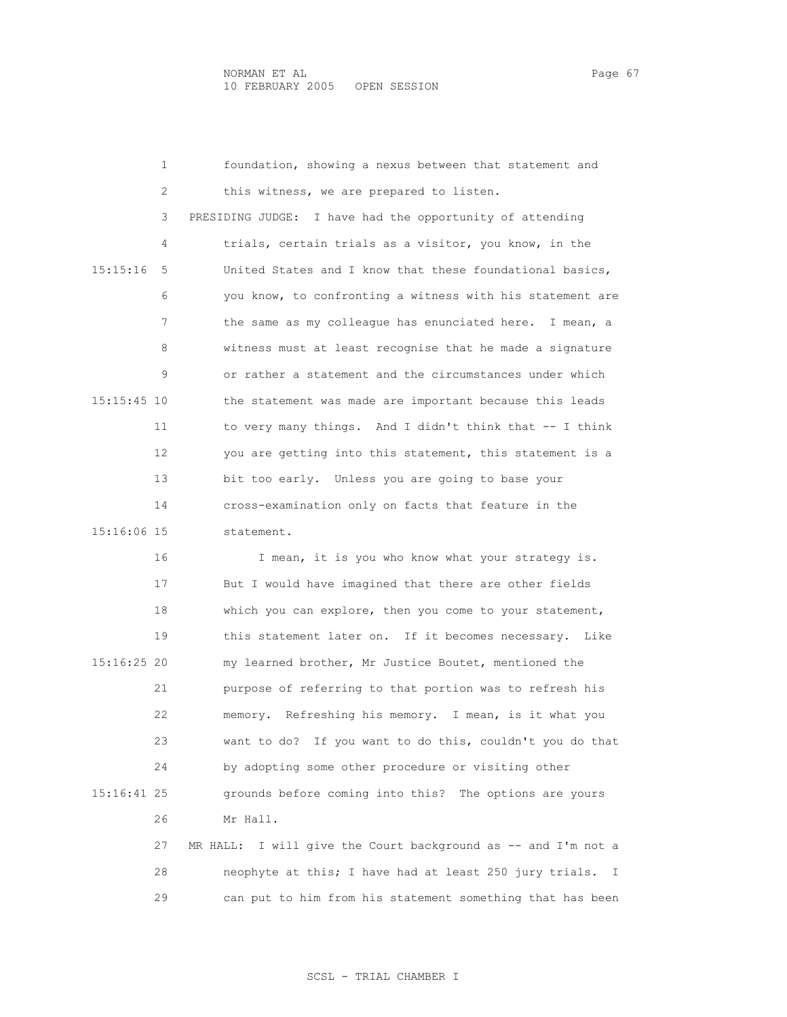|               | $\mathbf{1}$      | foundation, showing a nexus between that statement and    |
|---------------|-------------------|-----------------------------------------------------------|
|               | 2                 | this witness, we are prepared to listen.                  |
| 15:15:16      | 3                 | PRESIDING JUDGE: I have had the opportunity of attending  |
|               | 4                 | trials, certain trials as a visitor, you know, in the     |
|               | .5                | United States and I know that these foundational basics,  |
|               | 6                 | you know, to confronting a witness with his statement are |
|               | 7                 | the same as my colleague has enunciated here. I mean, a   |
|               | 8                 | witness must at least recognise that he made a signature  |
| $15:15:45$ 10 | 9                 | or rather a statement and the circumstances under which   |
|               |                   | the statement was made are important because this leads   |
|               | 11                | to very many things. And I didn't think that -- I think   |
|               | $12 \overline{ }$ | you are getting into this statement, this statement is a  |
| 15:16:06 15   | 13                | bit too early. Unless you are going to base your          |
|               | 14                | cross-examination only on facts that feature in the       |
|               |                   | statement.                                                |
|               | 16                | I mean, it is you who know what your strategy is.         |
|               | 17                | But I would have imagined that there are other fields     |
|               |                   |                                                           |

 18 which you can explore, then you come to your statement, 19 this statement later on. If it becomes necessary. Like 15:16:25 20 my learned brother, Mr Justice Boutet, mentioned the 21 purpose of referring to that portion was to refresh his 22 memory. Refreshing his memory. I mean, is it what you 23 want to do? If you want to do this, couldn't you do that 24 by adopting some other procedure or visiting other 15:16:41 25 grounds before coming into this? The options are yours 26 Mr Hall. 27 MR HALL: I will give the Court background as -- and I'm not a

 28 neophyte at this; I have had at least 250 jury trials. I 29 can put to him from his statement something that has been

## SCSL - TRIAL CHAMBER I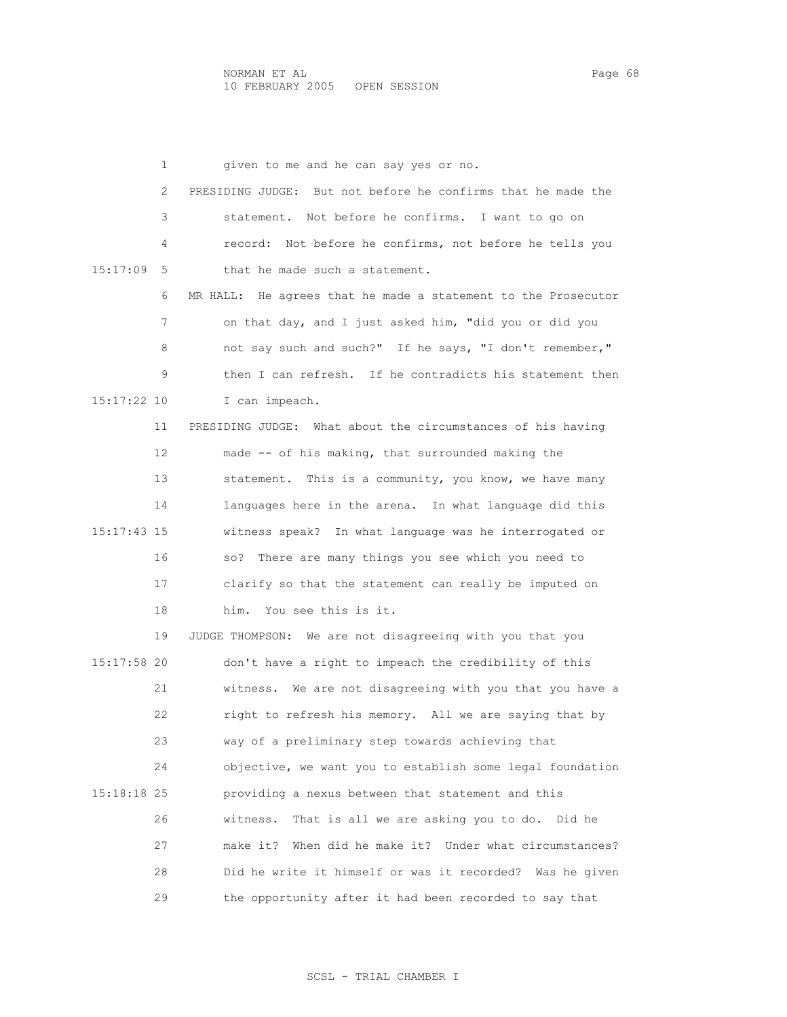1 given to me and he can say yes or no. 2 PRESIDING JUDGE: But not before he confirms that he made the 3 statement. Not before he confirms. I want to go on 4 record: Not before he confirms, not before he tells you 15:17:09 5 that he made such a statement. 6 MR HALL: He agrees that he made a statement to the Prosecutor 7 on that day, and I just asked him, "did you or did you 8 not say such and such?" If he says, "I don't remember," 9 then I can refresh. If he contradicts his statement then 15:17:22 10 I can impeach. 11 PRESIDING JUDGE: What about the circumstances of his having 12 made -- of his making, that surrounded making the 13 statement. This is a community, you know, we have many 14 languages here in the arena. In what language did this 15:17:43 15 witness speak? In what language was he interrogated or 16 so? There are many things you see which you need to 17 clarify so that the statement can really be imputed on 18 him. You see this is it. 19 JUDGE THOMPSON: We are not disagreeing with you that you 15:17:58 20 don't have a right to impeach the credibility of this 21 witness. We are not disagreeing with you that you have a 22 right to refresh his memory. All we are saying that by 23 way of a preliminary step towards achieving that 24 objective, we want you to establish some legal foundation 15:18:18 25 providing a nexus between that statement and this 26 witness. That is all we are asking you to do. Did he 27 make it? When did he make it? Under what circumstances? 28 Did he write it himself or was it recorded? Was he given 29 the opportunity after it had been recorded to say that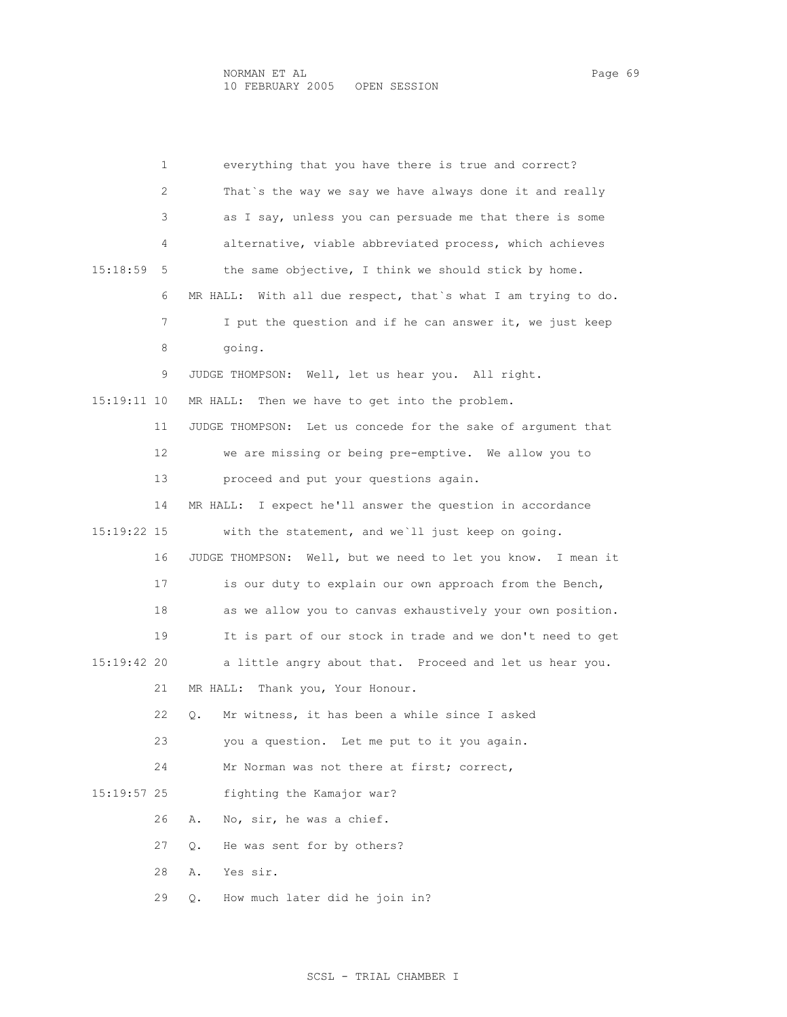1 everything that you have there is true and correct? 2 That`s the way we say we have always done it and really 3 as I say, unless you can persuade me that there is some 4 alternative, viable abbreviated process, which achieves 15:18:59 5 the same objective, I think we should stick by home. 6 MR HALL: With all due respect, that`s what I am trying to do. 7 I put the question and if he can answer it, we just keep 8 going. 9 JUDGE THOMPSON: Well, let us hear you. All right. 15:19:11 10 MR HALL: Then we have to get into the problem. 11 JUDGE THOMPSON: Let us concede for the sake of argument that 12 we are missing or being pre-emptive. We allow you to 13 proceed and put your questions again. 14 MR HALL: I expect he'll answer the question in accordance 15:19:22 15 with the statement, and we`ll just keep on going. 16 JUDGE THOMPSON: Well, but we need to let you know. I mean it 17 is our duty to explain our own approach from the Bench, 18 as we allow you to canvas exhaustively your own position. 19 It is part of our stock in trade and we don't need to get 15:19:42 20 a little angry about that. Proceed and let us hear you. 21 MR HALL: Thank you, Your Honour. 22 Q. Mr witness, it has been a while since I asked 23 you a question. Let me put to it you again. 24 Mr Norman was not there at first; correct, 15:19:57 25 fighting the Kamajor war? 26 A. No, sir, he was a chief. 27 Q. He was sent for by others? 28 A. Yes sir. 29 Q. How much later did he join in?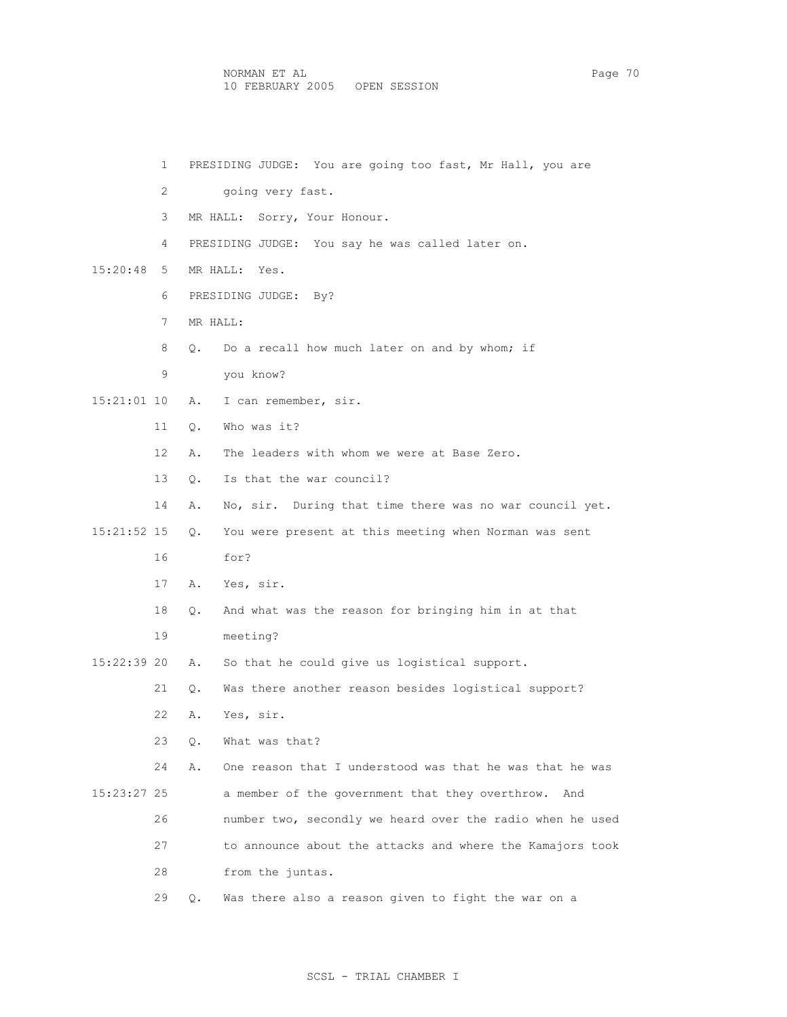NORMAN ET AL Page 70 10 FEBRUARY 2005 OPEN SESSION

 1 PRESIDING JUDGE: You are going too fast, Mr Hall, you are 2 going very fast. 3 MR HALL: Sorry, Your Honour. 4 PRESIDING JUDGE: You say he was called later on. 15:20:48 5 MR HALL: Yes. 6 PRESIDING JUDGE: By? 7 MR HALL: 8 Q. Do a recall how much later on and by whom; if 9 you know? 15:21:01 10 A. I can remember, sir. 11 Q. Who was it? 12 A. The leaders with whom we were at Base Zero. 13 Q. Is that the war council? 14 A. No, sir. During that time there was no war council yet. 15:21:52 15 Q. You were present at this meeting when Norman was sent 16 for? 17 A. Yes, sir. 18 Q. And what was the reason for bringing him in at that 19 meeting? 15:22:39 20 A. So that he could give us logistical support. 21 Q. Was there another reason besides logistical support? 22 A. Yes, sir. 23 Q. What was that? 24 A. One reason that I understood was that he was that he was 15:23:27 25 a member of the government that they overthrow. And 26 number two, secondly we heard over the radio when he used 27 to announce about the attacks and where the Kamajors took 28 from the juntas. 29 Q. Was there also a reason given to fight the war on a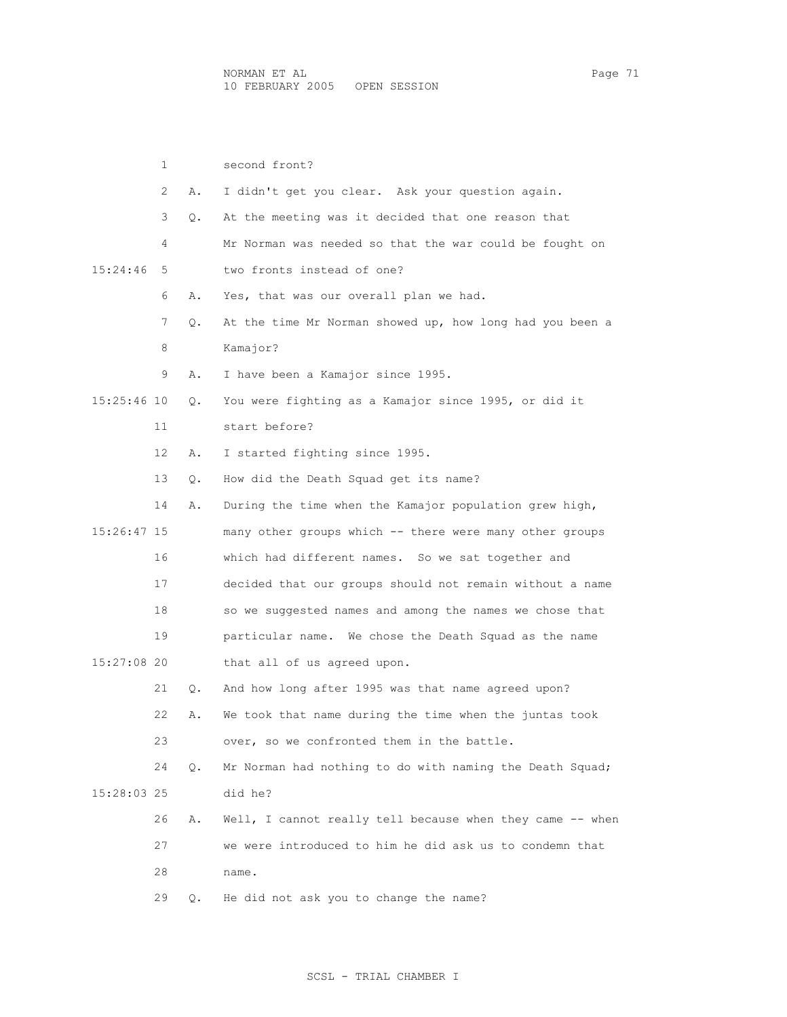|             | $\mathbf{1}$ |           | second front?                                             |
|-------------|--------------|-----------|-----------------------------------------------------------|
|             | 2            | Α.        | I didn't get you clear. Ask your question again.          |
|             | 3            | $\circ$ . | At the meeting was it decided that one reason that        |
| 15:24:46    | 4            |           | Mr Norman was needed so that the war could be fought on   |
|             | 5.           |           | two fronts instead of one?                                |
|             | 6            | Α.        | Yes, that was our overall plan we had.                    |
|             | 7            | $\circ$ . | At the time Mr Norman showed up, how long had you been a  |
|             | 8            |           | Kamajor?                                                  |
| 15:25:46 10 | 9            | Α.        | I have been a Kamajor since 1995.                         |
|             |              | Q.        | You were fighting as a Kamajor since 1995, or did it      |
|             | 11           |           | start before?                                             |
|             | 12           | Α.        | I started fighting since 1995.                            |
|             | 13           | О.        | How did the Death Squad get its name?                     |
|             | 14           | Α.        | During the time when the Kamajor population grew high,    |
| 15:26:47 15 |              |           | many other groups which -- there were many other groups   |
|             | 16           |           | which had different names. So we sat together and         |
|             | 17           |           | decided that our groups should not remain without a name  |
|             | 18           |           | so we suggested names and among the names we chose that   |
|             | 19           |           | particular name. We chose the Death Squad as the name     |
| 15:27:08 20 |              |           | that all of us agreed upon.                               |
|             | 21           | О.        | And how long after 1995 was that name agreed upon?        |
|             | 22           | Α.        | We took that name during the time when the juntas took    |
|             | 23           |           | over, so we confronted them in the battle.                |
|             | 24           | $\circ$ . | Mr Norman had nothing to do with naming the Death Squad;  |
| 15:28:03 25 |              |           | did he?                                                   |
|             | 26           | Α.        | Well, I cannot really tell because when they came -- when |
|             | 27           |           | we were introduced to him he did ask us to condemn that   |

28 name.

29 Q. He did not ask you to change the name?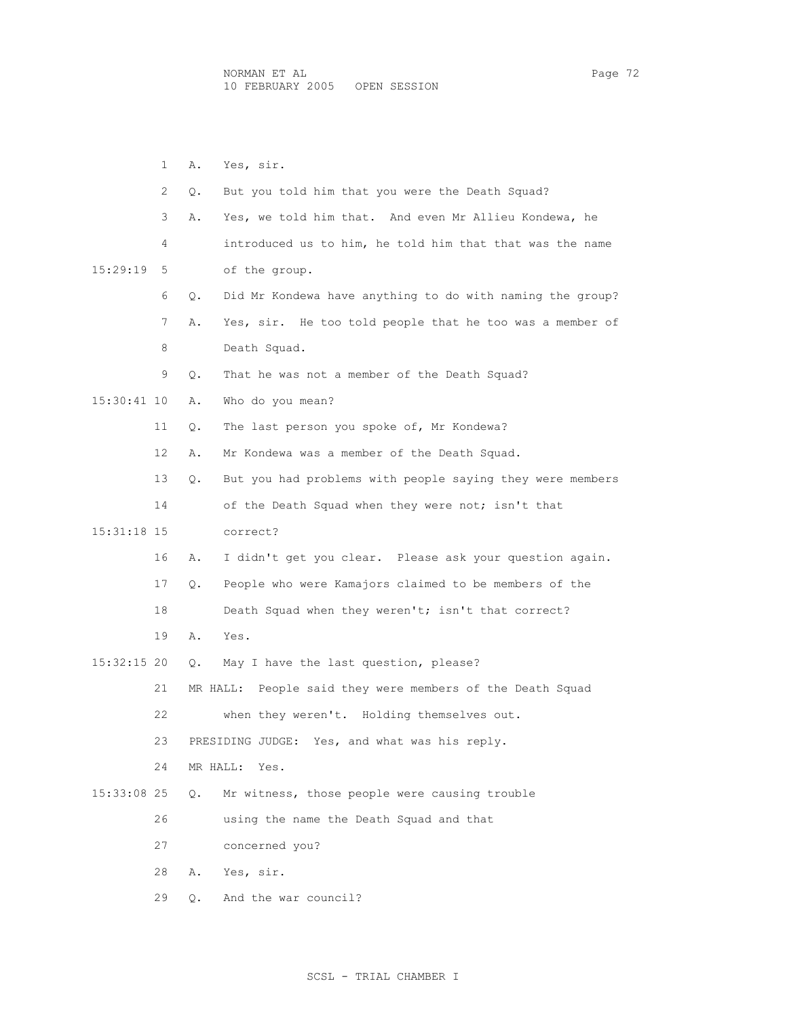1 A. Yes, sir. 2 Q. But you told him that you were the Death Squad? 3 A. Yes, we told him that. And even Mr Allieu Kondewa, he 4 introduced us to him, he told him that that was the name 15:29:19 5 of the group. 6 Q. Did Mr Kondewa have anything to do with naming the group? 7 A. Yes, sir. He too told people that he too was a member of 8 Death Squad. 9 Q. That he was not a member of the Death Squad? 15:30:41 10 A. Who do you mean? 11 Q. The last person you spoke of, Mr Kondewa? 12 A. Mr Kondewa was a member of the Death Squad. 13 Q. But you had problems with people saying they were members 14 of the Death Squad when they were not; isn't that 15:31:18 15 correct? 16 A. I didn't get you clear. Please ask your question again. 17 Q. People who were Kamajors claimed to be members of the 18 Death Squad when they weren't; isn't that correct? 19 A. Yes. 15:32:15 20 Q. May I have the last question, please? 21 MR HALL: People said they were members of the Death Squad 22 when they weren't. Holding themselves out. 23 PRESIDING JUDGE: Yes, and what was his reply. 24 MR HALL: Yes. 15:33:08 25 Q. Mr witness, those people were causing trouble 26 using the name the Death Squad and that 27 concerned you? 28 A. Yes, sir. 29 Q. And the war council?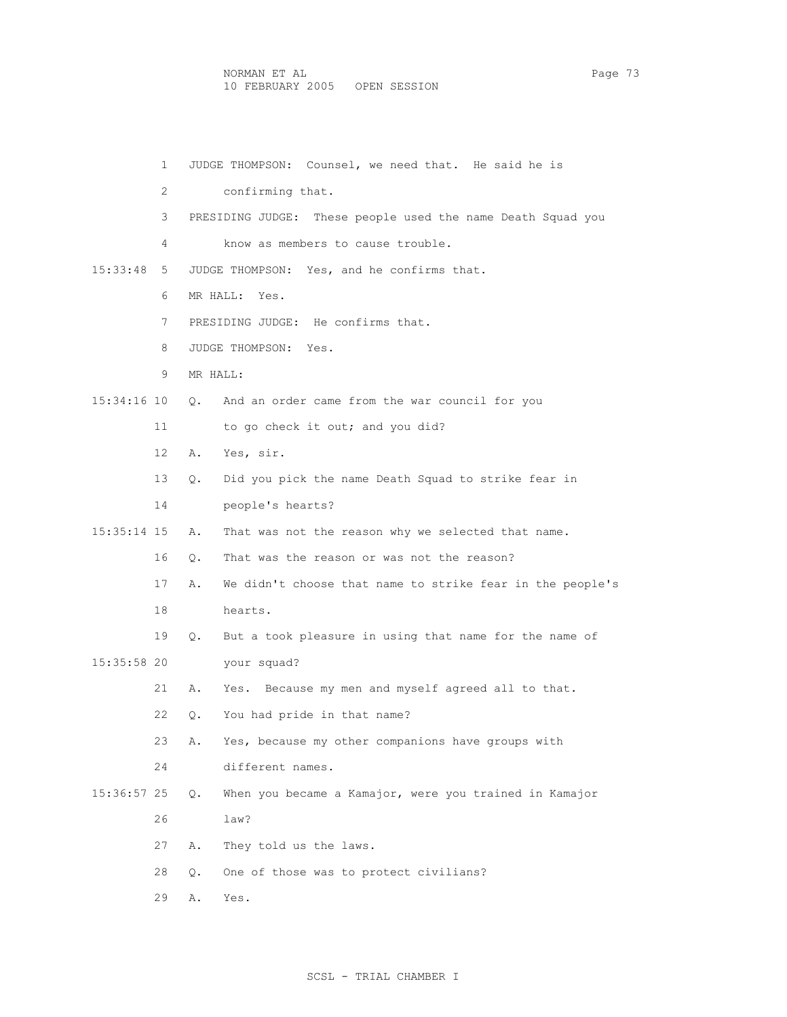1 JUDGE THOMPSON: Counsel, we need that. He said he is 2 confirming that. 3 PRESIDING JUDGE: These people used the name Death Squad you 4 know as members to cause trouble. 15:33:48 5 JUDGE THOMPSON: Yes, and he confirms that. 6 MR HALL: Yes. 7 PRESIDING JUDGE: He confirms that. 8 JUDGE THOMPSON: Yes. 9 MR HALL: 15:34:16 10 Q. And an order came from the war council for you 11 to go check it out; and you did? 12 A. Yes, sir. 13 Q. Did you pick the name Death Squad to strike fear in 14 people's hearts? 15:35:14 15 A. That was not the reason why we selected that name. 16 Q. That was the reason or was not the reason? 17 A. We didn't choose that name to strike fear in the people's 18 hearts. 19 Q. But a took pleasure in using that name for the name of 15:35:58 20 your squad? 21 A. Yes. Because my men and myself agreed all to that. 22 Q. You had pride in that name? 23 A. Yes, because my other companions have groups with 24 different names. 15:36:57 25 Q. When you became a Kamajor, were you trained in Kamajor 26 law? 27 A. They told us the laws. 28 Q. One of those was to protect civilians? 29 A. Yes.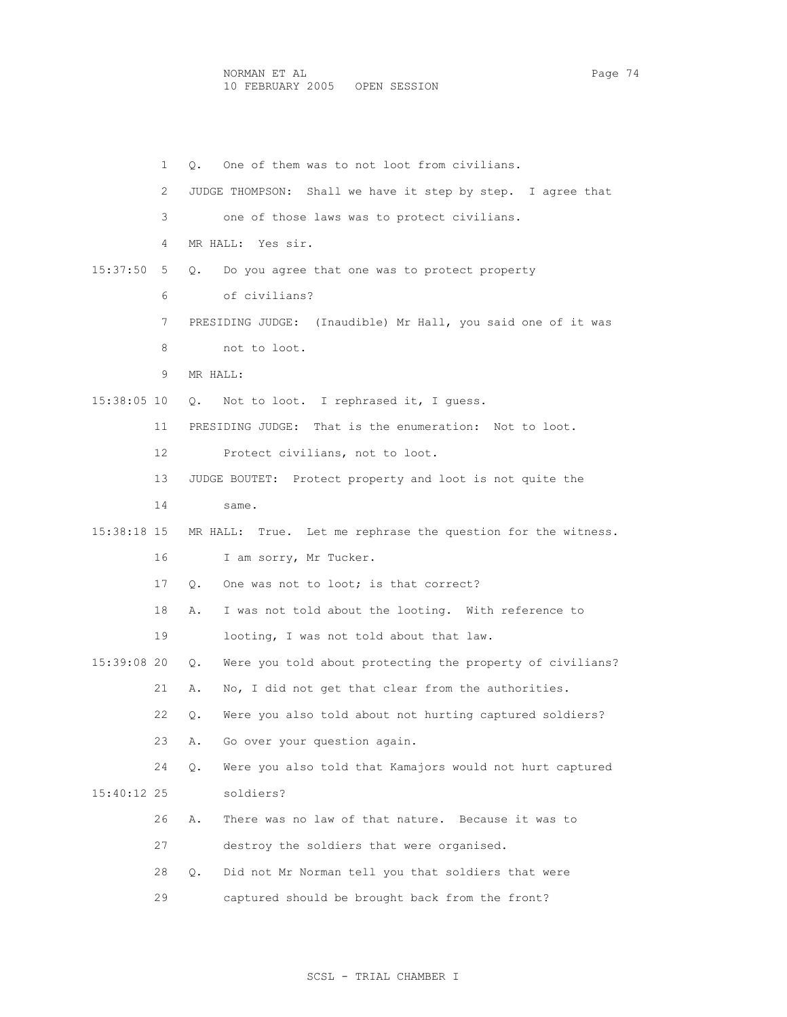1 Q. One of them was to not loot from civilians. 2 JUDGE THOMPSON: Shall we have it step by step. I agree that 3 one of those laws was to protect civilians. 4 MR HALL: Yes sir. 15:37:50 5 Q. Do you agree that one was to protect property 6 of civilians? 7 PRESIDING JUDGE: (Inaudible) Mr Hall, you said one of it was 8 not to loot. 9 MR HALL: 15:38:05 10 Q. Not to loot. I rephrased it, I guess. 11 PRESIDING JUDGE: That is the enumeration: Not to loot. 12 Protect civilians, not to loot. 13 JUDGE BOUTET: Protect property and loot is not quite the 14 same. 15:38:18 15 MR HALL: True. Let me rephrase the question for the witness. 16 I am sorry, Mr Tucker. 17 Q. One was not to loot; is that correct? 18 A. I was not told about the looting. With reference to 19 looting, I was not told about that law. 15:39:08 20 Q. Were you told about protecting the property of civilians? 21 A. No, I did not get that clear from the authorities. 22 Q. Were you also told about not hurting captured soldiers? 23 A. Go over your question again. 24 Q. Were you also told that Kamajors would not hurt captured 15:40:12 25 soldiers? 26 A. There was no law of that nature. Because it was to 27 destroy the soldiers that were organised. 28 Q. Did not Mr Norman tell you that soldiers that were 29 captured should be brought back from the front?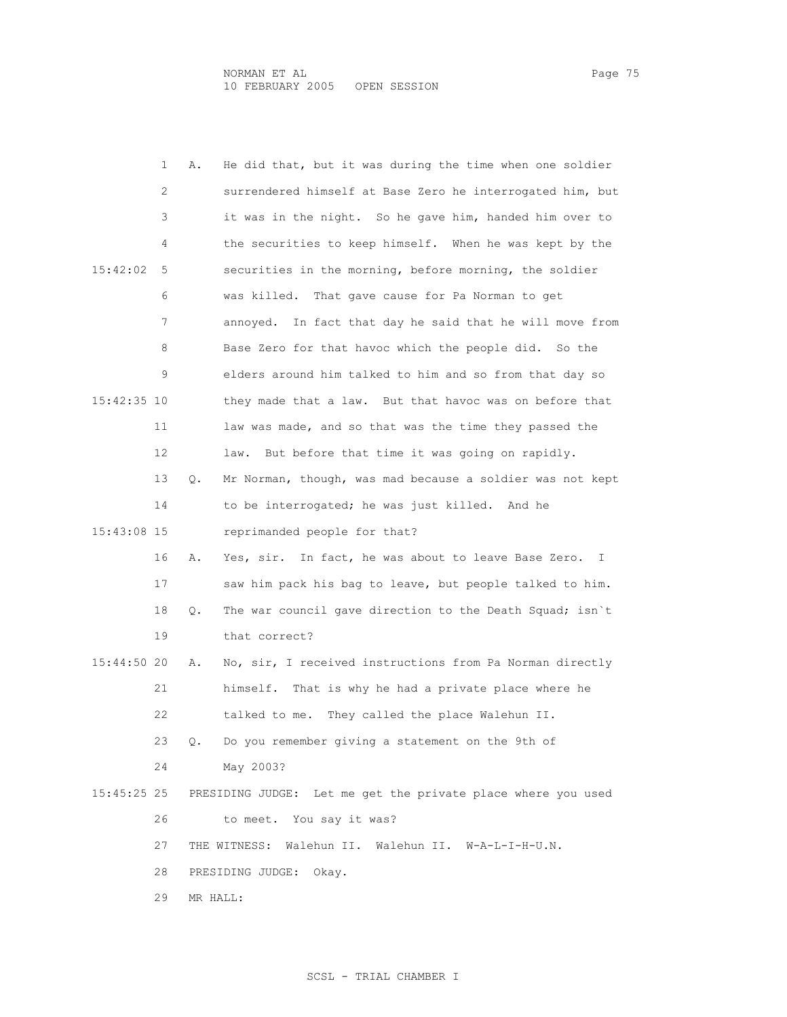|             | 1  | Α.                        | He did that, but it was during the time when one soldier            |  |  |  |  |  |
|-------------|----|---------------------------|---------------------------------------------------------------------|--|--|--|--|--|
|             | 2  |                           | surrendered himself at Base Zero he interrogated him, but           |  |  |  |  |  |
|             | 3  |                           | it was in the night. So he gave him, handed him over to             |  |  |  |  |  |
|             | 4  |                           | the securities to keep himself. When he was kept by the             |  |  |  |  |  |
| 15:42:02    | 5  |                           | securities in the morning, before morning, the soldier              |  |  |  |  |  |
|             | 6  |                           | was killed. That gave cause for Pa Norman to get                    |  |  |  |  |  |
|             | 7  |                           | annoyed. In fact that day he said that he will move from            |  |  |  |  |  |
|             | 8  |                           | Base Zero for that havoc which the people did. So the               |  |  |  |  |  |
|             | 9  |                           | elders around him talked to him and so from that day so             |  |  |  |  |  |
| 15:42:35 10 |    |                           | they made that a law. But that havoc was on before that             |  |  |  |  |  |
|             | 11 |                           | law was made, and so that was the time they passed the              |  |  |  |  |  |
|             | 12 |                           | But before that time it was going on rapidly.<br>law.               |  |  |  |  |  |
|             | 13 | Q.                        | Mr Norman, though, was mad because a soldier was not kept           |  |  |  |  |  |
|             | 14 |                           | to be interrogated; he was just killed. And he                      |  |  |  |  |  |
| 15:43:08 15 |    |                           | reprimanded people for that?                                        |  |  |  |  |  |
|             | 16 | Α.                        | Yes, sir. In fact, he was about to leave Base Zero.<br>$\mathbb{I}$ |  |  |  |  |  |
|             | 17 |                           | saw him pack his bag to leave, but people talked to him.            |  |  |  |  |  |
|             | 18 | Q.                        | The war council gave direction to the Death Squad; isn't            |  |  |  |  |  |
|             | 19 |                           | that correct?                                                       |  |  |  |  |  |
| 15:44:50 20 |    | Α.                        | No, sir, I received instructions from Pa Norman directly            |  |  |  |  |  |
|             | 21 |                           | himself. That is why he had a private place where he                |  |  |  |  |  |
|             | 22 |                           | They called the place Walehun II.<br>talked to me.                  |  |  |  |  |  |
|             | 23 | $\circ$ .                 | Do you remember giving a statement on the 9th of                    |  |  |  |  |  |
|             | 24 |                           | May 2003?                                                           |  |  |  |  |  |
| 15:45:25 25 |    |                           | PRESIDING JUDGE: Let me get the private place where you used        |  |  |  |  |  |
|             | 26 |                           | to meet. You say it was?                                            |  |  |  |  |  |
|             | 27 |                           | THE WITNESS: Walehun II. Walehun II. W-A-L-I-H-U.N.                 |  |  |  |  |  |
|             | 28 | PRESIDING JUDGE:<br>Okay. |                                                                     |  |  |  |  |  |
|             | 29 | MR HALL:                  |                                                                     |  |  |  |  |  |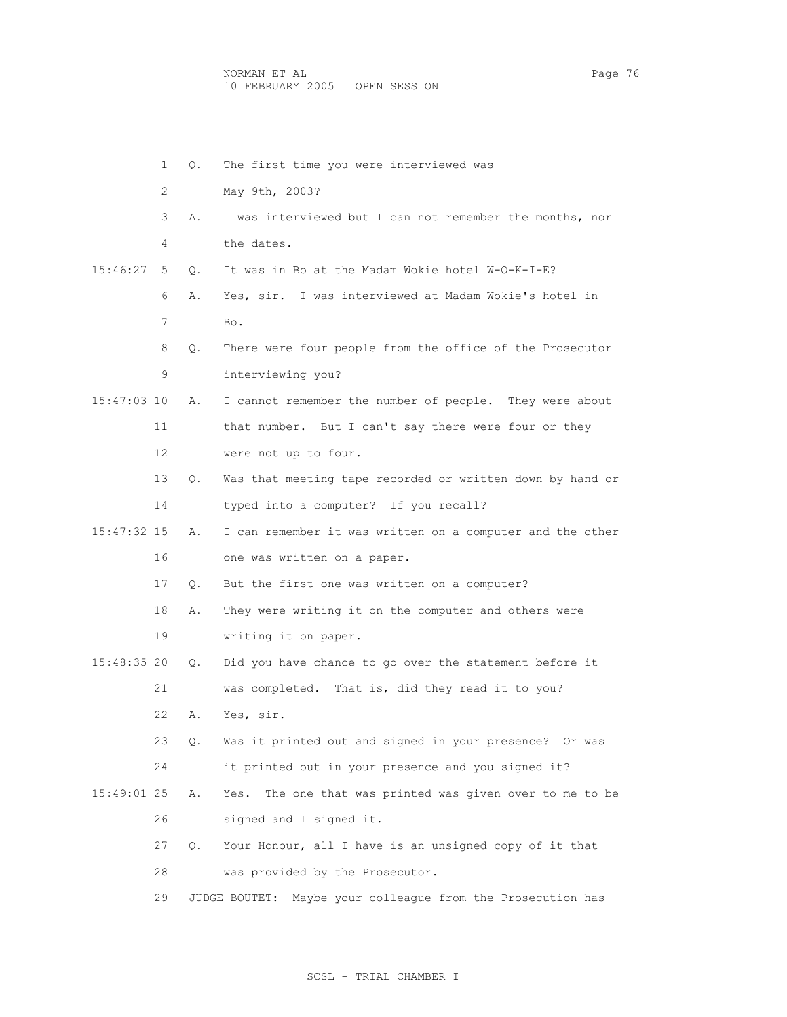1 Q. The first time you were interviewed was 2 May 9th, 2003? 3 A. I was interviewed but I can not remember the months, nor 4 the dates. 15:46:27 5 Q. It was in Bo at the Madam Wokie hotel W-O-K-I-E? 6 A. Yes, sir. I was interviewed at Madam Wokie's hotel in 7 Bo. 8 Q. There were four people from the office of the Prosecutor 9 interviewing you? 15:47:03 10 A. I cannot remember the number of people. They were about 11 that number. But I can't say there were four or they 12 were not up to four. 13 Q. Was that meeting tape recorded or written down by hand or 14 typed into a computer? If you recall? 15:47:32 15 A. I can remember it was written on a computer and the other 16 one was written on a paper. 17 Q. But the first one was written on a computer? 18 A. They were writing it on the computer and others were 19 writing it on paper. 15:48:35 20 Q. Did you have chance to go over the statement before it 21 was completed. That is, did they read it to you? 22 A. Yes, sir. 23 Q. Was it printed out and signed in your presence? Or was 24 it printed out in your presence and you signed it? 15:49:01 25 A. Yes. The one that was printed was given over to me to be 26 signed and I signed it. 27 Q. Your Honour, all I have is an unsigned copy of it that 28 was provided by the Prosecutor. 29 JUDGE BOUTET: Maybe your colleague from the Prosecution has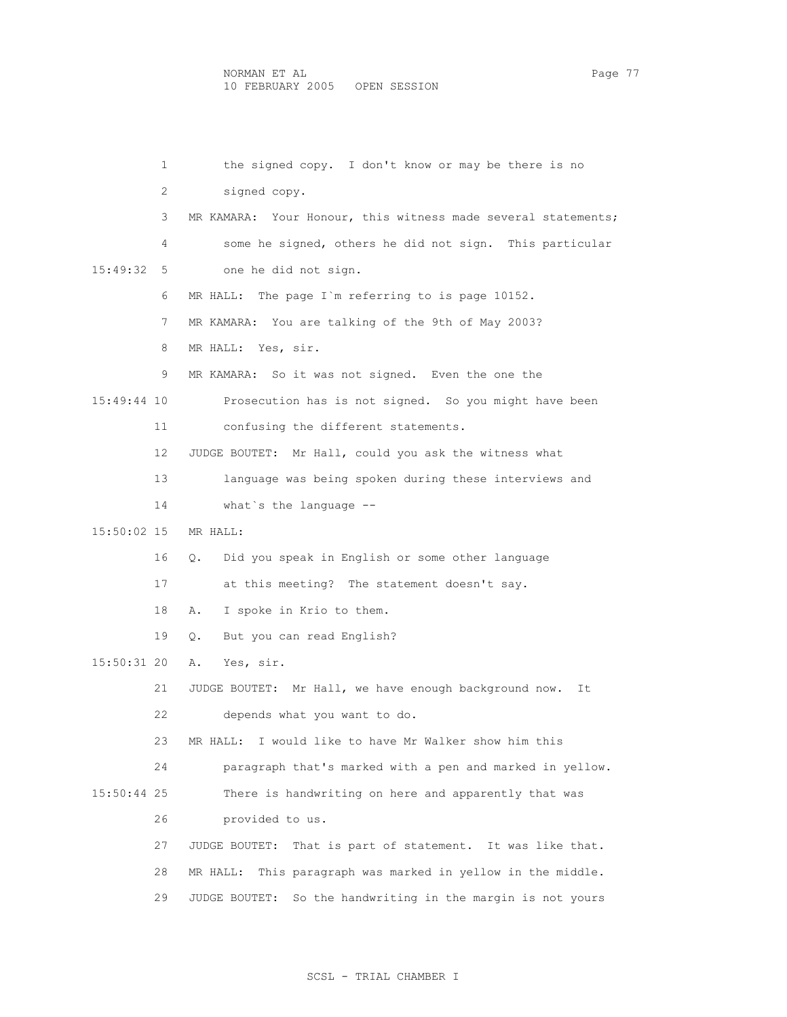1 the signed copy. I don't know or may be there is no 2 signed copy. 3 MR KAMARA: Your Honour, this witness made several statements; 4 some he signed, others he did not sign. This particular 15:49:32 5 one he did not sign. 6 MR HALL: The page I`m referring to is page 10152. 7 MR KAMARA: You are talking of the 9th of May 2003? 8 MR HALL: Yes, sir. 9 MR KAMARA: So it was not signed. Even the one the 15:49:44 10 Prosecution has is not signed. So you might have been 11 confusing the different statements. 12 JUDGE BOUTET: Mr Hall, could you ask the witness what 13 language was being spoken during these interviews and 14 what`s the language -- 15:50:02 15 MR HALL: 16 Q. Did you speak in English or some other language 17 at this meeting? The statement doesn't say. 18 A. I spoke in Krio to them. 19 Q. But you can read English? 15:50:31 20 A. Yes, sir. 21 JUDGE BOUTET: Mr Hall, we have enough background now. It 22 depends what you want to do. 23 MR HALL: I would like to have Mr Walker show him this 24 paragraph that's marked with a pen and marked in yellow. 15:50:44 25 There is handwriting on here and apparently that was 26 provided to us. 27 JUDGE BOUTET: That is part of statement. It was like that. 28 MR HALL: This paragraph was marked in yellow in the middle. 29 JUDGE BOUTET: So the handwriting in the margin is not yours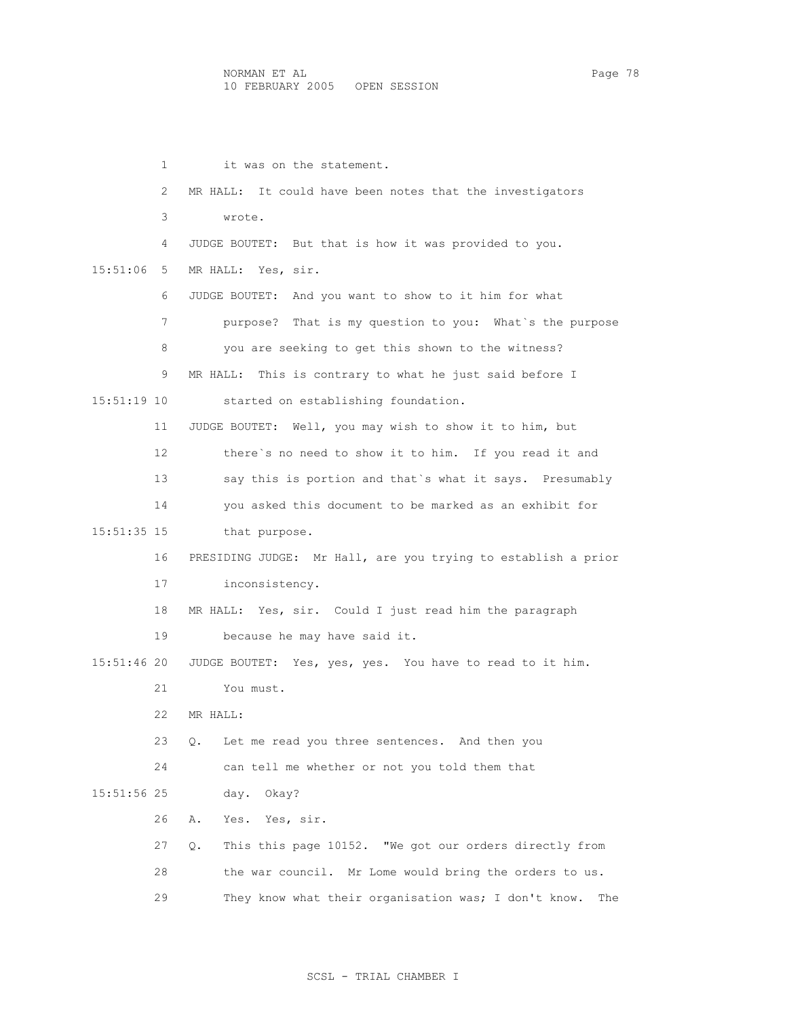| 1               | it was on the statement.                                      |
|-----------------|---------------------------------------------------------------|
| 2               | MR HALL: It could have been notes that the investigators      |
| 3               | wrote.                                                        |
| 4               | JUDGE BOUTET: But that is how it was provided to you.         |
| 15:51:06<br>5.  | MR HALL: Yes, sir.                                            |
| 6               | JUDGE BOUTET: And you want to show to it him for what         |
| 7               | purpose? That is my question to you: What's the purpose       |
| 8               | you are seeking to get this shown to the witness?             |
| 9               | MR HALL: This is contrary to what he just said before I       |
| 15:51:19 10     | started on establishing foundation.                           |
| 11              | JUDGE BOUTET: Well, you may wish to show it to him, but       |
| 12 <sup>°</sup> | there's no need to show it to him. If you read it and         |
| 13              | say this is portion and that's what it says. Presumably       |
| 14              | you asked this document to be marked as an exhibit for        |
| 15:51:35 15     | that purpose.                                                 |
| 16              | PRESIDING JUDGE: Mr Hall, are you trying to establish a prior |
| 17              | inconsistency.                                                |
| 18              | MR HALL: Yes, sir. Could I just read him the paragraph        |
| 19              | because he may have said it.                                  |
| 15:51:46 20     | JUDGE BOUTET: Yes, yes, yes. You have to read to it him.      |
| 21              | You must.                                                     |
| 22              | MR HALL:                                                      |
| 23              | Let me read you three sentences. And then you<br>О.           |
| 24              | can tell me whether or not you told them that                 |
| 15:51:56 25     | day. Okay?                                                    |
| 26              | Yes.<br>Yes, sir.<br>Α.                                       |
| 27              | This this page 10152. "We got our orders directly from<br>О.  |
| 28              | the war council. Mr Lome would bring the orders to us.        |
| 29              | They know what their organisation was; I don't know.<br>The   |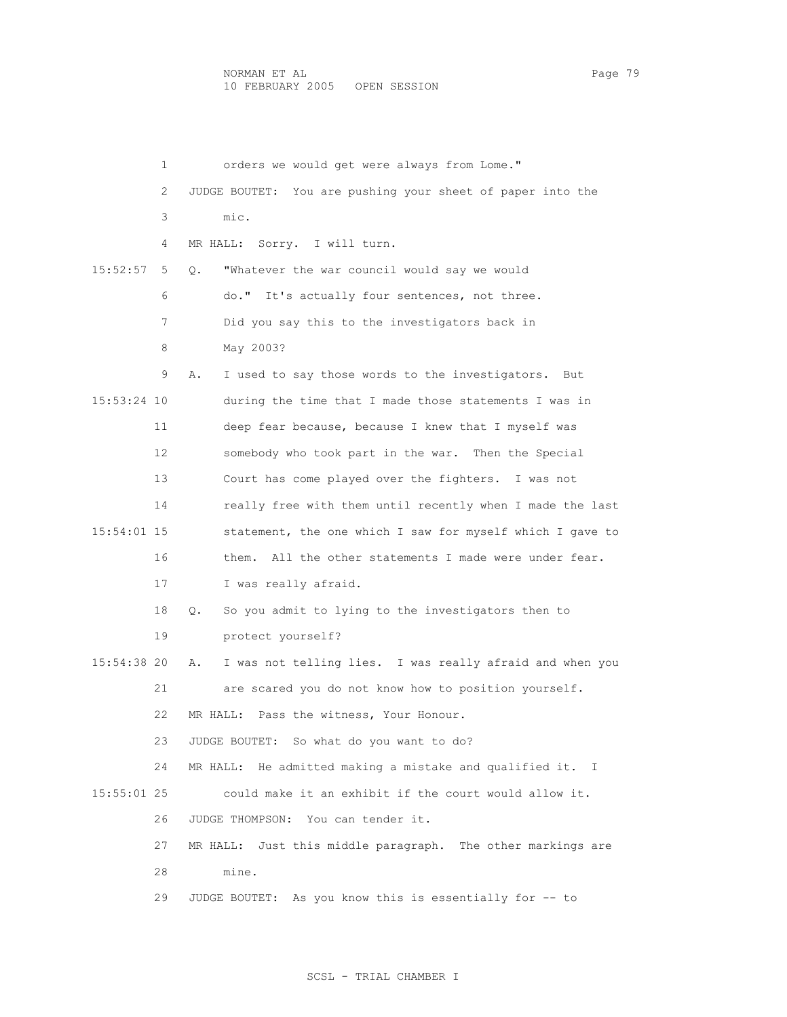|             | 1  | orders we would get were always from Lome."                    |
|-------------|----|----------------------------------------------------------------|
|             | 2  | JUDGE BOUTET: You are pushing your sheet of paper into the     |
|             | 3  | mic.                                                           |
|             | 4  | Sorry. I will turn.<br>MR HALL:                                |
| 15:52:57    | 5  | "Whatever the war council would say we would<br>О.             |
|             | 6  | do." It's actually four sentences, not three.                  |
|             | 7  | Did you say this to the investigators back in                  |
|             | 8  | May 2003?                                                      |
|             | 9  | I used to say those words to the investigators.<br>Α.<br>But   |
| 15:53:24 10 |    | during the time that I made those statements I was in          |
|             | 11 | deep fear because, because I knew that I myself was            |
|             | 12 | somebody who took part in the war. Then the Special            |
|             | 13 | Court has come played over the fighters. I was not             |
|             | 14 | really free with them until recently when I made the last      |
| 15:54:01 15 |    | statement, the one which I saw for myself which I gave to      |
|             | 16 | All the other statements I made were under fear.<br>them.      |
|             | 17 | I was really afraid.                                           |
|             | 18 | So you admit to lying to the investigators then to<br>Q.       |
|             | 19 | protect yourself?                                              |
| 15:54:38 20 |    | I was not telling lies. I was really afraid and when you<br>Α. |
|             | 21 | are scared you do not know how to position yourself.           |
|             | 22 | Pass the witness, Your Honour.<br>MR HALL:                     |
|             | 23 | JUDGE BOUTET: So what do you want to do?                       |
|             | 24 | MR HALL: He admitted making a mistake and qualified it. I      |
| 15:55:01 25 |    | could make it an exhibit if the court would allow it.          |
|             | 26 | JUDGE THOMPSON: You can tender it.                             |
|             | 27 | Just this middle paragraph. The other markings are<br>MR HALL: |
|             | 28 | mine.                                                          |
|             | 29 | JUDGE BOUTET: As you know this is essentially for -- to        |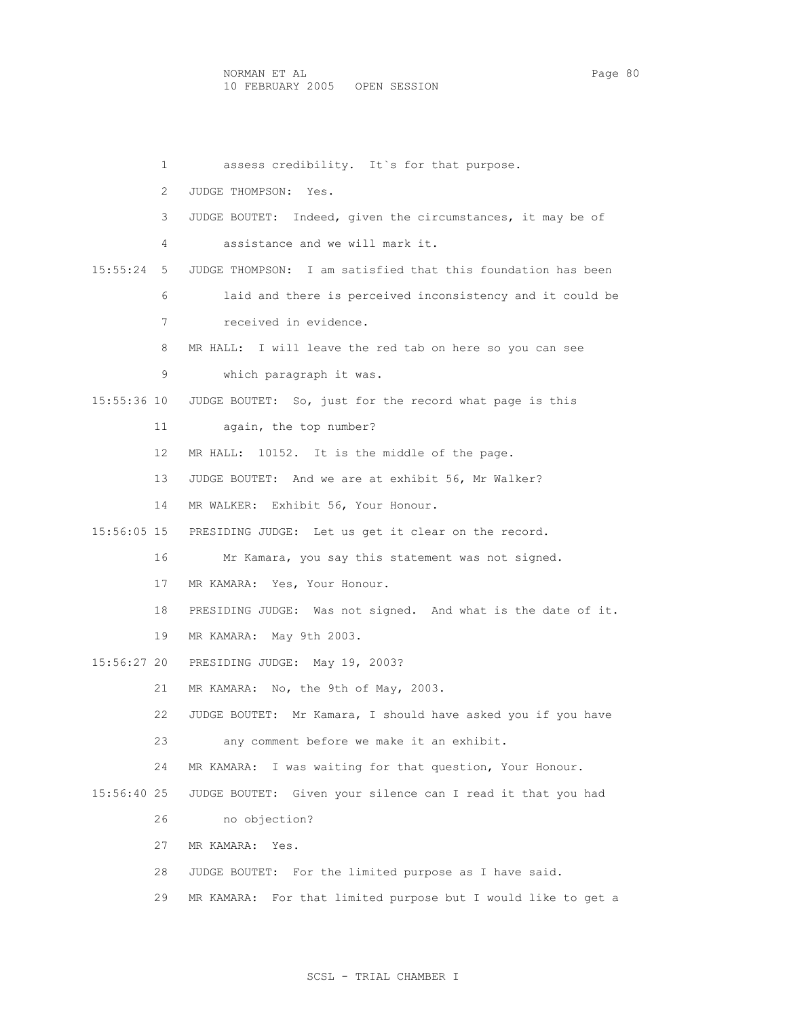1 assess credibility. It's for that purpose. 2 JUDGE THOMPSON: Yes. 3 JUDGE BOUTET: Indeed, given the circumstances, it may be of 4 assistance and we will mark it. 15:55:24 5 JUDGE THOMPSON: I am satisfied that this foundation has been 6 laid and there is perceived inconsistency and it could be 7 received in evidence. 8 MR HALL: I will leave the red tab on here so you can see 9 which paragraph it was. 15:55:36 10 JUDGE BOUTET: So, just for the record what page is this 11 again, the top number? 12 MR HALL: 10152. It is the middle of the page. 13 JUDGE BOUTET: And we are at exhibit 56, Mr Walker? 14 MR WALKER: Exhibit 56, Your Honour. 15:56:05 15 PRESIDING JUDGE: Let us get it clear on the record. 16 Mr Kamara, you say this statement was not signed. 17 MR KAMARA: Yes, Your Honour. 18 PRESIDING JUDGE: Was not signed. And what is the date of it. 19 MR KAMARA: May 9th 2003. 15:56:27 20 PRESIDING JUDGE: May 19, 2003? 21 MR KAMARA: No, the 9th of May, 2003. 22 JUDGE BOUTET: Mr Kamara, I should have asked you if you have 23 any comment before we make it an exhibit. 24 MR KAMARA: I was waiting for that question, Your Honour. 15:56:40 25 JUDGE BOUTET: Given your silence can I read it that you had 26 no objection? 27 MR KAMARA: Yes. 28 JUDGE BOUTET: For the limited purpose as I have said. 29 MR KAMARA: For that limited purpose but I would like to get a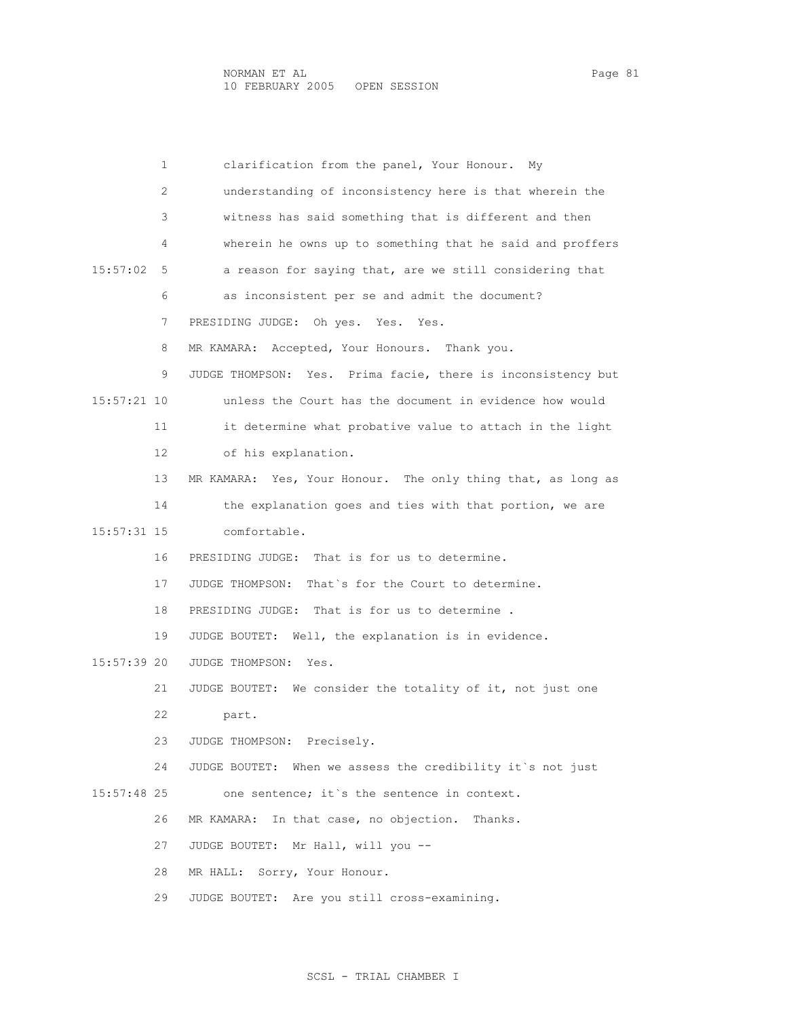| 1             | clarification from the panel, Your Honour.<br>Mv             |
|---------------|--------------------------------------------------------------|
| 2             | understanding of inconsistency here is that wherein the      |
| 3             | witness has said something that is different and then        |
| 4             | wherein he owns up to something that he said and proffers    |
| 15:57:02<br>5 | a reason for saying that, are we still considering that      |
| 6             | as inconsistent per se and admit the document?               |
| 7             | PRESIDING JUDGE: Oh yes. Yes. Yes.                           |
| 8             | Accepted, Your Honours. Thank you.<br>MR KAMARA:             |
| 9             | JUDGE THOMPSON: Yes. Prima facie, there is inconsistency but |
| 15:57:21 10   | unless the Court has the document in evidence how would      |
| 11            | it determine what probative value to attach in the light     |
| 12            | of his explanation.                                          |
| 13            | MR KAMARA: Yes, Your Honour. The only thing that, as long as |
| 14            | the explanation goes and ties with that portion, we are      |
| 15:57:31 15   | comfortable.                                                 |
| 16            | PRESIDING JUDGE: That is for us to determine.                |
| 17            | JUDGE THOMPSON: That's for the Court to determine.           |
| 18            | PRESIDING JUDGE: That is for us to determine.                |
| 19            | JUDGE BOUTET: Well, the explanation is in evidence.          |
| 15:57:39 20   | JUDGE THOMPSON:<br>Yes.                                      |
| 21            | JUDGE BOUTET: We consider the totality of it, not just one   |
| 22            | part.                                                        |
| 23.           | JUDGE THOMPSON: Precisely.                                   |
| 24            | JUDGE BOUTET: When we assess the credibility it's not just   |
| $15:57:48$ 25 | one sentence; it's the sentence in context.                  |
| 26            | In that case, no objection. Thanks.<br>MR KAMARA:            |
| 27            | JUDGE BOUTET: Mr Hall, will you --                           |
| 28            | MR HALL: Sorry, Your Honour.                                 |
| 29            | JUDGE BOUTET: Are you still cross-examining.                 |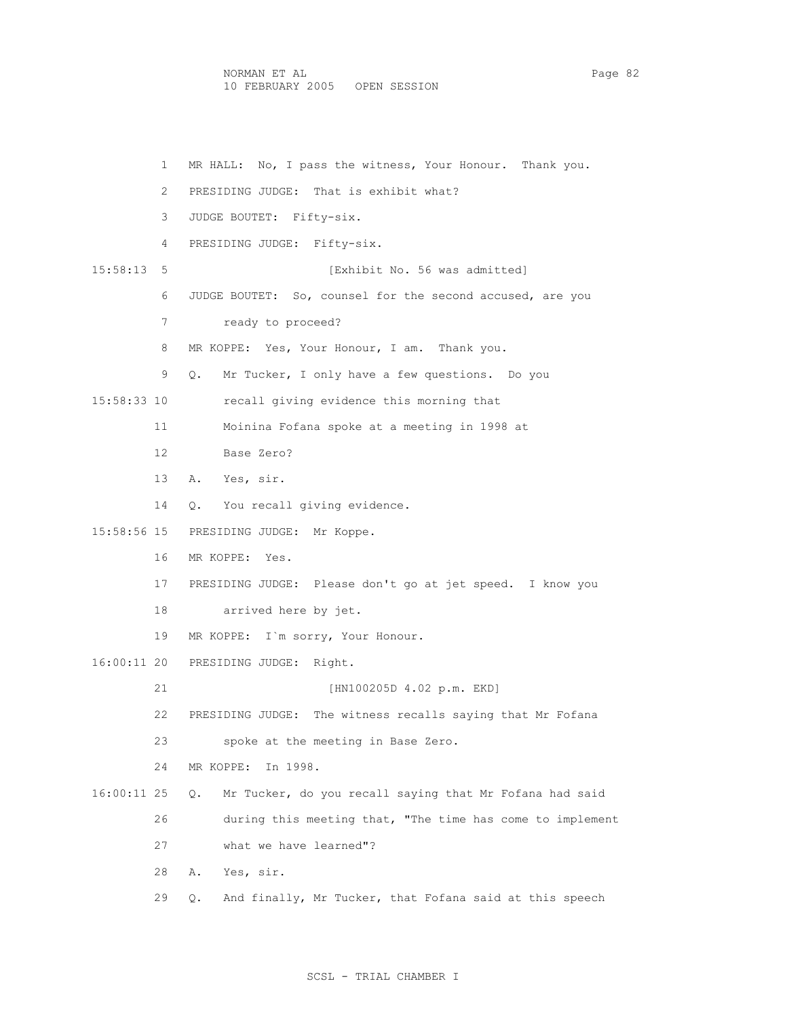NORMAN ET AL Page 82 10 FEBRUARY 2005 OPEN SESSION

```
 1 MR HALL: No, I pass the witness, Your Honour. Thank you. 
         2 PRESIDING JUDGE: That is exhibit what? 
         3 JUDGE BOUTET: Fifty-six. 
         4 PRESIDING JUDGE: Fifty-six. 
15:58:13 5 [Exhibit No. 56 was admitted] 
         6 JUDGE BOUTET: So, counsel for the second accused, are you 
         7 ready to proceed? 
        8 MR KOPPE: Yes, Your Honour, I am. Thank you.
         9 Q. Mr Tucker, I only have a few questions. Do you 
15:58:33 10 recall giving evidence this morning that 
        11 Moinina Fofana spoke at a meeting in 1998 at 
        12 Base Zero? 
        13 A. Yes, sir. 
        14 Q. You recall giving evidence. 
15:58:56 15 PRESIDING JUDGE: Mr Koppe. 
        16 MR KOPPE: Yes. 
        17 PRESIDING JUDGE: Please don't go at jet speed. I know you 
        18 arrived here by jet. 
        19 MR KOPPE: I`m sorry, Your Honour. 
16:00:11 20 PRESIDING JUDGE: Right. 
        21 [HN100205D 4.02 p.m. EKD] 
        22 PRESIDING JUDGE: The witness recalls saying that Mr Fofana 
        23 spoke at the meeting in Base Zero. 
        24 MR KOPPE: In 1998. 
16:00:11 25 Q. Mr Tucker, do you recall saying that Mr Fofana had said 
        26 during this meeting that, "The time has come to implement 
        27 what we have learned"? 
        28 A. Yes, sir. 
        29 Q. And finally, Mr Tucker, that Fofana said at this speech
```
## SCSL - TRIAL CHAMBER I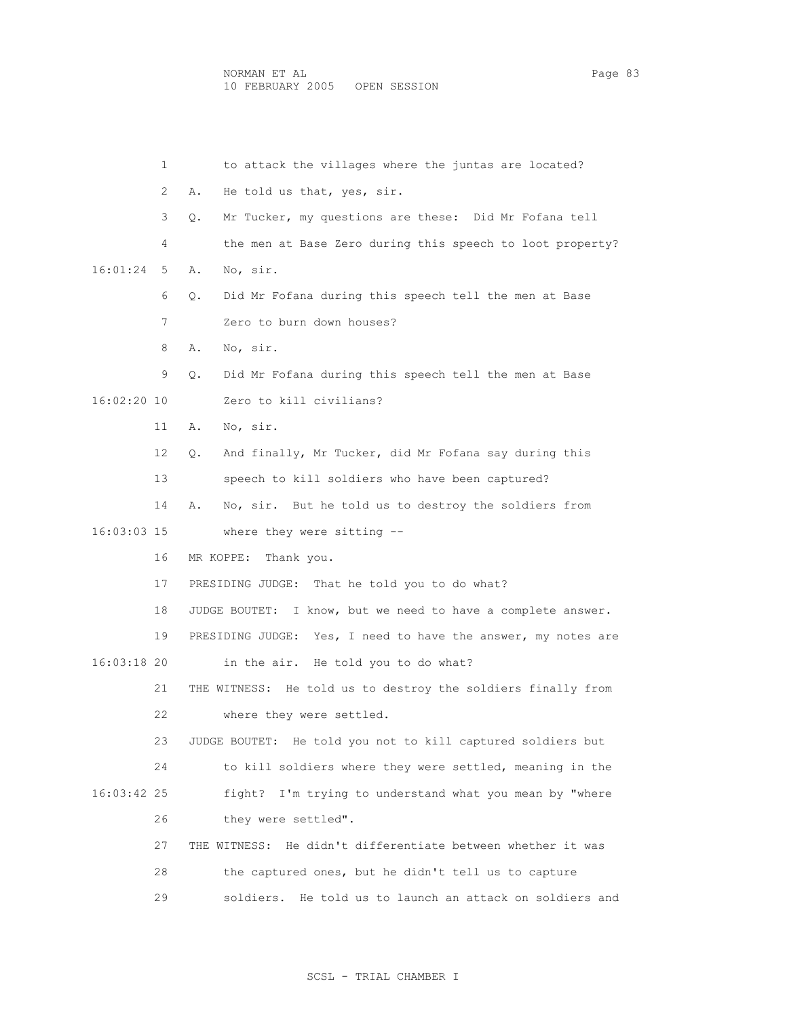1 to attack the villages where the juntas are located? 2 A. He told us that, yes, sir. 3 Q. Mr Tucker, my questions are these: Did Mr Fofana tell 4 the men at Base Zero during this speech to loot property? 16:01:24 5 A. No, sir. 6 Q. Did Mr Fofana during this speech tell the men at Base 7 Zero to burn down houses? 8 A. No, sir. 9 Q. Did Mr Fofana during this speech tell the men at Base 16:02:20 10 Zero to kill civilians? 11 A. No, sir. 12 Q. And finally, Mr Tucker, did Mr Fofana say during this 13 speech to kill soldiers who have been captured? 14 A. No, sir. But he told us to destroy the soldiers from 16:03:03 15 where they were sitting -- 16 MR KOPPE: Thank you. 17 PRESIDING JUDGE: That he told you to do what? 18 JUDGE BOUTET: I know, but we need to have a complete answer. 19 PRESIDING JUDGE: Yes, I need to have the answer, my notes are 16:03:18 20 in the air. He told you to do what? 21 THE WITNESS: He told us to destroy the soldiers finally from 22 where they were settled. 23 JUDGE BOUTET: He told you not to kill captured soldiers but 24 to kill soldiers where they were settled, meaning in the 16:03:42 25 fight? I'm trying to understand what you mean by "where 26 they were settled". 27 THE WITNESS: He didn't differentiate between whether it was 28 the captured ones, but he didn't tell us to capture 29 soldiers. He told us to launch an attack on soldiers and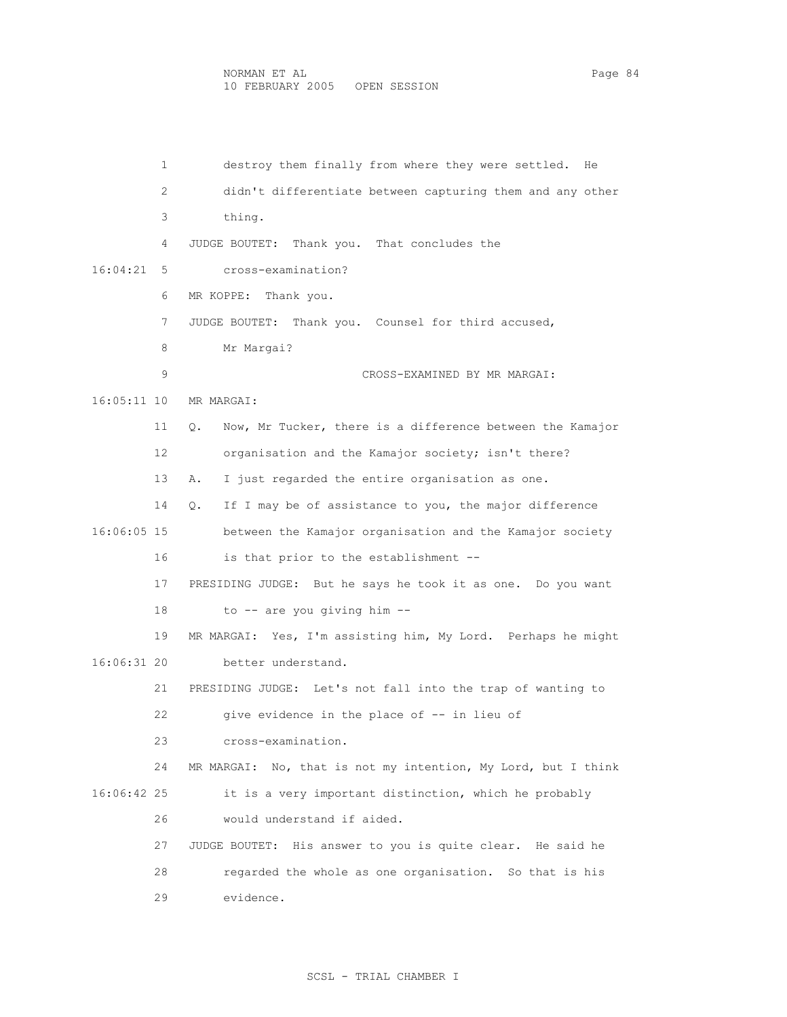1 destroy them finally from where they were settled. He 2 didn't differentiate between capturing them and any other 3 thing. 4 JUDGE BOUTET: Thank you. That concludes the 16:04:21 5 cross-examination? 6 MR KOPPE: Thank you. 7 JUDGE BOUTET: Thank you. Counsel for third accused, 8 Mr Margai? 9 CROSS-EXAMINED BY MR MARGAI: 16:05:11 10 MR MARGAI: 11 Q. Now, Mr Tucker, there is a difference between the Kamajor 12 organisation and the Kamajor society; isn't there? 13 A. I just regarded the entire organisation as one. 14 Q. If I may be of assistance to you, the major difference 16:06:05 15 between the Kamajor organisation and the Kamajor society 16 is that prior to the establishment -- 17 PRESIDING JUDGE: But he says he took it as one. Do you want 18 to -- are you giving him -- 19 MR MARGAI: Yes, I'm assisting him, My Lord. Perhaps he might 16:06:31 20 better understand. 21 PRESIDING JUDGE: Let's not fall into the trap of wanting to 22 give evidence in the place of -- in lieu of 23 cross-examination. 24 MR MARGAI: No, that is not my intention, My Lord, but I think 16:06:42 25 it is a very important distinction, which he probably 26 would understand if aided. 27 JUDGE BOUTET: His answer to you is quite clear. He said he 28 regarded the whole as one organisation. So that is his 29 evidence.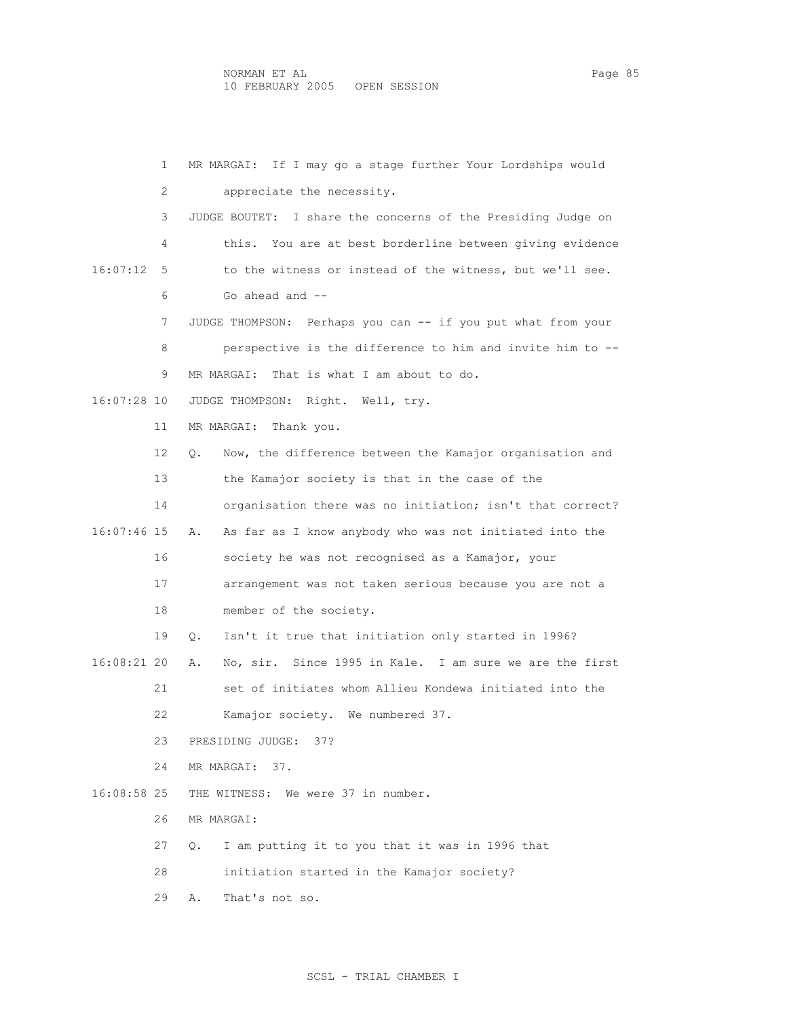1 MR MARGAI: If I may go a stage further Your Lordships would 2 appreciate the necessity. 3 JUDGE BOUTET: I share the concerns of the Presiding Judge on 4 this. You are at best borderline between giving evidence 16:07:12 5 to the witness or instead of the witness, but we'll see. 6 Go ahead and -- 7 JUDGE THOMPSON: Perhaps you can -- if you put what from your 8 perspective is the difference to him and invite him to -- 9 MR MARGAI: That is what I am about to do. 16:07:28 10 JUDGE THOMPSON: Right. Well, try. 11 MR MARGAI: Thank you. 12 Q. Now, the difference between the Kamajor organisation and 13 the Kamajor society is that in the case of the 14 organisation there was no initiation; isn't that correct? 16:07:46 15 A. As far as I know anybody who was not initiated into the 16 society he was not recognised as a Kamajor, your 17 arrangement was not taken serious because you are not a 18 member of the society. 19 Q. Isn't it true that initiation only started in 1996? 16:08:21 20 A. No, sir. Since 1995 in Kale. I am sure we are the first 21 set of initiates whom Allieu Kondewa initiated into the 22 Kamajor society. We numbered 37. 23 PRESIDING JUDGE: 37? 24 MR MARGAI: 37. 16:08:58 25 THE WITNESS: We were 37 in number. 26 MR MARGAI: 27 Q. I am putting it to you that it was in 1996 that 28 initiation started in the Kamajor society? 29 A. That's not so.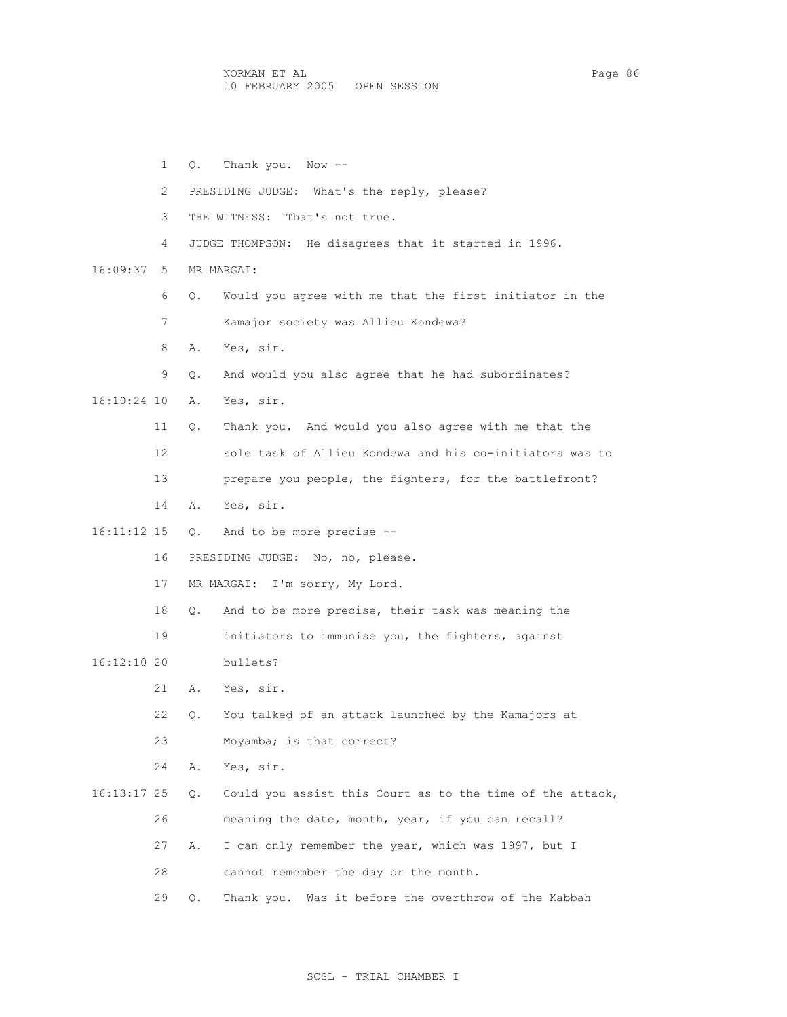NORMAN ET AL Page 86 10 FEBRUARY 2005 OPEN SESSION

 1 Q. Thank you. Now -- 2 PRESIDING JUDGE: What's the reply, please? 3 THE WITNESS: That's not true. 4 JUDGE THOMPSON: He disagrees that it started in 1996. 16:09:37 5 MR MARGAI: 6 Q. Would you agree with me that the first initiator in the 7 Kamajor society was Allieu Kondewa? 8 A. Yes, sir. 9 Q. And would you also agree that he had subordinates? 16:10:24 10 A. Yes, sir. 11 Q. Thank you. And would you also agree with me that the 12 sole task of Allieu Kondewa and his co-initiators was to 13 prepare you people, the fighters, for the battlefront? 14 A. Yes, sir. 16:11:12 15 Q. And to be more precise -- 16 PRESIDING JUDGE: No, no, please. 17 MR MARGAI: I'm sorry, My Lord. 18 Q. And to be more precise, their task was meaning the 19 initiators to immunise you, the fighters, against 16:12:10 20 bullets? 21 A. Yes, sir. 22 Q. You talked of an attack launched by the Kamajors at 23 Moyamba; is that correct? 24 A. Yes, sir. 16:13:17 25 Q. Could you assist this Court as to the time of the attack, 26 meaning the date, month, year, if you can recall? 27 A. I can only remember the year, which was 1997, but I 28 cannot remember the day or the month. 29 Q. Thank you. Was it before the overthrow of the Kabbah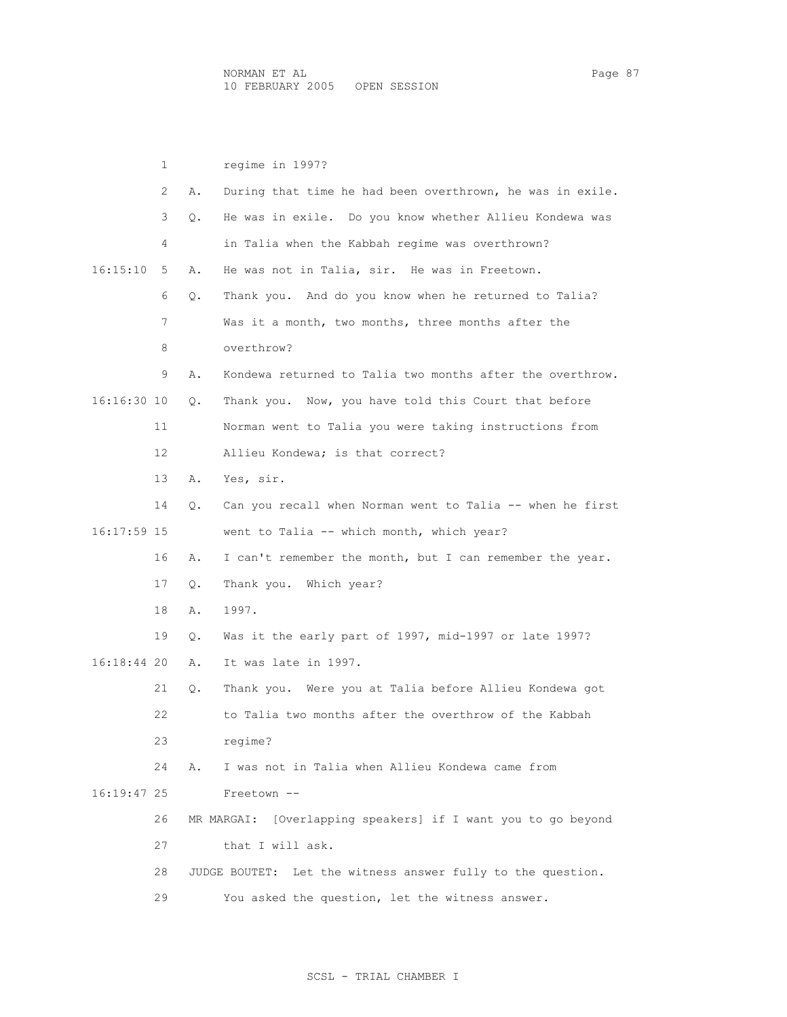1 regime in 1997? 2 A. During that time he had been overthrown, he was in exile. 3 Q. He was in exile. Do you know whether Allieu Kondewa was 4 in Talia when the Kabbah regime was overthrown? 16:15:10 5 A. He was not in Talia, sir. He was in Freetown. 6 Q. Thank you. And do you know when he returned to Talia? 7 Was it a month, two months, three months after the 8 overthrow? 9 A. Kondewa returned to Talia two months after the overthrow. 16:16:30 10 Q. Thank you. Now, you have told this Court that before 11 Norman went to Talia you were taking instructions from 12 Allieu Kondewa; is that correct? 13 A. Yes, sir. 14 Q. Can you recall when Norman went to Talia -- when he first 16:17:59 15 went to Talia -- which month, which year? 16 A. I can't remember the month, but I can remember the year. 17 Q. Thank you. Which year? 18 A. 1997. 19 Q. Was it the early part of 1997, mid-1997 or late 1997? 16:18:44 20 A. It was late in 1997. 21 Q. Thank you. Were you at Talia before Allieu Kondewa got 22 to Talia two months after the overthrow of the Kabbah 23 regime? 24 A. I was not in Talia when Allieu Kondewa came from 16:19:47 25 Freetown -- 26 MR MARGAI: [Overlapping speakers] if I want you to go beyond 27 that I will ask. 28 JUDGE BOUTET: Let the witness answer fully to the question. 29 You asked the question, let the witness answer.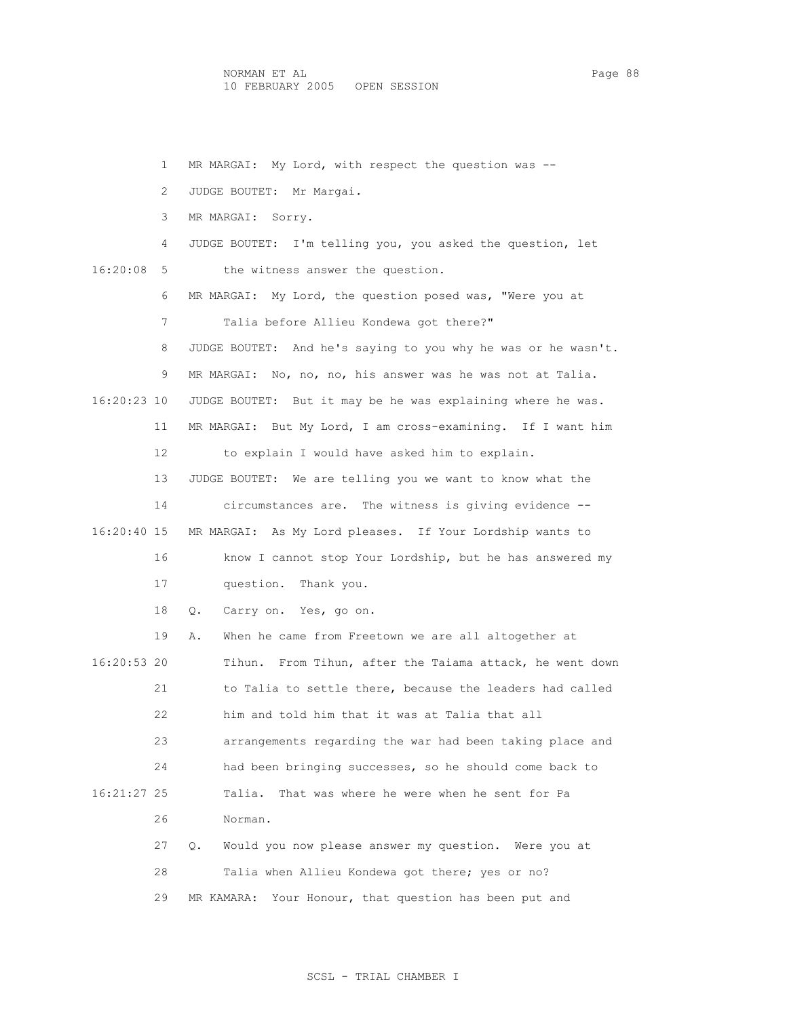1 MR MARGAI: My Lord, with respect the question was -- 2 JUDGE BOUTET: Mr Margai. 3 MR MARGAI: Sorry. 4 JUDGE BOUTET: I'm telling you, you asked the question, let 16:20:08 5 the witness answer the question. 6 MR MARGAI: My Lord, the question posed was, "Were you at 7 Talia before Allieu Kondewa got there?" 8 JUDGE BOUTET: And he's saying to you why he was or he wasn't. 9 MR MARGAI: No, no, no, his answer was he was not at Talia. 16:20:23 10 JUDGE BOUTET: But it may be he was explaining where he was. 11 MR MARGAI: But My Lord, I am cross-examining. If I want him 12 to explain I would have asked him to explain. 13 JUDGE BOUTET: We are telling you we want to know what the 14 circumstances are. The witness is giving evidence -- 16:20:40 15 MR MARGAI: As My Lord pleases. If Your Lordship wants to 16 know I cannot stop Your Lordship, but he has answered my 17 question. Thank you. 18 Q. Carry on. Yes, go on. 19 A. When he came from Freetown we are all altogether at 16:20:53 20 Tihun. From Tihun, after the Taiama attack, he went down 21 to Talia to settle there, because the leaders had called 22 him and told him that it was at Talia that all 23 arrangements regarding the war had been taking place and 24 had been bringing successes, so he should come back to 16:21:27 25 Talia. That was where he were when he sent for Pa 26 Norman. 27 Q. Would you now please answer my question. Were you at 28 Talia when Allieu Kondewa got there; yes or no? 29 MR KAMARA: Your Honour, that question has been put and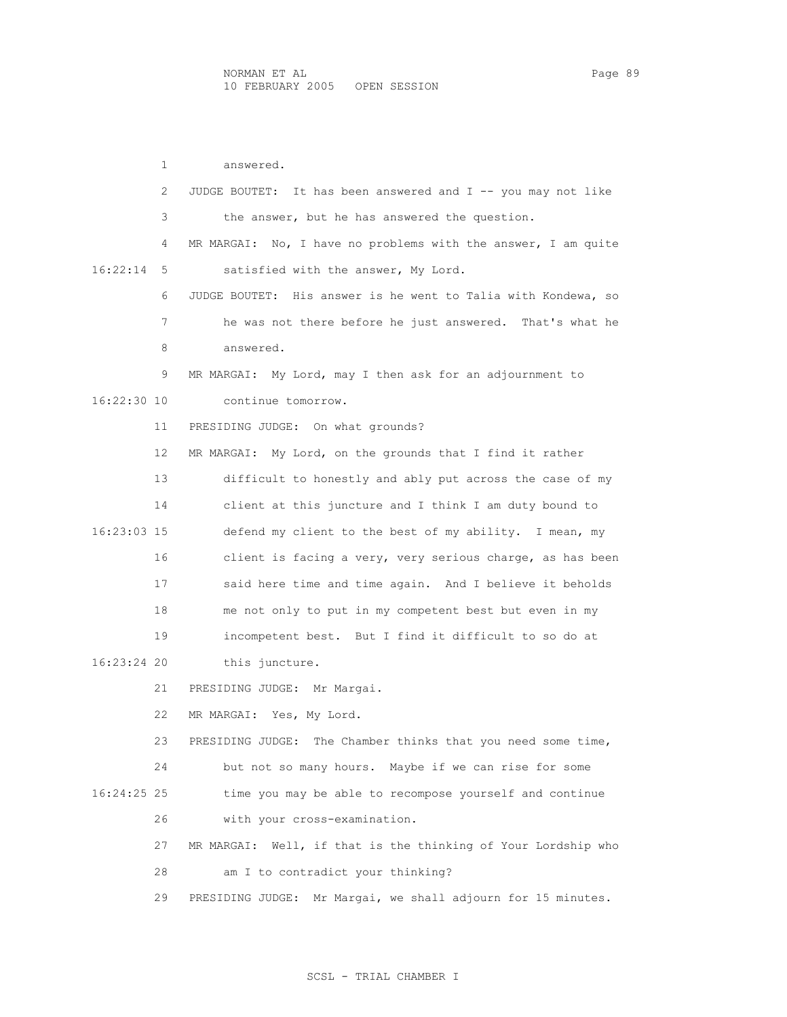1 answered. 2 JUDGE BOUTET: It has been answered and I -- you may not like 3 the answer, but he has answered the question. 4 MR MARGAI: No, I have no problems with the answer, I am quite 16:22:14 5 satisfied with the answer, My Lord. 6 JUDGE BOUTET: His answer is he went to Talia with Kondewa, so 7 he was not there before he just answered. That's what he 8 answered. 9 MR MARGAI: My Lord, may I then ask for an adjournment to 16:22:30 10 continue tomorrow. 11 PRESIDING JUDGE: On what grounds? 12 MR MARGAI: My Lord, on the grounds that I find it rather 13 difficult to honestly and ably put across the case of my 14 client at this juncture and I think I am duty bound to 16:23:03 15 defend my client to the best of my ability. I mean, my 16 client is facing a very, very serious charge, as has been 17 said here time and time again. And I believe it beholds 18 me not only to put in my competent best but even in my 19 incompetent best. But I find it difficult to so do at 16:23:24 20 this juncture. 21 PRESIDING JUDGE: Mr Margai. 22 MR MARGAI: Yes, My Lord. 23 PRESIDING JUDGE: The Chamber thinks that you need some time, 24 but not so many hours. Maybe if we can rise for some 16:24:25 25 time you may be able to recompose yourself and continue 26 with your cross-examination. 27 MR MARGAI: Well, if that is the thinking of Your Lordship who 28 am I to contradict your thinking? 29 PRESIDING JUDGE: Mr Margai, we shall adjourn for 15 minutes.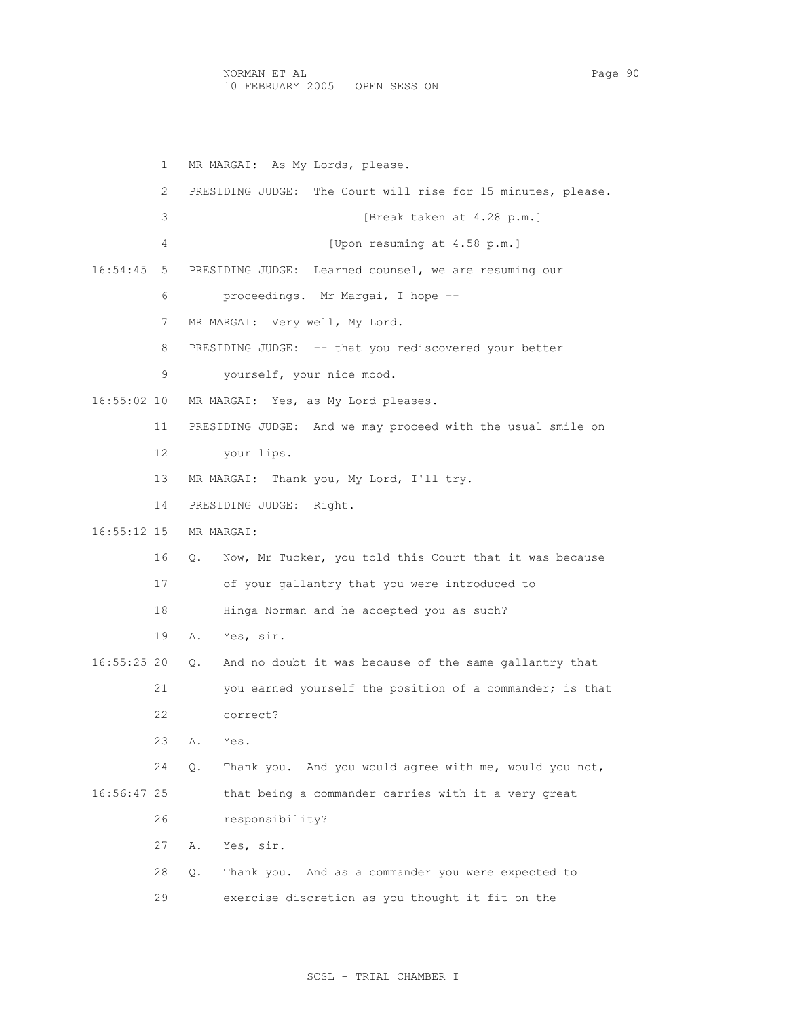1 MR MARGAI: As My Lords, please. 2 PRESIDING JUDGE: The Court will rise for 15 minutes, please. 3 [Break taken at 4.28 p.m.] 4 [Upon resuming at 4.58 p.m.] 16:54:45 5 PRESIDING JUDGE: Learned counsel, we are resuming our 6 proceedings. Mr Margai, I hope -- 7 MR MARGAI: Very well, My Lord. 8 PRESIDING JUDGE: -- that you rediscovered your better 9 yourself, your nice mood. 16:55:02 10 MR MARGAI: Yes, as My Lord pleases. 11 PRESIDING JUDGE: And we may proceed with the usual smile on 12 your lips. 13 MR MARGAI: Thank you, My Lord, I'll try. 14 PRESIDING JUDGE: Right. 16:55:12 15 MR MARGAI: 16 Q. Now, Mr Tucker, you told this Court that it was because 17 of your gallantry that you were introduced to 18 Hinga Norman and he accepted you as such? 19 A. Yes, sir. 16:55:25 20 Q. And no doubt it was because of the same gallantry that 21 you earned yourself the position of a commander; is that 22 correct? 23 A. Yes. 24 Q. Thank you. And you would agree with me, would you not, 16:56:47 25 that being a commander carries with it a very great 26 responsibility? 27 A. Yes, sir. 28 Q. Thank you. And as a commander you were expected to 29 exercise discretion as you thought it fit on the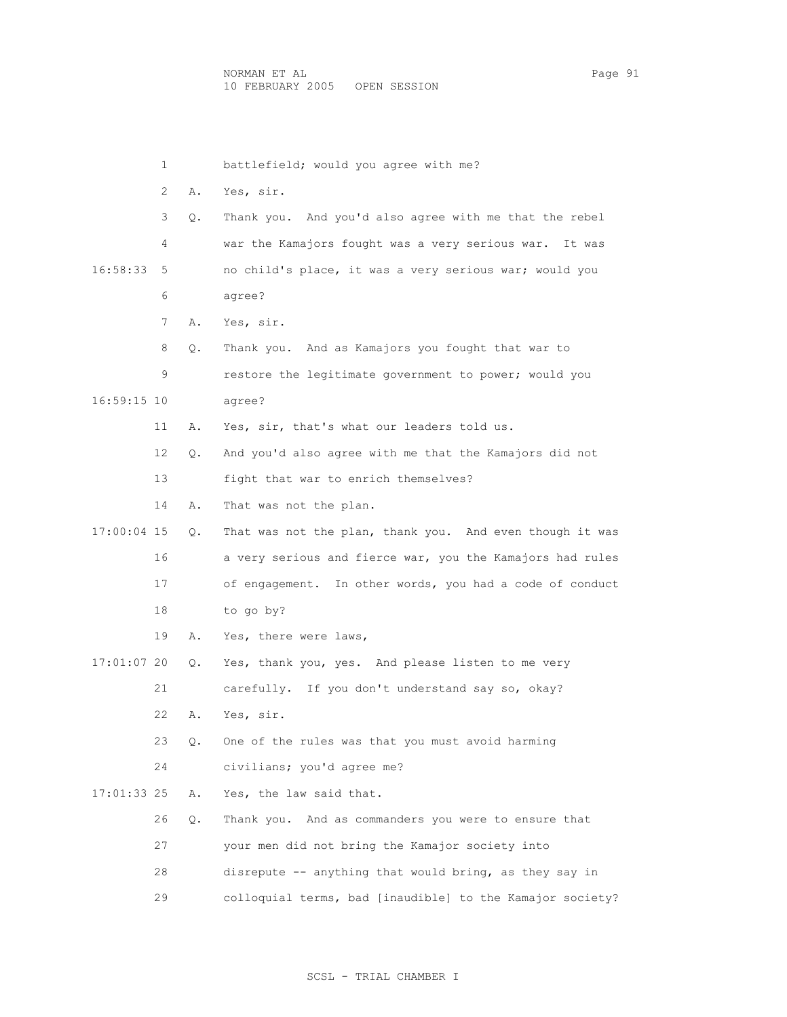1 battlefield; would you agree with me? 2 A. Yes, sir. 3 Q. Thank you. And you'd also agree with me that the rebel 4 war the Kamajors fought was a very serious war. It was 16:58:33 5 no child's place, it was a very serious war; would you 6 agree? 7 A. Yes, sir. 8 Q. Thank you. And as Kamajors you fought that war to 9 restore the legitimate government to power; would you 16:59:15 10 agree? 11 A. Yes, sir, that's what our leaders told us. 12 Q. And you'd also agree with me that the Kamajors did not 13 fight that war to enrich themselves? 14 A. That was not the plan. 17:00:04 15 Q. That was not the plan, thank you. And even though it was 16 a very serious and fierce war, you the Kamajors had rules 17 of engagement. In other words, you had a code of conduct 18 to go by? 19 A. Yes, there were laws, 17:01:07 20 Q. Yes, thank you, yes. And please listen to me very 21 carefully. If you don't understand say so, okay? 22 A. Yes, sir. 23 Q. One of the rules was that you must avoid harming 24 civilians; you'd agree me? 17:01:33 25 A. Yes, the law said that. 26 Q. Thank you. And as commanders you were to ensure that 27 your men did not bring the Kamajor society into 28 disrepute -- anything that would bring, as they say in 29 colloquial terms, bad [inaudible] to the Kamajor society?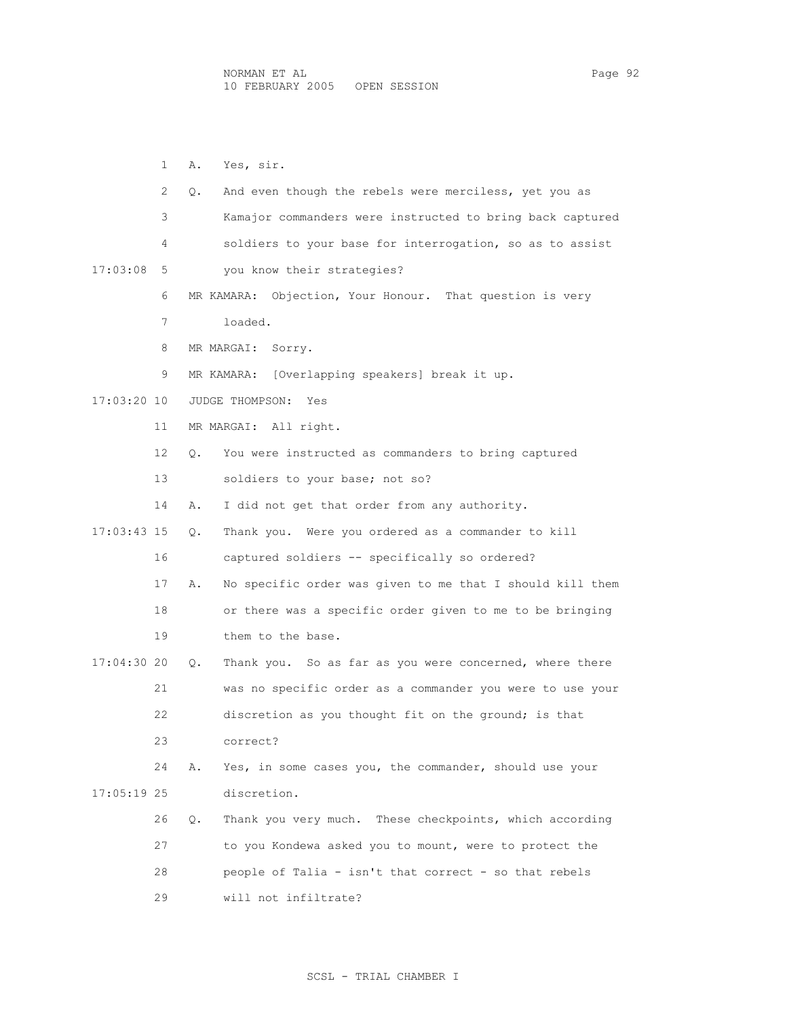1 A. Yes, sir. 2 Q. And even though the rebels were merciless, yet you as 3 Kamajor commanders were instructed to bring back captured 4 soldiers to your base for interrogation, so as to assist 17:03:08 5 you know their strategies? 6 MR KAMARA: Objection, Your Honour. That question is very 7 loaded. 8 MR MARGAI: Sorry. 9 MR KAMARA: [Overlapping speakers] break it up. 17:03:20 10 JUDGE THOMPSON: Yes 11 MR MARGAI: All right. 12 Q. You were instructed as commanders to bring captured 13 soldiers to your base; not so? 14 A. I did not get that order from any authority. 17:03:43 15 Q. Thank you. Were you ordered as a commander to kill 16 captured soldiers -- specifically so ordered? 17 A. No specific order was given to me that I should kill them 18 or there was a specific order given to me to be bringing 19 them to the base. 17:04:30 20 Q. Thank you. So as far as you were concerned, where there 21 was no specific order as a commander you were to use your 22 discretion as you thought fit on the ground; is that 23 correct? 24 A. Yes, in some cases you, the commander, should use your 17:05:19 25 discretion. 26 Q. Thank you very much. These checkpoints, which according 27 to you Kondewa asked you to mount, were to protect the 28 people of Talia - isn't that correct - so that rebels 29 will not infiltrate?

## SCSL - TRIAL CHAMBER I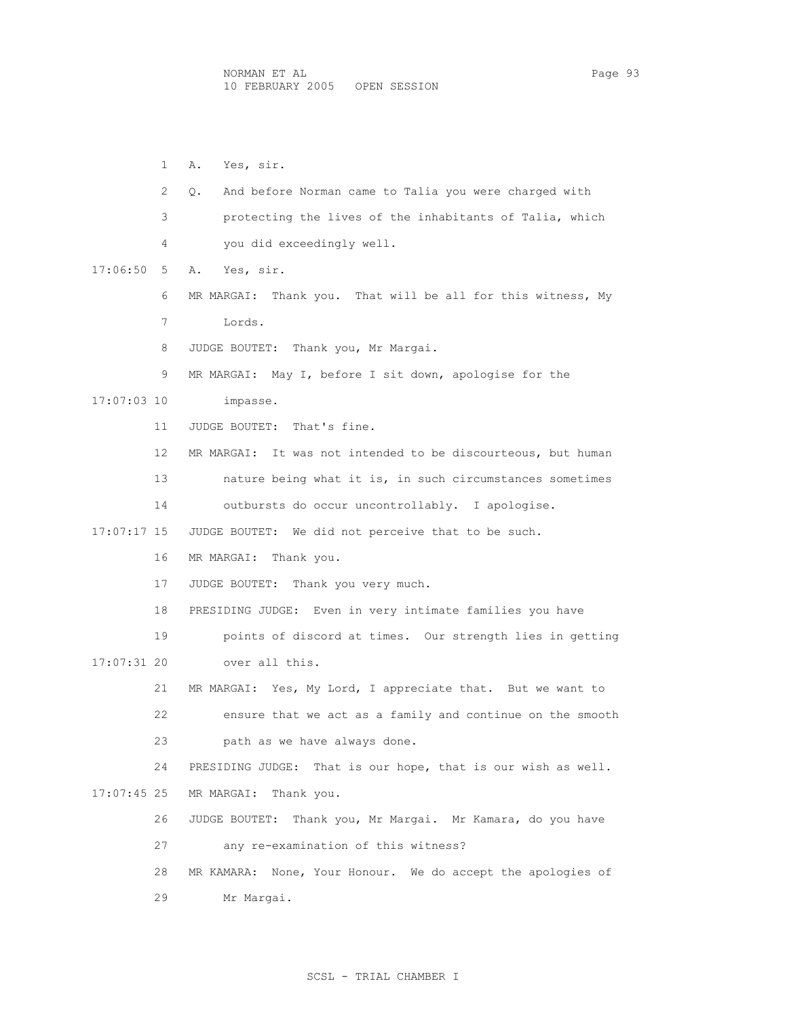1 A. Yes, sir. 2 Q. And before Norman came to Talia you were charged with 3 protecting the lives of the inhabitants of Talia, which 4 you did exceedingly well. 17:06:50 5 A. Yes, sir. 6 MR MARGAI: Thank you. That will be all for this witness, My 7 Lords. 8 JUDGE BOUTET: Thank you, Mr Margai. 9 MR MARGAI: May I, before I sit down, apologise for the 17:07:03 10 impasse. 11 JUDGE BOUTET: That's fine. 12 MR MARGAI: It was not intended to be discourteous, but human 13 nature being what it is, in such circumstances sometimes 14 outbursts do occur uncontrollably. I apologise. 17:07:17 15 JUDGE BOUTET: We did not perceive that to be such. 16 MR MARGAI: Thank you. 17 JUDGE BOUTET: Thank you very much. 18 PRESIDING JUDGE: Even in very intimate families you have 19 points of discord at times. Our strength lies in getting 17:07:31 20 over all this. 21 MR MARGAI: Yes, My Lord, I appreciate that. But we want to 22 ensure that we act as a family and continue on the smooth 23 path as we have always done. 24 PRESIDING JUDGE: That is our hope, that is our wish as well. 17:07:45 25 MR MARGAI: Thank you. 26 JUDGE BOUTET: Thank you, Mr Margai. Mr Kamara, do you have 27 any re-examination of this witness? 28 MR KAMARA: None, Your Honour. We do accept the apologies of 29 Mr Margai.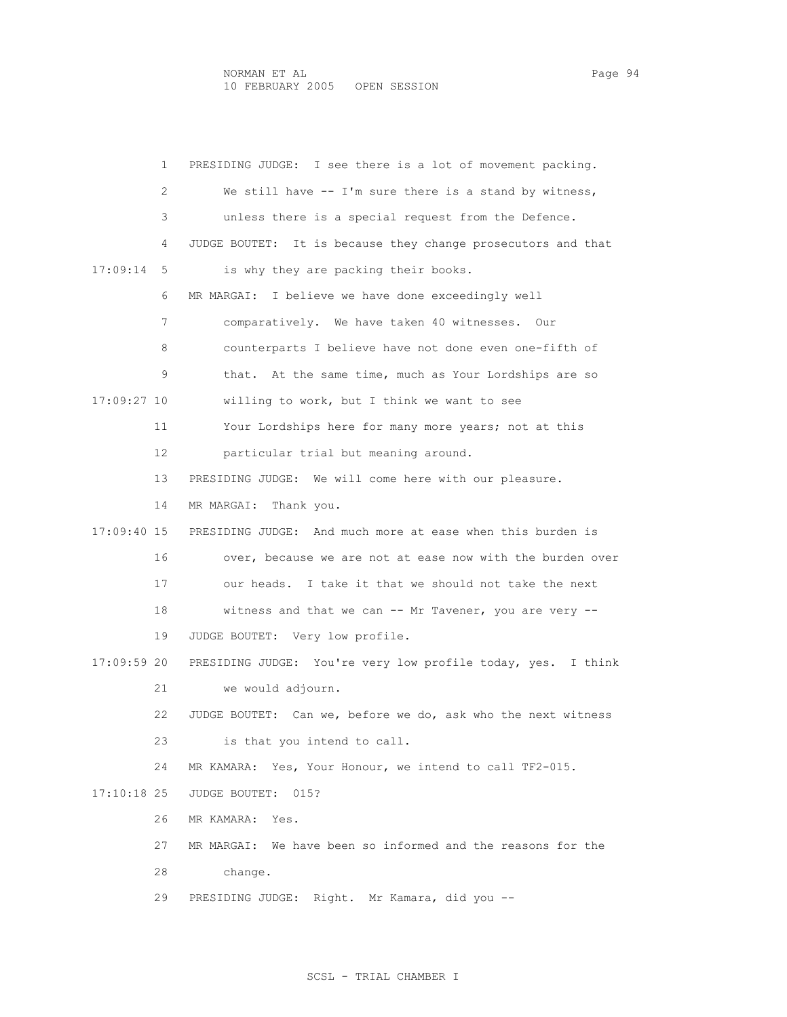1 PRESIDING JUDGE: I see there is a lot of movement packing. 2 We still have -- I'm sure there is a stand by witness, 3 unless there is a special request from the Defence. 4 JUDGE BOUTET: It is because they change prosecutors and that 17:09:14 5 is why they are packing their books. 6 MR MARGAI: I believe we have done exceedingly well 7 comparatively. We have taken 40 witnesses. Our 8 counterparts I believe have not done even one-fifth of 9 that. At the same time, much as Your Lordships are so 17:09:27 10 willing to work, but I think we want to see 11 Your Lordships here for many more years; not at this 12 particular trial but meaning around. 13 PRESIDING JUDGE: We will come here with our pleasure. 14 MR MARGAI: Thank you. 17:09:40 15 PRESIDING JUDGE: And much more at ease when this burden is 16 over, because we are not at ease now with the burden over 17 our heads. I take it that we should not take the next 18 witness and that we can -- Mr Tavener, you are very -- 19 JUDGE BOUTET: Very low profile. 17:09:59 20 PRESIDING JUDGE: You're very low profile today, yes. I think 21 we would adjourn. 22 JUDGE BOUTET: Can we, before we do, ask who the next witness 23 is that you intend to call. 24 MR KAMARA: Yes, Your Honour, we intend to call TF2-015. 17:10:18 25 JUDGE BOUTET: 015? 26 MR KAMARA: Yes. 27 MR MARGAI: We have been so informed and the reasons for the 28 change. 29 PRESIDING JUDGE: Right. Mr Kamara, did you --

## SCSL - TRIAL CHAMBER I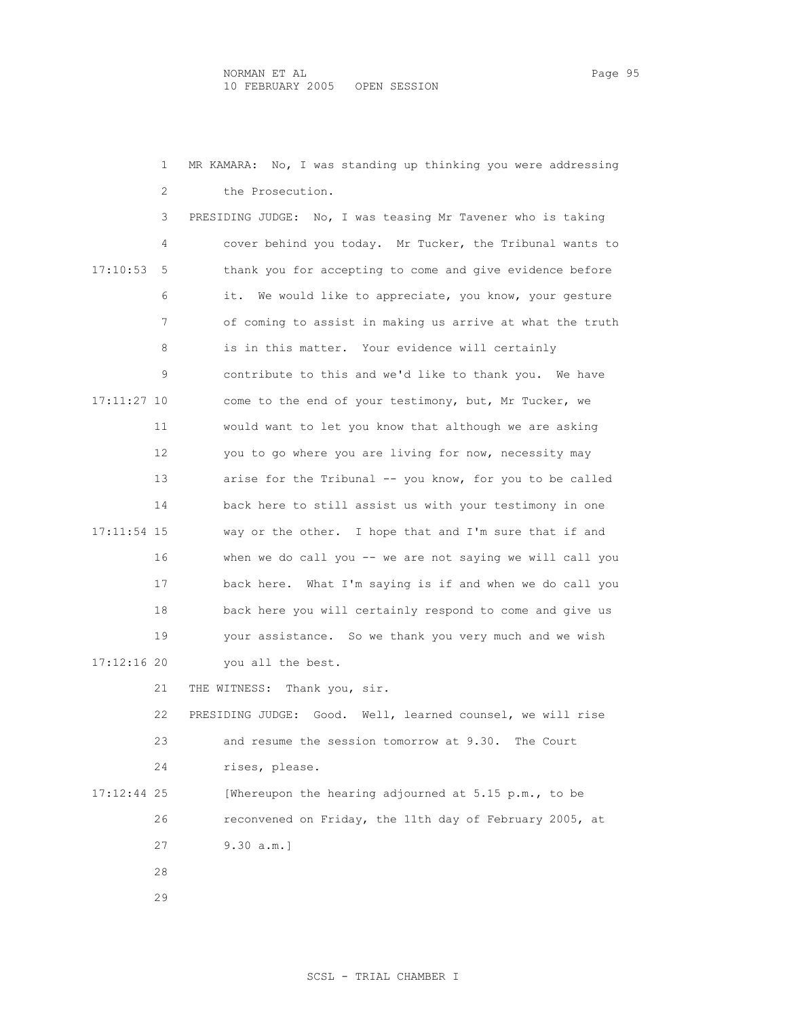1 MR KAMARA: No, I was standing up thinking you were addressing 2 the Prosecution. 3 PRESIDING JUDGE: No, I was teasing Mr Tavener who is taking 4 cover behind you today. Mr Tucker, the Tribunal wants to 17:10:53 5 thank you for accepting to come and give evidence before 6 it. We would like to appreciate, you know, your gesture 7 of coming to assist in making us arrive at what the truth 8 is in this matter. Your evidence will certainly 9 contribute to this and we'd like to thank you. We have 17:11:27 10 come to the end of your testimony, but, Mr Tucker, we 11 would want to let you know that although we are asking 12 you to go where you are living for now, necessity may 13 arise for the Tribunal -- you know, for you to be called 14 back here to still assist us with your testimony in one 17:11:54 15 way or the other. I hope that and I'm sure that if and 16 when we do call you -- we are not saying we will call you 17 back here. What I'm saying is if and when we do call you 18 back here you will certainly respond to come and give us 19 your assistance. So we thank you very much and we wish 17:12:16 20 you all the best. 21 THE WITNESS: Thank you, sir. 22 PRESIDING JUDGE: Good. Well, learned counsel, we will rise 23 and resume the session tomorrow at 9.30. The Court 24 rises, please. 17:12:44 25 [Whereupon the hearing adjourned at 5.15 p.m., to be 26 reconvened on Friday, the 11th day of February 2005, at 27 9.30 a.m.] 28 29